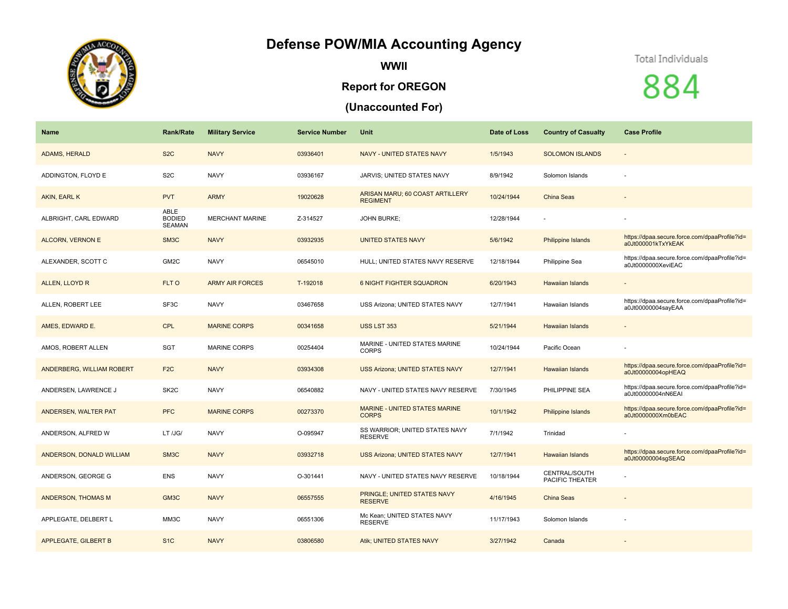## **Defense POW/MIA Accounting Agency**



**WWII**

## **Report for OREGON**

## **(Unaccounted For)**

## Total Individuals

884

| <b>Name</b>                 | <b>Rank/Rate</b>                       | <b>Military Service</b> | <b>Service Number</b> | Unit                                               | Date of Loss | <b>Country of Casualty</b>       | <b>Case Profile</b>                                                 |
|-----------------------------|----------------------------------------|-------------------------|-----------------------|----------------------------------------------------|--------------|----------------------------------|---------------------------------------------------------------------|
| ADAMS, HERALD               | S <sub>2</sub> C                       | <b>NAVY</b>             | 03936401              | <b>NAVY - UNITED STATES NAVY</b>                   | 1/5/1943     | <b>SOLOMON ISLANDS</b>           | $\overline{\phantom{a}}$                                            |
| ADDINGTON, FLOYD E          | S <sub>2</sub> C                       | <b>NAVY</b>             | 03936167              | <b>JARVIS; UNITED STATES NAVY</b>                  | 8/9/1942     | Solomon Islands                  |                                                                     |
| AKIN, EARL K                | <b>PVT</b>                             | <b>ARMY</b>             | 19020628              | ARISAN MARU; 60 COAST ARTILLERY<br><b>REGIMENT</b> | 10/24/1944   | <b>China Seas</b>                |                                                                     |
| ALBRIGHT, CARL EDWARD       | ABLE<br><b>BODIED</b><br><b>SEAMAN</b> | <b>MERCHANT MARINE</b>  | Z-314527              | <b>JOHN BURKE:</b>                                 | 12/28/1944   |                                  |                                                                     |
| <b>ALCORN, VERNON E</b>     | SM <sub>3</sub> C                      | <b>NAVY</b>             | 03932935              | <b>UNITED STATES NAVY</b>                          | 5/6/1942     | Philippine Islands               | https://dpaa.secure.force.com/dpaaProfile?id=<br>a0Jt000001kTxYkEAK |
| ALEXANDER, SCOTT C          | GM <sub>2</sub> C                      | <b>NAVY</b>             | 06545010              | HULL; UNITED STATES NAVY RESERVE                   | 12/18/1944   | Philippine Sea                   | https://dpaa.secure.force.com/dpaaProfile?id=<br>a0Jt0000000XeviEAC |
| ALLEN, LLOYD R              | FLT O                                  | <b>ARMY AIR FORCES</b>  | T-192018              | <b>6 NIGHT FIGHTER SQUADRON</b>                    | 6/20/1943    | <b>Hawaiian Islands</b>          |                                                                     |
| ALLEN, ROBERT LEE           | SF3C                                   | <b>NAVY</b>             | 03467658              | USS Arizona; UNITED STATES NAVY                    | 12/7/1941    | Hawaiian Islands                 | https://dpaa.secure.force.com/dpaaProfile?id=<br>a0Jt00000004sayEAA |
| AMES, EDWARD E.             | <b>CPL</b>                             | <b>MARINE CORPS</b>     | 00341658              | <b>USS LST 353</b>                                 | 5/21/1944    | <b>Hawaiian Islands</b>          | $\overline{\phantom{a}}$                                            |
| AMOS, ROBERT ALLEN          | <b>SGT</b>                             | <b>MARINE CORPS</b>     | 00254404              | MARINE - UNITED STATES MARINE<br><b>CORPS</b>      | 10/24/1944   | Pacific Ocean                    |                                                                     |
| ANDERBERG, WILLIAM ROBERT   | F <sub>2</sub> C                       | <b>NAVY</b>             | 03934308              | <b>USS Arizona; UNITED STATES NAVY</b>             | 12/7/1941    | <b>Hawaiian Islands</b>          | https://dpaa.secure.force.com/dpaaProfile?id=<br>a0Jt00000004opHEAQ |
| ANDERSEN, LAWRENCE J        | SK <sub>2</sub> C                      | <b>NAVY</b>             | 06540882              | NAVY - UNITED STATES NAVY RESERVE                  | 7/30/1945    | PHILIPPINE SEA                   | https://dpaa.secure.force.com/dpaaProfile?id=<br>a0Jt00000004nN6EAI |
| ANDERSEN, WALTER PAT        | <b>PFC</b>                             | <b>MARINE CORPS</b>     | 00273370              | MARINE - UNITED STATES MARINE<br><b>CORPS</b>      | 10/1/1942    | Philippine Islands               | https://dpaa.secure.force.com/dpaaProfile?id=<br>a0Jt0000000Xm0bEAC |
| ANDERSON, ALFRED W          | LT /JG/                                | <b>NAVY</b>             | O-095947              | SS WARRIOR; UNITED STATES NAVY<br><b>RESERVE</b>   | 7/1/1942     | Trinidad                         |                                                                     |
| ANDERSON, DONALD WILLIAM    | SM <sub>3</sub> C                      | <b>NAVY</b>             | 03932718              | <b>USS Arizona; UNITED STATES NAVY</b>             | 12/7/1941    | <b>Hawaiian Islands</b>          | https://dpaa.secure.force.com/dpaaProfile?id=<br>a0Jt00000004sqSEAQ |
| ANDERSON, GEORGE G          | <b>ENS</b>                             | <b>NAVY</b>             | O-301441              | NAVY - UNITED STATES NAVY RESERVE                  | 10/18/1944   | CENTRAL/SOUTH<br>PACIFIC THEATER |                                                                     |
| <b>ANDERSON, THOMAS M</b>   | GM3C                                   | <b>NAVY</b>             | 06557555              | PRINGLE; UNITED STATES NAVY<br><b>RESERVE</b>      | 4/16/1945    | <b>China Seas</b>                |                                                                     |
| APPLEGATE, DELBERT L        | MM3C                                   | <b>NAVY</b>             | 06551306              | Mc Kean; UNITED STATES NAVY<br><b>RESERVE</b>      | 11/17/1943   | Solomon Islands                  | ä,                                                                  |
| <b>APPLEGATE, GILBERT B</b> | S <sub>1</sub> C                       | <b>NAVY</b>             | 03806580              | Atik; UNITED STATES NAVY                           | 3/27/1942    | Canada                           |                                                                     |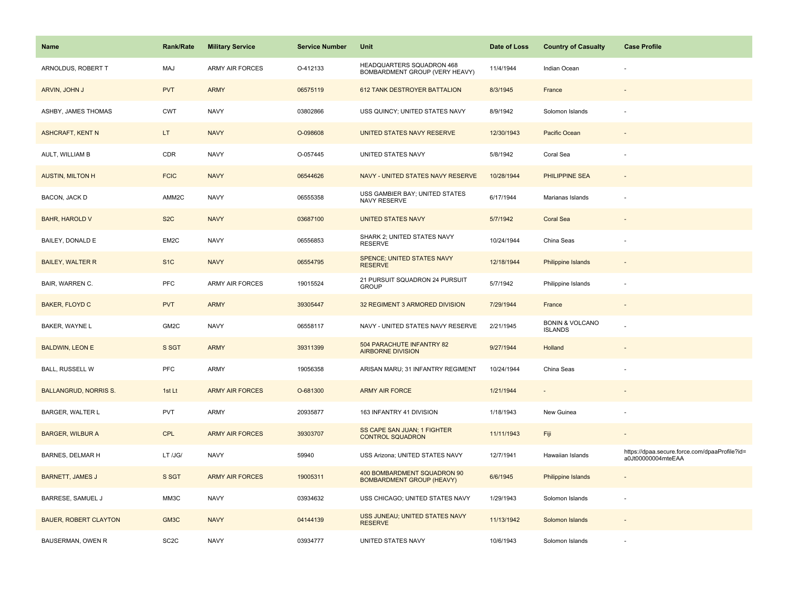| <b>Name</b>                  | <b>Rank/Rate</b>  | <b>Military Service</b> | <b>Service Number</b> | Unit                                                            | Date of Loss | <b>Country of Casualty</b>                   | <b>Case Profile</b>                                                 |
|------------------------------|-------------------|-------------------------|-----------------------|-----------------------------------------------------------------|--------------|----------------------------------------------|---------------------------------------------------------------------|
| ARNOLDUS, ROBERT T           | MAJ               | <b>ARMY AIR FORCES</b>  | O-412133              | HEADQUARTERS SQUADRON 468<br>BOMBARDMENT GROUP (VERY HEAVY)     | 11/4/1944    | Indian Ocean                                 |                                                                     |
| ARVIN, JOHN J                | <b>PVT</b>        | <b>ARMY</b>             | 06575119              | 612 TANK DESTROYER BATTALION                                    | 8/3/1945     | France                                       |                                                                     |
| ASHBY, JAMES THOMAS          | <b>CWT</b>        | <b>NAVY</b>             | 03802866              | USS QUINCY; UNITED STATES NAVY                                  | 8/9/1942     | Solomon Islands                              |                                                                     |
| <b>ASHCRAFT, KENT N</b>      | LT.               | <b>NAVY</b>             | O-098608              | UNITED STATES NAVY RESERVE                                      | 12/30/1943   | Pacific Ocean                                |                                                                     |
| AULT, WILLIAM B              | CDR               | <b>NAVY</b>             | O-057445              | UNITED STATES NAVY                                              | 5/8/1942     | Coral Sea                                    |                                                                     |
| <b>AUSTIN, MILTON H</b>      | <b>FCIC</b>       | <b>NAVY</b>             | 06544626              | NAVY - UNITED STATES NAVY RESERVE                               | 10/28/1944   | <b>PHILIPPINE SEA</b>                        |                                                                     |
| BACON, JACK D                | AMM2C             | <b>NAVY</b>             | 06555358              | USS GAMBIER BAY; UNITED STATES<br>NAVY RESERVE                  | 6/17/1944    | Marianas Islands                             |                                                                     |
| <b>BAHR, HAROLD V</b>        | S <sub>2</sub> C  | <b>NAVY</b>             | 03687100              | <b>UNITED STATES NAVY</b>                                       | 5/7/1942     | <b>Coral Sea</b>                             |                                                                     |
| BAILEY, DONALD E             | EM2C              | <b>NAVY</b>             | 06556853              | SHARK 2; UNITED STATES NAVY<br><b>RESERVE</b>                   | 10/24/1944   | China Seas                                   |                                                                     |
| <b>BAILEY, WALTER R</b>      | S <sub>1C</sub>   | <b>NAVY</b>             | 06554795              | <b>SPENCE; UNITED STATES NAVY</b><br><b>RESERVE</b>             | 12/18/1944   | <b>Philippine Islands</b>                    |                                                                     |
| BAIR, WARREN C.              | <b>PFC</b>        | <b>ARMY AIR FORCES</b>  | 19015524              | 21 PURSUIT SQUADRON 24 PURSUIT<br><b>GROUP</b>                  | 5/7/1942     | Philippine Islands                           |                                                                     |
| <b>BAKER, FLOYD C</b>        | <b>PVT</b>        | <b>ARMY</b>             | 39305447              | 32 REGIMENT 3 ARMORED DIVISION                                  | 7/29/1944    | France                                       | $\overline{\phantom{a}}$                                            |
| BAKER, WAYNE L               | GM2C              | <b>NAVY</b>             | 06558117              | NAVY - UNITED STATES NAVY RESERVE                               | 2/21/1945    | <b>BONIN &amp; VOLCANO</b><br><b>ISLANDS</b> |                                                                     |
| <b>BALDWIN, LEON E</b>       | S SGT             | <b>ARMY</b>             | 39311399              | 504 PARACHUTE INFANTRY 82<br><b>AIRBORNE DIVISION</b>           | 9/27/1944    | Holland                                      |                                                                     |
| <b>BALL, RUSSELL W</b>       | PFC               | ARMY                    | 19056358              | ARISAN MARU; 31 INFANTRY REGIMENT                               | 10/24/1944   | China Seas                                   |                                                                     |
| <b>BALLANGRUD, NORRIS S.</b> | 1st Lt            | <b>ARMY AIR FORCES</b>  | O-681300              | <b>ARMY AIR FORCE</b>                                           | 1/21/1944    |                                              |                                                                     |
| <b>BARGER, WALTER L</b>      | <b>PVT</b>        | <b>ARMY</b>             | 20935877              | 163 INFANTRY 41 DIVISION                                        | 1/18/1943    | New Guinea                                   |                                                                     |
| <b>BARGER, WILBUR A</b>      | <b>CPL</b>        | <b>ARMY AIR FORCES</b>  | 39303707              | SS CAPE SAN JUAN; 1 FIGHTER<br><b>CONTROL SQUADRON</b>          | 11/11/1943   | Fiji                                         | $\overline{\phantom{a}}$                                            |
| BARNES, DELMAR H             | LT /JG/           | <b>NAVY</b>             | 59940                 | USS Arizona; UNITED STATES NAVY                                 | 12/7/1941    | Hawaiian Islands                             | https://dpaa.secure.force.com/dpaaProfile?id=<br>a0Jt00000004mteEAA |
| <b>BARNETT, JAMES J</b>      | S SGT             | <b>ARMY AIR FORCES</b>  | 19005311              | 400 BOMBARDMENT SQUADRON 90<br><b>BOMBARDMENT GROUP (HEAVY)</b> | 6/6/1945     | Philippine Islands                           |                                                                     |
| <b>BARRESE, SAMUEL J</b>     | MM3C              | <b>NAVY</b>             | 03934632              | USS CHICAGO; UNITED STATES NAVY                                 | 1/29/1943    | Solomon Islands                              |                                                                     |
| <b>BAUER, ROBERT CLAYTON</b> | GM3C              | <b>NAVY</b>             | 04144139              | USS JUNEAU; UNITED STATES NAVY<br><b>RESERVE</b>                | 11/13/1942   | Solomon Islands                              |                                                                     |
| BAUSERMAN, OWEN R            | SC <sub>2</sub> C | <b>NAVY</b>             | 03934777              | UNITED STATES NAVY                                              | 10/6/1943    | Solomon Islands                              |                                                                     |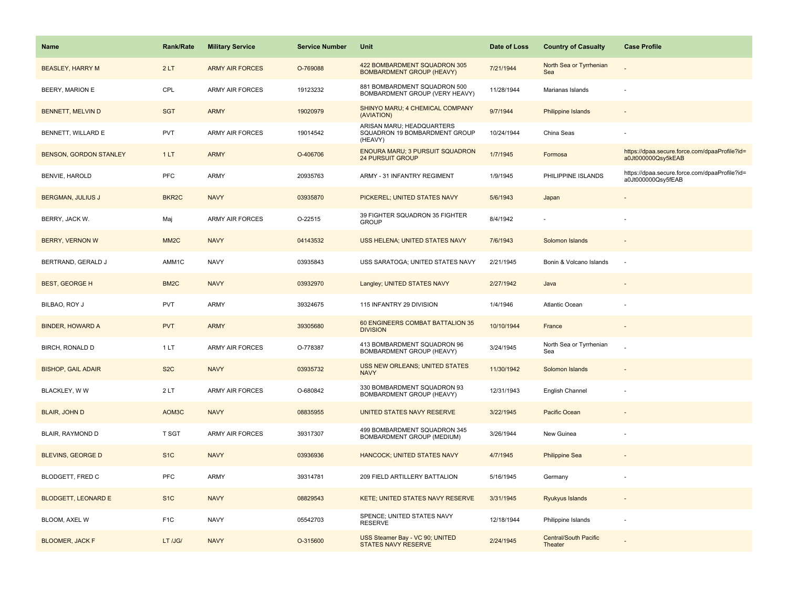| Name                          | <b>Rank/Rate</b>  | <b>Military Service</b> | <b>Service Number</b> | Unit                                                                  | Date of Loss | <b>Country of Casualty</b>              | <b>Case Profile</b>                                                 |
|-------------------------------|-------------------|-------------------------|-----------------------|-----------------------------------------------------------------------|--------------|-----------------------------------------|---------------------------------------------------------------------|
| <b>BEASLEY, HARRY M</b>       | 2LT               | <b>ARMY AIR FORCES</b>  | O-769088              | 422 BOMBARDMENT SQUADRON 305<br><b>BOMBARDMENT GROUP (HEAVY)</b>      | 7/21/1944    | North Sea or Tyrrhenian<br>Sea          |                                                                     |
| <b>BEERY, MARION E</b>        | CPL               | <b>ARMY AIR FORCES</b>  | 19123232              | 881 BOMBARDMENT SQUADRON 500<br>BOMBARDMENT GROUP (VERY HEAVY)        | 11/28/1944   | Marianas Islands                        |                                                                     |
| <b>BENNETT, MELVIN D</b>      | <b>SGT</b>        | <b>ARMY</b>             | 19020979              | SHINYO MARU; 4 CHEMICAL COMPANY<br>(AVIATION)                         | 9/7/1944     | <b>Philippine Islands</b>               |                                                                     |
| BENNETT, WILLARD E            | <b>PVT</b>        | <b>ARMY AIR FORCES</b>  | 19014542              | ARISAN MARU; HEADQUARTERS<br>SQUADRON 19 BOMBARDMENT GROUP<br>(HEAVY) | 10/24/1944   | China Seas                              |                                                                     |
| <b>BENSON, GORDON STANLEY</b> | 1LT               | <b>ARMY</b>             | O-406706              | ENOURA MARU; 3 PURSUIT SQUADRON<br><b>24 PURSUIT GROUP</b>            | 1/7/1945     | Formosa                                 | https://dpaa.secure.force.com/dpaaProfile?id=<br>a0Jt000000Qsy5kEAB |
| BENVIE, HAROLD                | PFC               | <b>ARMY</b>             | 20935763              | ARMY - 31 INFANTRY REGIMENT                                           | 1/9/1945     | PHILIPPINE ISLANDS                      | https://dpaa.secure.force.com/dpaaProfile?id=<br>a0Jt000000Qsy5fEAB |
| <b>BERGMAN, JULIUS J</b>      | BKR <sub>2C</sub> | <b>NAVY</b>             | 03935870              | PICKEREL; UNITED STATES NAVY                                          | 5/6/1943     | Japan                                   |                                                                     |
| BERRY, JACK W.                | Maj               | <b>ARMY AIR FORCES</b>  | O-22515               | 39 FIGHTER SQUADRON 35 FIGHTER<br><b>GROUP</b>                        | 8/4/1942     |                                         |                                                                     |
| <b>BERRY, VERNON W</b>        | MM <sub>2</sub> C | <b>NAVY</b>             | 04143532              | USS HELENA; UNITED STATES NAVY                                        | 7/6/1943     | Solomon Islands                         |                                                                     |
| BERTRAND, GERALD J            | AMM1C             | <b>NAVY</b>             | 03935843              | USS SARATOGA; UNITED STATES NAVY                                      | 2/21/1945    | Bonin & Volcano Islands                 | ٠.                                                                  |
| <b>BEST, GEORGE H</b>         | BM <sub>2</sub> C | <b>NAVY</b>             | 03932970              | Langley; UNITED STATES NAVY                                           | 2/27/1942    | Java                                    |                                                                     |
| BILBAO, ROY J                 | <b>PVT</b>        | <b>ARMY</b>             | 39324675              | 115 INFANTRY 29 DIVISION                                              | 1/4/1946     | Atlantic Ocean                          |                                                                     |
| <b>BINDER, HOWARD A</b>       | <b>PVT</b>        | <b>ARMY</b>             | 39305680              | 60 ENGINEERS COMBAT BATTALION 35<br><b>DIVISION</b>                   | 10/10/1944   | France                                  |                                                                     |
| BIRCH, RONALD D               | 1LT               | <b>ARMY AIR FORCES</b>  | O-778387              | 413 BOMBARDMENT SQUADRON 96<br>BOMBARDMENT GROUP (HEAVY)              | 3/24/1945    | North Sea or Tyrrhenian<br>Sea          |                                                                     |
| <b>BISHOP, GAIL ADAIR</b>     | S <sub>2</sub> C  | <b>NAVY</b>             | 03935732              | <b>USS NEW ORLEANS; UNITED STATES</b><br><b>NAVY</b>                  | 11/30/1942   | Solomon Islands                         |                                                                     |
| BLACKLEY, W W                 | 2LT               | <b>ARMY AIR FORCES</b>  | O-680842              | 330 BOMBARDMENT SQUADRON 93<br>BOMBARDMENT GROUP (HEAVY)              | 12/31/1943   | English Channel                         |                                                                     |
| <b>BLAIR, JOHN D</b>          | AOM3C             | <b>NAVY</b>             | 08835955              | UNITED STATES NAVY RESERVE                                            | 3/22/1945    | Pacific Ocean                           |                                                                     |
| BLAIR, RAYMOND D              | T SGT             | ARMY AIR FORCES         | 39317307              | 499 BOMBARDMENT SQUADRON 345<br>BOMBARDMENT GROUP (MEDIUM)            | 3/26/1944    | New Guinea                              |                                                                     |
| <b>BLEVINS, GEORGE D</b>      | S <sub>1</sub> C  | <b>NAVY</b>             | 03936936              | <b>HANCOCK; UNITED STATES NAVY</b>                                    | 4/7/1945     | <b>Philippine Sea</b>                   |                                                                     |
| BLODGETT, FRED C              | PFC               | <b>ARMY</b>             | 39314781              | 209 FIELD ARTILLERY BATTALION                                         | 5/16/1945    | Germany                                 |                                                                     |
| <b>BLODGETT, LEONARD E</b>    | S <sub>1</sub> C  | <b>NAVY</b>             | 08829543              | KETE; UNITED STATES NAVY RESERVE                                      | 3/31/1945    | Ryukyus Islands                         | $\sim$                                                              |
| BLOOM, AXEL W                 | F <sub>1</sub> C  | <b>NAVY</b>             | 05542703              | SPENCE; UNITED STATES NAVY<br><b>RESERVE</b>                          | 12/18/1944   | Philippine Islands                      |                                                                     |
| <b>BLOOMER, JACK F</b>        | LT /JG/           | <b>NAVY</b>             | O-315600              | USS Steamer Bay - VC 90; UNITED<br><b>STATES NAVY RESERVE</b>         | 2/24/1945    | <b>Central/South Pacific</b><br>Theater |                                                                     |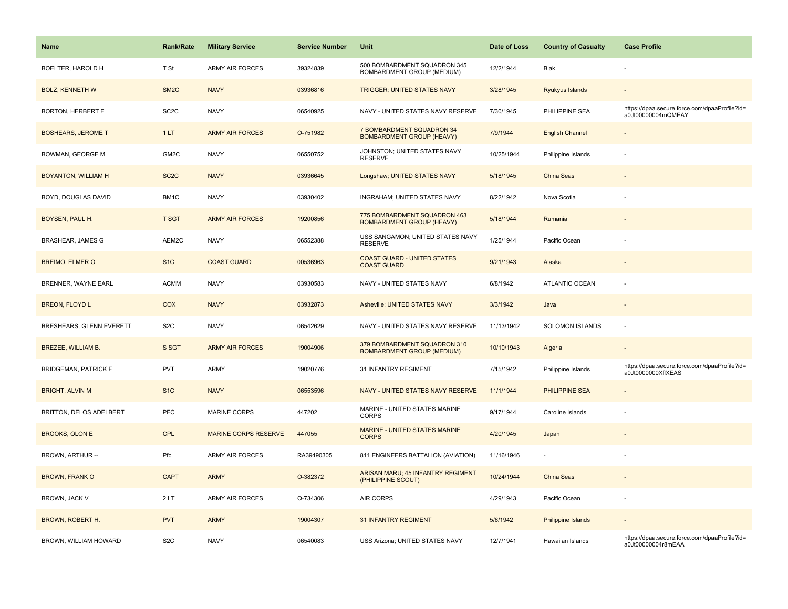| Name                        | <b>Rank/Rate</b>  | <b>Military Service</b>     | <b>Service Number</b> | Unit                                                              | Date of Loss | <b>Country of Casualty</b> | <b>Case Profile</b>                                                 |
|-----------------------------|-------------------|-----------------------------|-----------------------|-------------------------------------------------------------------|--------------|----------------------------|---------------------------------------------------------------------|
| BOELTER, HAROLD H           | T St              | <b>ARMY AIR FORCES</b>      | 39324839              | 500 BOMBARDMENT SQUADRON 345<br>BOMBARDMENT GROUP (MEDIUM)        | 12/2/1944    | Biak                       |                                                                     |
| <b>BOLZ, KENNETH W</b>      | SM <sub>2</sub> C | <b>NAVY</b>                 | 03936816              | <b>TRIGGER; UNITED STATES NAVY</b>                                | 3/28/1945    | Ryukyus Islands            |                                                                     |
| <b>BORTON, HERBERT E</b>    | SC <sub>2</sub> C | <b>NAVY</b>                 | 06540925              | NAVY - UNITED STATES NAVY RESERVE                                 | 7/30/1945    | PHILIPPINE SEA             | https://dpaa.secure.force.com/dpaaProfile?id=<br>a0Jt00000004mQMEAY |
| <b>BOSHEARS, JEROME T</b>   | 1LT               | <b>ARMY AIR FORCES</b>      | O-751982              | 7 BOMBARDMENT SQUADRON 34<br><b>BOMBARDMENT GROUP (HEAVY)</b>     | 7/9/1944     | <b>English Channel</b>     |                                                                     |
| BOWMAN, GEORGE M            | GM <sub>2</sub> C | <b>NAVY</b>                 | 06550752              | JOHNSTON; UNITED STATES NAVY<br><b>RESERVE</b>                    | 10/25/1944   | Philippine Islands         |                                                                     |
| BOYANTON, WILLIAM H         | SC <sub>2</sub> C | <b>NAVY</b>                 | 03936645              | Longshaw; UNITED STATES NAVY                                      | 5/18/1945    | China Seas                 |                                                                     |
| BOYD, DOUGLAS DAVID         | BM1C              | <b>NAVY</b>                 | 03930402              | INGRAHAM; UNITED STATES NAVY                                      | 8/22/1942    | Nova Scotia                |                                                                     |
| BOYSEN, PAUL H.             | T SGT             | <b>ARMY AIR FORCES</b>      | 19200856              | 775 BOMBARDMENT SQUADRON 463<br><b>BOMBARDMENT GROUP (HEAVY)</b>  | 5/18/1944    | Rumania                    |                                                                     |
| <b>BRASHEAR, JAMES G</b>    | AEM2C             | <b>NAVY</b>                 | 06552388              | USS SANGAMON; UNITED STATES NAVY<br><b>RESERVE</b>                | 1/25/1944    | Pacific Ocean              |                                                                     |
| <b>BREIMO, ELMER O</b>      | S <sub>1</sub> C  | <b>COAST GUARD</b>          | 00536963              | <b>COAST GUARD - UNITED STATES</b><br><b>COAST GUARD</b>          | 9/21/1943    | Alaska                     |                                                                     |
| <b>BRENNER, WAYNE EARL</b>  | <b>ACMM</b>       | <b>NAVY</b>                 | 03930583              | NAVY - UNITED STATES NAVY                                         | 6/8/1942     | <b>ATLANTIC OCEAN</b>      |                                                                     |
| <b>BREON, FLOYD L</b>       | COX               | <b>NAVY</b>                 | 03932873              | Asheville; UNITED STATES NAVY                                     | 3/3/1942     | Java                       | $\sim$                                                              |
| BRESHEARS, GLENN EVERETT    | S <sub>2</sub> C  | <b>NAVY</b>                 | 06542629              | NAVY - UNITED STATES NAVY RESERVE                                 | 11/13/1942   | SOLOMON ISLANDS            | ÷,                                                                  |
| BREZEE, WILLIAM B.          | S SGT             | <b>ARMY AIR FORCES</b>      | 19004906              | 379 BOMBARDMENT SQUADRON 310<br><b>BOMBARDMENT GROUP (MEDIUM)</b> | 10/10/1943   | Algeria                    |                                                                     |
| <b>BRIDGEMAN, PATRICK F</b> | PVT               | <b>ARMY</b>                 | 19020776              | 31 INFANTRY REGIMENT                                              | 7/15/1942    | Philippine Islands         | https://dpaa.secure.force.com/dpaaProfile?id=<br>a0Jt0000000XflXEAS |
| <b>BRIGHT, ALVIN M</b>      | S <sub>1</sub> C  | <b>NAVY</b>                 | 06553596              | NAVY - UNITED STATES NAVY RESERVE                                 | 11/1/1944    | <b>PHILIPPINE SEA</b>      |                                                                     |
| BRITTON, DELOS ADELBERT     | <b>PFC</b>        | <b>MARINE CORPS</b>         | 447202                | MARINE - UNITED STATES MARINE<br><b>CORPS</b>                     | 9/17/1944    | Caroline Islands           |                                                                     |
| <b>BROOKS, OLON E</b>       | CPL               | <b>MARINE CORPS RESERVE</b> | 447055                | MARINE - UNITED STATES MARINE<br><b>CORPS</b>                     | 4/20/1945    | Japan                      |                                                                     |
| BROWN, ARTHUR --            | Pfc               | <b>ARMY AIR FORCES</b>      | RA39490305            | 811 ENGINEERS BATTALION (AVIATION)                                | 11/16/1946   |                            |                                                                     |
| <b>BROWN, FRANK O</b>       | <b>CAPT</b>       | <b>ARMY</b>                 | O-382372              | <b>ARISAN MARU; 45 INFANTRY REGIMENT</b><br>(PHILIPPINE SCOUT)    | 10/24/1944   | <b>China Seas</b>          |                                                                     |
| BROWN, JACK V               | 2LT               | <b>ARMY AIR FORCES</b>      | O-734306              | AIR CORPS                                                         | 4/29/1943    | Pacific Ocean              |                                                                     |
| <b>BROWN, ROBERT H.</b>     | <b>PVT</b>        | <b>ARMY</b>                 | 19004307              | <b>31 INFANTRY REGIMENT</b>                                       | 5/6/1942     | <b>Philippine Islands</b>  |                                                                     |
| BROWN, WILLIAM HOWARD       | S <sub>2</sub> C  | <b>NAVY</b>                 | 06540083              | USS Arizona; UNITED STATES NAVY                                   | 12/7/1941    | Hawaiian Islands           | https://dpaa.secure.force.com/dpaaProfile?id=<br>a0Jt00000004r8mEAA |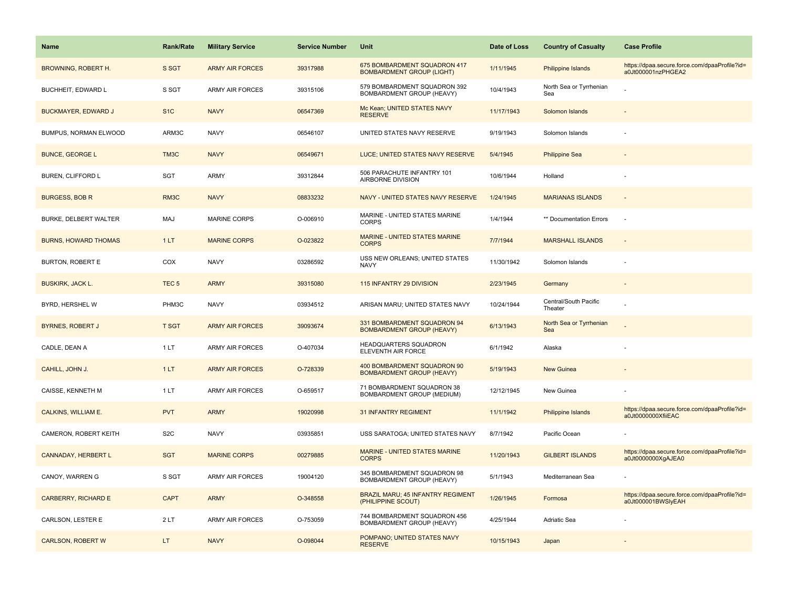| Name                        | <b>Rank/Rate</b> | <b>Military Service</b> | <b>Service Number</b> | Unit                                                             | Date of Loss | <b>Country of Casualty</b>       | <b>Case Profile</b>                                                 |
|-----------------------------|------------------|-------------------------|-----------------------|------------------------------------------------------------------|--------------|----------------------------------|---------------------------------------------------------------------|
| <b>BROWNING, ROBERT H.</b>  | S SGT            | <b>ARMY AIR FORCES</b>  | 39317988              | 675 BOMBARDMENT SQUADRON 417<br><b>BOMBARDMENT GROUP (LIGHT)</b> | 1/11/1945    | Philippine Islands               | https://dpaa.secure.force.com/dpaaProfile?id=<br>a0Jt000001nzPHGEA2 |
| BUCHHEIT, EDWARD L          | S SGT            | <b>ARMY AIR FORCES</b>  | 39315106              | 579 BOMBARDMENT SQUADRON 392<br>BOMBARDMENT GROUP (HEAVY)        | 10/4/1943    | North Sea or Tyrrhenian<br>Sea   |                                                                     |
| <b>BUCKMAYER, EDWARD J</b>  | S <sub>1</sub> C | <b>NAVY</b>             | 06547369              | Mc Kean; UNITED STATES NAVY<br><b>RESERVE</b>                    | 11/17/1943   | Solomon Islands                  |                                                                     |
| BUMPUS, NORMAN ELWOOD       | ARM3C            | <b>NAVY</b>             | 06546107              | UNITED STATES NAVY RESERVE                                       | 9/19/1943    | Solomon Islands                  |                                                                     |
| <b>BUNCE, GEORGE L</b>      | TM3C             | <b>NAVY</b>             | 06549671              | LUCE; UNITED STATES NAVY RESERVE                                 | 5/4/1945     | <b>Philippine Sea</b>            |                                                                     |
| <b>BUREN, CLIFFORD L</b>    | <b>SGT</b>       | ARMY                    | 39312844              | 506 PARACHUTE INFANTRY 101<br>AIRBORNE DIVISION                  | 10/6/1944    | Holland                          |                                                                     |
| <b>BURGESS, BOB R</b>       | RM3C             | <b>NAVY</b>             | 08833232              | NAVY - UNITED STATES NAVY RESERVE                                | 1/24/1945    | <b>MARIANAS ISLANDS</b>          | $\sim$                                                              |
| BURKE, DELBERT WALTER       | MAJ              | <b>MARINE CORPS</b>     | O-006910              | MARINE - UNITED STATES MARINE<br><b>CORPS</b>                    | 1/4/1944     | ** Documentation Errors          |                                                                     |
| <b>BURNS, HOWARD THOMAS</b> | 1LT              | <b>MARINE CORPS</b>     | O-023822              | MARINE - UNITED STATES MARINE<br><b>CORPS</b>                    | 7/7/1944     | <b>MARSHALL ISLANDS</b>          | $\sim$                                                              |
| <b>BURTON, ROBERT E</b>     | COX              | <b>NAVY</b>             | 03286592              | USS NEW ORLEANS; UNITED STATES<br><b>NAVY</b>                    | 11/30/1942   | Solomon Islands                  |                                                                     |
| <b>BUSKIRK, JACK L.</b>     | TEC <sub>5</sub> | <b>ARMY</b>             | 39315080              | 115 INFANTRY 29 DIVISION                                         | 2/23/1945    | Germany                          |                                                                     |
| BYRD, HERSHEL W             | PHM3C            | <b>NAVY</b>             | 03934512              | ARISAN MARU; UNITED STATES NAVY                                  | 10/24/1944   | Central/South Pacific<br>Theater |                                                                     |
| <b>BYRNES, ROBERT J</b>     | <b>T SGT</b>     | <b>ARMY AIR FORCES</b>  | 39093674              | 331 BOMBARDMENT SQUADRON 94<br><b>BOMBARDMENT GROUP (HEAVY)</b>  | 6/13/1943    | North Sea or Tyrrhenian<br>Sea   |                                                                     |
| CADLE, DEAN A               | 1LT              | <b>ARMY AIR FORCES</b>  | O-407034              | <b>HEADQUARTERS SQUADRON</b><br>ELEVENTH AIR FORCE               | 6/1/1942     | Alaska                           |                                                                     |
| CAHILL, JOHN J.             | 1LT              | <b>ARMY AIR FORCES</b>  | O-728339              | 400 BOMBARDMENT SQUADRON 90<br><b>BOMBARDMENT GROUP (HEAVY)</b>  | 5/19/1943    | New Guinea                       |                                                                     |
| CAISSE, KENNETH M           | 1LT              | <b>ARMY AIR FORCES</b>  | O-659517              | 71 BOMBARDMENT SQUADRON 38<br>BOMBARDMENT GROUP (MEDIUM)         | 12/12/1945   | New Guinea                       |                                                                     |
| CALKINS, WILLIAM E.         | <b>PVT</b>       | <b>ARMY</b>             | 19020998              | <b>31 INFANTRY REGIMENT</b>                                      | 11/1/1942    | Philippine Islands               | https://dpaa.secure.force.com/dpaaProfile?id=<br>a0Jt0000000XfiiEAC |
| CAMERON, ROBERT KEITH       | S <sub>2</sub> C | <b>NAVY</b>             | 03935851              | USS SARATOGA; UNITED STATES NAVY                                 | 8/7/1942     | Pacific Ocean                    |                                                                     |
| CANNADAY, HERBERT L         | <b>SGT</b>       | <b>MARINE CORPS</b>     | 00279885              | MARINE - UNITED STATES MARINE<br><b>CORPS</b>                    | 11/20/1943   | <b>GILBERT ISLANDS</b>           | https://dpaa.secure.force.com/dpaaProfile?id=<br>a0Jt0000000XgAJEA0 |
| CANOY, WARREN G             | S SGT            | <b>ARMY AIR FORCES</b>  | 19004120              | 345 BOMBARDMENT SQUADRON 98<br>BOMBARDMENT GROUP (HEAVY)         | 5/1/1943     | Mediterranean Sea                |                                                                     |
| <b>CARBERRY, RICHARD E</b>  | <b>CAPT</b>      | <b>ARMY</b>             | O-348558              | <b>BRAZIL MARU; 45 INFANTRY REGIMENT</b><br>(PHILIPPINE SCOUT)   | 1/26/1945    | Formosa                          | https://dpaa.secure.force.com/dpaaProfile?id=<br>a0Jt000001BWSlyEAH |
| CARLSON, LESTER E           | 2LT              | <b>ARMY AIR FORCES</b>  | O-753059              | 744 BOMBARDMENT SQUADRON 456<br>BOMBARDMENT GROUP (HEAVY)        | 4/25/1944    | Adriatic Sea                     |                                                                     |
| <b>CARLSON, ROBERT W</b>    | LT.              | <b>NAVY</b>             | O-098044              | POMPANO; UNITED STATES NAVY<br><b>RESERVE</b>                    | 10/15/1943   | Japan                            |                                                                     |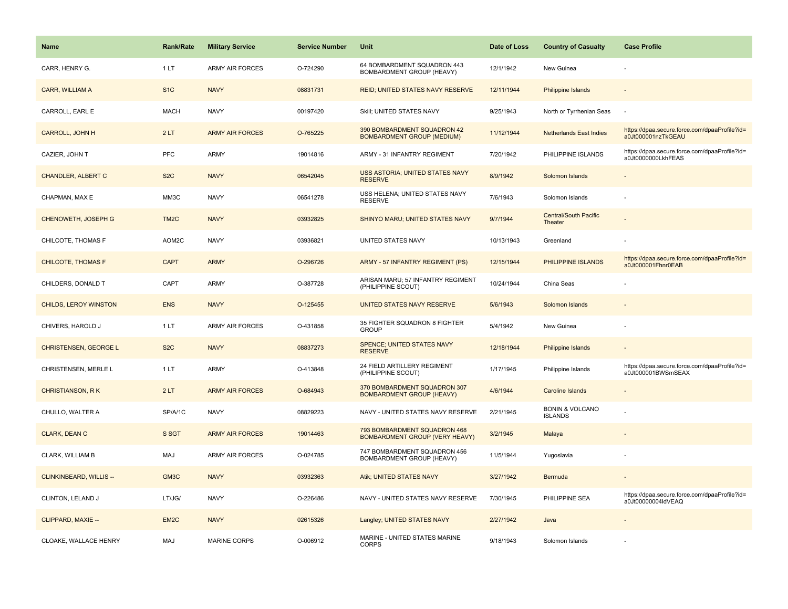| <b>Name</b>                    | Rank/Rate         | <b>Military Service</b> | <b>Service Number</b> | Unit                                                                  | Date of Loss | <b>Country of Casualty</b>                   | <b>Case Profile</b>                                                 |
|--------------------------------|-------------------|-------------------------|-----------------------|-----------------------------------------------------------------------|--------------|----------------------------------------------|---------------------------------------------------------------------|
| CARR, HENRY G.                 | 1 LT              | <b>ARMY AIR FORCES</b>  | O-724290              | 64 BOMBARDMENT SQUADRON 443<br>BOMBARDMENT GROUP (HEAVY)              | 12/1/1942    | New Guinea                                   |                                                                     |
| CARR, WILLIAM A                | S <sub>1</sub> C  | <b>NAVY</b>             | 08831731              | REID; UNITED STATES NAVY RESERVE                                      | 12/11/1944   | <b>Philippine Islands</b>                    |                                                                     |
| CARROLL, EARL E                | <b>MACH</b>       | <b>NAVY</b>             | 00197420              | Skill; UNITED STATES NAVY                                             | 9/25/1943    | North or Tyrrhenian Seas                     |                                                                     |
| <b>CARROLL, JOHN H</b>         | 2LT               | <b>ARMY AIR FORCES</b>  | O-765225              | 390 BOMBARDMENT SQUADRON 42<br><b>BOMBARDMENT GROUP (MEDIUM)</b>      | 11/12/1944   | <b>Netherlands East Indies</b>               | https://dpaa.secure.force.com/dpaaProfile?id=<br>a0Jt000001nzTkGEAU |
| CAZIER, JOHN T                 | <b>PFC</b>        | <b>ARMY</b>             | 19014816              | ARMY - 31 INFANTRY REGIMENT                                           | 7/20/1942    | PHILIPPINE ISLANDS                           | https://dpaa.secure.force.com/dpaaProfile?id=<br>a0Jt0000000LkhFEAS |
| <b>CHANDLER, ALBERT C</b>      | S <sub>2</sub> C  | <b>NAVY</b>             | 06542045              | <b>USS ASTORIA; UNITED STATES NAVY</b><br><b>RESERVE</b>              | 8/9/1942     | Solomon Islands                              |                                                                     |
| CHAPMAN, MAX E                 | MM3C              | <b>NAVY</b>             | 06541278              | USS HELENA; UNITED STATES NAVY<br><b>RESERVE</b>                      | 7/6/1943     | Solomon Islands                              |                                                                     |
| CHENOWETH, JOSEPH G            | TM <sub>2</sub> C | <b>NAVY</b>             | 03932825              | SHINYO MARU; UNITED STATES NAVY                                       | 9/7/1944     | <b>Central/South Pacific</b><br>Theater      |                                                                     |
| CHILCOTE, THOMAS F             | AOM2C             | <b>NAVY</b>             | 03936821              | UNITED STATES NAVY                                                    | 10/13/1943   | Greenland                                    |                                                                     |
| <b>CHILCOTE, THOMAS F</b>      | <b>CAPT</b>       | <b>ARMY</b>             | O-296726              | ARMY - 57 INFANTRY REGIMENT (PS)                                      | 12/15/1944   | PHILIPPINE ISLANDS                           | https://dpaa.secure.force.com/dpaaProfile?id=<br>a0Jt000001Fhnr0EAB |
| CHILDERS, DONALD T             | CAPT              | <b>ARMY</b>             | O-387728              | ARISAN MARU; 57 INFANTRY REGIMENT<br>(PHILIPPINE SCOUT)               | 10/24/1944   | China Seas                                   |                                                                     |
| CHILDS, LEROY WINSTON          | <b>ENS</b>        | <b>NAVY</b>             | O-125455              | UNITED STATES NAVY RESERVE                                            | 5/6/1943     | Solomon Islands                              |                                                                     |
| CHIVERS, HAROLD J              | 1LT               | <b>ARMY AIR FORCES</b>  | O-431858              | 35 FIGHTER SQUADRON 8 FIGHTER<br><b>GROUP</b>                         | 5/4/1942     | New Guinea                                   |                                                                     |
| <b>CHRISTENSEN, GEORGE L</b>   | S <sub>2</sub> C  | <b>NAVY</b>             | 08837273              | SPENCE; UNITED STATES NAVY<br><b>RESERVE</b>                          | 12/18/1944   | <b>Philippine Islands</b>                    | $\sim$                                                              |
| CHRISTENSEN, MERLE L           | 1LT               | ARMY                    | O-413848              | 24 FIELD ARTILLERY REGIMENT<br>(PHILIPPINE SCOUT)                     | 1/17/1945    | Philippine Islands                           | https://dpaa.secure.force.com/dpaaProfile?id=<br>a0Jt000001BWSmSEAX |
| <b>CHRISTIANSON, RK</b>        | 2LT               | <b>ARMY AIR FORCES</b>  | O-684943              | 370 BOMBARDMENT SQUADRON 307<br><b>BOMBARDMENT GROUP (HEAVY)</b>      | 4/6/1944     | Caroline Islands                             |                                                                     |
| CHULLO, WALTER A               | SP/A/1C           | <b>NAVY</b>             | 08829223              | NAVY - UNITED STATES NAVY RESERVE                                     | 2/21/1945    | <b>BONIN &amp; VOLCANO</b><br><b>ISLANDS</b> |                                                                     |
| <b>CLARK, DEAN C</b>           | S SGT             | <b>ARMY AIR FORCES</b>  | 19014463              | 793 BOMBARDMENT SQUADRON 468<br><b>BOMBARDMENT GROUP (VERY HEAVY)</b> | 3/2/1945     | Malaya                                       |                                                                     |
| CLARK, WILLIAM B               | MAJ               | <b>ARMY AIR FORCES</b>  | O-024785              | 747 BOMBARDMENT SQUADRON 456<br><b>BOMBARDMENT GROUP (HEAVY)</b>      | 11/5/1944    | Yugoslavia                                   |                                                                     |
| <b>CLINKINBEARD, WILLIS --</b> | GM3C              | <b>NAVY</b>             | 03932363              | Atik; UNITED STATES NAVY                                              | 3/27/1942    | Bermuda                                      |                                                                     |
| CLINTON, LELAND J              | LT/JG/            | <b>NAVY</b>             | O-226486              | NAVY - UNITED STATES NAVY RESERVE                                     | 7/30/1945    | PHILIPPINE SEA                               | https://dpaa.secure.force.com/dpaaProfile?id=<br>a0Jt00000004ldVEAQ |
| CLIPPARD, MAXIE --             | EM2C              | <b>NAVY</b>             | 02615326              | Langley; UNITED STATES NAVY                                           | 2/27/1942    | Java                                         |                                                                     |
| CLOAKE, WALLACE HENRY          | MAJ               | <b>MARINE CORPS</b>     | O-006912              | MARINE - UNITED STATES MARINE<br><b>CORPS</b>                         | 9/18/1943    | Solomon Islands                              |                                                                     |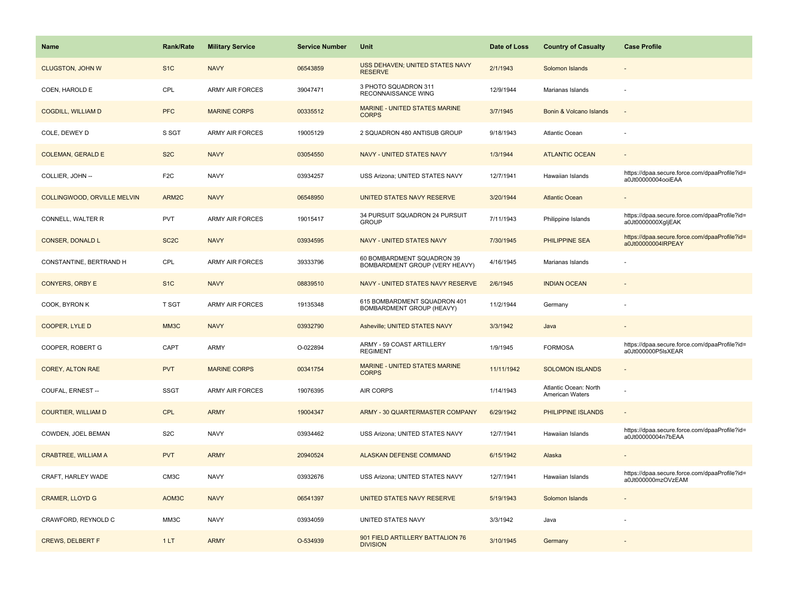| Name                        | <b>Rank/Rate</b>  | <b>Military Service</b> | <b>Service Number</b> | Unit                                                         | Date of Loss | <b>Country of Casualty</b>                      | <b>Case Profile</b>                                                 |
|-----------------------------|-------------------|-------------------------|-----------------------|--------------------------------------------------------------|--------------|-------------------------------------------------|---------------------------------------------------------------------|
| <b>CLUGSTON, JOHN W</b>     | S <sub>1</sub> C  | <b>NAVY</b>             | 06543859              | <b>USS DEHAVEN; UNITED STATES NAVY</b><br><b>RESERVE</b>     | 2/1/1943     | Solomon Islands                                 |                                                                     |
| COEN, HAROLD E              | CPL               | <b>ARMY AIR FORCES</b>  | 39047471              | 3 PHOTO SQUADRON 311<br>RECONNAISSANCE WING                  | 12/9/1944    | Marianas Islands                                |                                                                     |
| <b>COGDILL, WILLIAM D</b>   | <b>PFC</b>        | <b>MARINE CORPS</b>     | 00335512              | <b>MARINE - UNITED STATES MARINE</b><br><b>CORPS</b>         | 3/7/1945     | Bonin & Volcano Islands                         |                                                                     |
| COLE, DEWEY D               | S SGT             | <b>ARMY AIR FORCES</b>  | 19005129              | 2 SQUADRON 480 ANTISUB GROUP                                 | 9/18/1943    | Atlantic Ocean                                  |                                                                     |
| <b>COLEMAN, GERALD E</b>    | S <sub>2</sub> C  | <b>NAVY</b>             | 03054550              | NAVY - UNITED STATES NAVY                                    | 1/3/1944     | <b>ATLANTIC OCEAN</b>                           |                                                                     |
| COLLIER, JOHN --            | F <sub>2</sub> C  | <b>NAVY</b>             | 03934257              | USS Arizona; UNITED STATES NAVY                              | 12/7/1941    | Hawaiian Islands                                | https://dpaa.secure.force.com/dpaaProfile?id=<br>a0Jt00000004ooiEAA |
| COLLINGWOOD, ORVILLE MELVIN | ARM2C             | <b>NAVY</b>             | 06548950              | UNITED STATES NAVY RESERVE                                   | 3/20/1944    | <b>Atlantic Ocean</b>                           |                                                                     |
| CONNELL, WALTER R           | <b>PVT</b>        | <b>ARMY AIR FORCES</b>  | 19015417              | 34 PURSUIT SQUADRON 24 PURSUIT<br><b>GROUP</b>               | 7/11/1943    | Philippine Islands                              | https://dpaa.secure.force.com/dpaaProfile?id=<br>a0Jt0000000XgljEAK |
| <b>CONSER, DONALD L</b>     | SC <sub>2</sub> C | <b>NAVY</b>             | 03934595              | NAVY - UNITED STATES NAVY                                    | 7/30/1945    | <b>PHILIPPINE SEA</b>                           | https://dpaa.secure.force.com/dpaaProfile?id=<br>a0Jt00000004IRPEAY |
| CONSTANTINE, BERTRAND H     | CPL               | <b>ARMY AIR FORCES</b>  | 39333796              | 60 BOMBARDMENT SQUADRON 39<br>BOMBARDMENT GROUP (VERY HEAVY) | 4/16/1945    | Marianas Islands                                |                                                                     |
| <b>CONYERS, ORBY E</b>      | S <sub>1C</sub>   | <b>NAVY</b>             | 08839510              | NAVY - UNITED STATES NAVY RESERVE                            | 2/6/1945     | <b>INDIAN OCEAN</b>                             |                                                                     |
| COOK, BYRON K               | <b>T SGT</b>      | <b>ARMY AIR FORCES</b>  | 19135348              | 615 BOMBARDMENT SQUADRON 401<br>BOMBARDMENT GROUP (HEAVY)    | 11/2/1944    | Germany                                         |                                                                     |
| COOPER, LYLE D              | MM3C              | <b>NAVY</b>             | 03932790              | Asheville; UNITED STATES NAVY                                | 3/3/1942     | Java                                            |                                                                     |
| COOPER, ROBERT G            | CAPT              | <b>ARMY</b>             | O-022894              | ARMY - 59 COAST ARTILLERY<br><b>REGIMENT</b>                 | 1/9/1945     | <b>FORMOSA</b>                                  | https://dpaa.secure.force.com/dpaaProfile?id=<br>a0Jt000000P5lsXEAR |
| <b>COREY, ALTON RAE</b>     | <b>PVT</b>        | <b>MARINE CORPS</b>     | 00341754              | MARINE - UNITED STATES MARINE<br><b>CORPS</b>                | 11/11/1942   | <b>SOLOMON ISLANDS</b>                          | $\sim$                                                              |
| COUFAL, ERNEST --           | <b>SSGT</b>       | <b>ARMY AIR FORCES</b>  | 19076395              | AIR CORPS                                                    | 1/14/1943    | Atlantic Ocean: North<br><b>American Waters</b> |                                                                     |
| <b>COURTIER, WILLIAM D</b>  | <b>CPL</b>        | <b>ARMY</b>             | 19004347              | <b>ARMY - 30 QUARTERMASTER COMPANY</b>                       | 6/29/1942    | PHILIPPINE ISLANDS                              |                                                                     |
| COWDEN, JOEL BEMAN          | S <sub>2</sub> C  | <b>NAVY</b>             | 03934462              | USS Arizona; UNITED STATES NAVY                              | 12/7/1941    | Hawaiian Islands                                | https://dpaa.secure.force.com/dpaaProfile?id=<br>a0Jt00000004n7bEAA |
| <b>CRABTREE, WILLIAM A</b>  | <b>PVT</b>        | <b>ARMY</b>             | 20940524              | <b>ALASKAN DEFENSE COMMAND</b>                               | 6/15/1942    | Alaska                                          |                                                                     |
| CRAFT, HARLEY WADE          | CM3C              | <b>NAVY</b>             | 03932676              | USS Arizona; UNITED STATES NAVY                              | 12/7/1941    | Hawaiian Islands                                | https://dpaa.secure.force.com/dpaaProfile?id=<br>a0Jt000000mzOVzEAM |
| <b>CRAMER, LLOYD G</b>      | AOM3C             | <b>NAVY</b>             | 06541397              | UNITED STATES NAVY RESERVE                                   | 5/19/1943    | Solomon Islands                                 |                                                                     |
| CRAWFORD, REYNOLD C         | MM3C              | <b>NAVY</b>             | 03934059              | UNITED STATES NAVY                                           | 3/3/1942     | Java                                            |                                                                     |
| <b>CREWS, DELBERT F</b>     | 1LT               | <b>ARMY</b>             | O-534939              | 901 FIELD ARTILLERY BATTALION 76<br><b>DIVISION</b>          | 3/10/1945    | Germany                                         |                                                                     |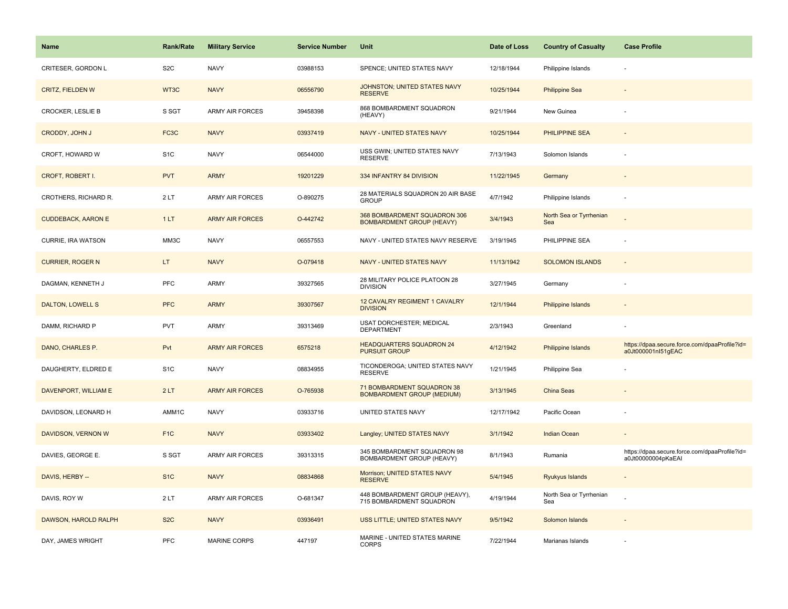| <b>Name</b>               | <b>Rank/Rate</b>  | <b>Military Service</b> | <b>Service Number</b> | Unit                                                             | Date of Loss | <b>Country of Casualty</b>     | <b>Case Profile</b>                                                 |
|---------------------------|-------------------|-------------------------|-----------------------|------------------------------------------------------------------|--------------|--------------------------------|---------------------------------------------------------------------|
| CRITESER, GORDON L        | S <sub>2</sub> C  | <b>NAVY</b>             | 03988153              | SPENCE; UNITED STATES NAVY                                       | 12/18/1944   | Philippine Islands             |                                                                     |
| <b>CRITZ, FIELDEN W</b>   | WT3C              | <b>NAVY</b>             | 06556790              | JOHNSTON; UNITED STATES NAVY<br><b>RESERVE</b>                   | 10/25/1944   | <b>Philippine Sea</b>          |                                                                     |
| CROCKER, LESLIE B         | S SGT             | <b>ARMY AIR FORCES</b>  | 39458398              | 868 BOMBARDMENT SQUADRON<br>(HEAVY)                              | 9/21/1944    | New Guinea                     |                                                                     |
| CRODDY, JOHN J            | FC <sub>3</sub> C | <b>NAVY</b>             | 03937419              | <b>NAVY - UNITED STATES NAVY</b>                                 | 10/25/1944   | <b>PHILIPPINE SEA</b>          |                                                                     |
| CROFT, HOWARD W           | S <sub>1</sub> C  | <b>NAVY</b>             | 06544000              | USS GWIN; UNITED STATES NAVY<br><b>RESERVE</b>                   | 7/13/1943    | Solomon Islands                |                                                                     |
| <b>CROFT, ROBERT I.</b>   | <b>PVT</b>        | <b>ARMY</b>             | 19201229              | 334 INFANTRY 84 DIVISION                                         | 11/22/1945   | Germany                        |                                                                     |
| CROTHERS, RICHARD R.      | 2LT               | ARMY AIR FORCES         | O-890275              | 28 MATERIALS SQUADRON 20 AIR BASE<br><b>GROUP</b>                | 4/7/1942     | Philippine Islands             |                                                                     |
| <b>CUDDEBACK, AARON E</b> | 1LT               | <b>ARMY AIR FORCES</b>  | O-442742              | 368 BOMBARDMENT SQUADRON 306<br><b>BOMBARDMENT GROUP (HEAVY)</b> | 3/4/1943     | North Sea or Tyrrhenian<br>Sea |                                                                     |
| CURRIE, IRA WATSON        | MM3C              | <b>NAVY</b>             | 06557553              | NAVY - UNITED STATES NAVY RESERVE                                | 3/19/1945    | PHILIPPINE SEA                 |                                                                     |
| <b>CURRIER, ROGER N</b>   | LT.               | <b>NAVY</b>             | O-079418              | <b>NAVY - UNITED STATES NAVY</b>                                 | 11/13/1942   | <b>SOLOMON ISLANDS</b>         |                                                                     |
| DAGMAN, KENNETH J         | PFC               | <b>ARMY</b>             | 39327565              | 28 MILITARY POLICE PLATOON 28<br><b>DIVISION</b>                 | 3/27/1945    | Germany                        |                                                                     |
| <b>DALTON, LOWELL S</b>   | <b>PFC</b>        | <b>ARMY</b>             | 39307567              | 12 CAVALRY REGIMENT 1 CAVALRY<br><b>DIVISION</b>                 | 12/1/1944    | Philippine Islands             |                                                                     |
| DAMM, RICHARD P           | <b>PVT</b>        | <b>ARMY</b>             | 39313469              | USAT DORCHESTER; MEDICAL<br><b>DEPARTMENT</b>                    | 2/3/1943     | Greenland                      |                                                                     |
| DANO, CHARLES P.          | Pvt               | <b>ARMY AIR FORCES</b>  | 6575218               | <b>HEADQUARTERS SQUADRON 24</b><br><b>PURSUIT GROUP</b>          | 4/12/1942    | Philippine Islands             | https://dpaa.secure.force.com/dpaaProfile?id=<br>a0Jt000001nl51gEAC |
| DAUGHERTY, ELDRED E       | S <sub>1</sub> C  | <b>NAVY</b>             | 08834955              | TICONDEROGA; UNITED STATES NAVY<br><b>RESERVE</b>                | 1/21/1945    | Philippine Sea                 |                                                                     |
| DAVENPORT, WILLIAM E      | 2LT               | <b>ARMY AIR FORCES</b>  | O-765938              | 71 BOMBARDMENT SQUADRON 38<br><b>BOMBARDMENT GROUP (MEDIUM)</b>  | 3/13/1945    | China Seas                     |                                                                     |
| DAVIDSON, LEONARD H       | AMM1C             | <b>NAVY</b>             | 03933716              | UNITED STATES NAVY                                               | 12/17/1942   | Pacific Ocean                  |                                                                     |
| DAVIDSON, VERNON W        | F <sub>1</sub> C  | <b>NAVY</b>             | 03933402              | Langley; UNITED STATES NAVY                                      | 3/1/1942     | Indian Ocean                   |                                                                     |
| DAVIES, GEORGE E.         | S SGT             | ARMY AIR FORCES         | 39313315              | 345 BOMBARDMENT SQUADRON 98<br>BOMBARDMENT GROUP (HEAVY)         | 8/1/1943     | Rumania                        | https://dpaa.secure.force.com/dpaaProfile?id=<br>a0Jt00000004pKaEAI |
| DAVIS, HERBY --           | S <sub>1C</sub>   | <b>NAVY</b>             | 08834868              | Morrison; UNITED STATES NAVY<br><b>RESERVE</b>                   | 5/4/1945     | Ryukyus Islands                |                                                                     |
| DAVIS, ROY W              | 2LT               | <b>ARMY AIR FORCES</b>  | O-681347              | 448 BOMBARDMENT GROUP (HEAVY),<br>715 BOMBARDMENT SQUADRON       | 4/19/1944    | North Sea or Tyrrhenian<br>Sea |                                                                     |
| DAWSON, HAROLD RALPH      | S <sub>2</sub> C  | <b>NAVY</b>             | 03936491              | USS LITTLE; UNITED STATES NAVY                                   | 9/5/1942     | Solomon Islands                |                                                                     |
| DAY, JAMES WRIGHT         | PFC               | MARINE CORPS            | 447197                | MARINE - UNITED STATES MARINE<br><b>CORPS</b>                    | 7/22/1944    | Marianas Islands               |                                                                     |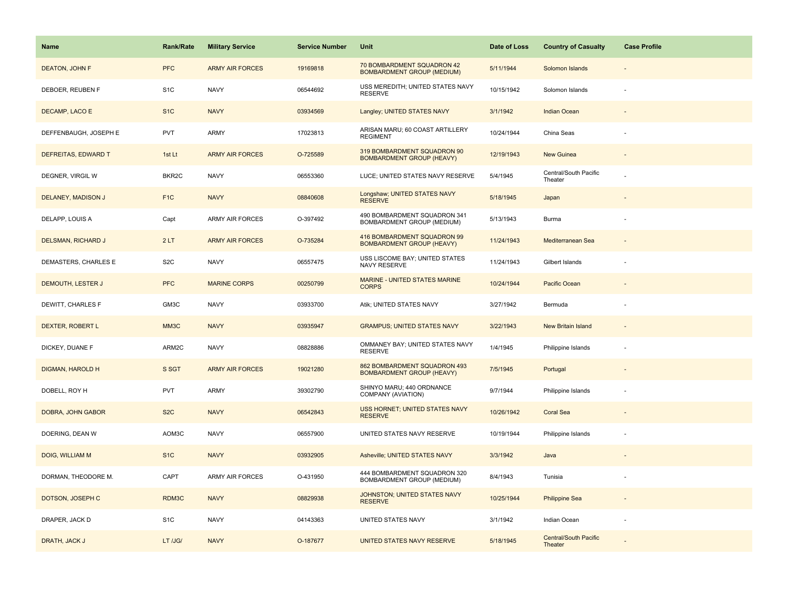| Name                      | <b>Rank/Rate</b>   | <b>Military Service</b> | <b>Service Number</b> | Unit                                                             | Date of Loss | <b>Country of Casualty</b>              | <b>Case Profile</b> |
|---------------------------|--------------------|-------------------------|-----------------------|------------------------------------------------------------------|--------------|-----------------------------------------|---------------------|
| <b>DEATON, JOHN F</b>     | <b>PFC</b>         | <b>ARMY AIR FORCES</b>  | 19169818              | 70 BOMBARDMENT SQUADRON 42<br><b>BOMBARDMENT GROUP (MEDIUM)</b>  | 5/11/1944    | Solomon Islands                         |                     |
| DEBOER, REUBEN F          | S <sub>1</sub> C   | <b>NAVY</b>             | 06544692              | USS MEREDITH; UNITED STATES NAVY<br><b>RESERVE</b>               | 10/15/1942   | Solomon Islands                         |                     |
| DECAMP, LACO E            | S <sub>1</sub> C   | <b>NAVY</b>             | 03934569              | Langley; UNITED STATES NAVY                                      | 3/1/1942     | <b>Indian Ocean</b>                     |                     |
| DEFFENBAUGH, JOSEPH E     | <b>PVT</b>         | ARMY                    | 17023813              | ARISAN MARU; 60 COAST ARTILLERY<br><b>REGIMENT</b>               | 10/24/1944   | China Seas                              |                     |
| DEFREITAS, EDWARD T       | 1st Lt             | <b>ARMY AIR FORCES</b>  | O-725589              | 319 BOMBARDMENT SQUADRON 90<br><b>BOMBARDMENT GROUP (HEAVY)</b>  | 12/19/1943   | New Guinea                              |                     |
| DEGNER, VIRGIL W          | BKR <sub>2</sub> C | <b>NAVY</b>             | 06553360              | LUCE; UNITED STATES NAVY RESERVE                                 | 5/4/1945     | Central/South Pacific<br>Theater        |                     |
| DELANEY, MADISON J        | F <sub>1</sub> C   | <b>NAVY</b>             | 08840608              | Longshaw; UNITED STATES NAVY<br><b>RESERVE</b>                   | 5/18/1945    | Japan                                   |                     |
| DELAPP, LOUIS A           | Capt               | <b>ARMY AIR FORCES</b>  | O-397492              | 490 BOMBARDMENT SQUADRON 341<br>BOMBARDMENT GROUP (MEDIUM)       | 5/13/1943    | Burma                                   |                     |
| <b>DELSMAN, RICHARD J</b> | 2LT                | <b>ARMY AIR FORCES</b>  | O-735284              | 416 BOMBARDMENT SQUADRON 99<br><b>BOMBARDMENT GROUP (HEAVY)</b>  | 11/24/1943   | Mediterranean Sea                       |                     |
| DEMASTERS, CHARLES E      | S <sub>2</sub> C   | <b>NAVY</b>             | 06557475              | USS LISCOME BAY; UNITED STATES<br>NAVY RESERVE                   | 11/24/1943   | Gilbert Islands                         |                     |
| <b>DEMOUTH, LESTER J</b>  | <b>PFC</b>         | <b>MARINE CORPS</b>     | 00250799              | MARINE - UNITED STATES MARINE<br><b>CORPS</b>                    | 10/24/1944   | Pacific Ocean                           |                     |
| DEWITT, CHARLES F         | GM3C               | <b>NAVY</b>             | 03933700              | Atik; UNITED STATES NAVY                                         | 3/27/1942    | Bermuda                                 |                     |
| <b>DEXTER, ROBERT L</b>   | MM3C               | <b>NAVY</b>             | 03935947              | <b>GRAMPUS; UNITED STATES NAVY</b>                               | 3/22/1943    | <b>New Britain Island</b>               |                     |
| DICKEY, DUANE F           | ARM2C              | <b>NAVY</b>             | 08828886              | OMMANEY BAY; UNITED STATES NAVY<br><b>RESERVE</b>                | 1/4/1945     | Philippine Islands                      |                     |
| <b>DIGMAN, HAROLD H</b>   | S SGT              | <b>ARMY AIR FORCES</b>  | 19021280              | 862 BOMBARDMENT SQUADRON 493<br><b>BOMBARDMENT GROUP (HEAVY)</b> | 7/5/1945     | Portugal                                |                     |
| DOBELL, ROY H             | <b>PVT</b>         | <b>ARMY</b>             | 39302790              | SHINYO MARU; 440 ORDNANCE<br>COMPANY (AVIATION)                  | 9/7/1944     | Philippine Islands                      |                     |
| DOBRA, JOHN GABOR         | S <sub>2</sub> C   | <b>NAVY</b>             | 06542843              | USS HORNET; UNITED STATES NAVY<br><b>RESERVE</b>                 | 10/26/1942   | <b>Coral Sea</b>                        |                     |
| DOERING, DEAN W           | AOM3C              | <b>NAVY</b>             | 06557900              | UNITED STATES NAVY RESERVE                                       | 10/19/1944   | Philippine Islands                      |                     |
| DOIG, WILLIAM M           | S <sub>1C</sub>    | <b>NAVY</b>             | 03932905              | Asheville; UNITED STATES NAVY                                    | 3/3/1942     | Java                                    |                     |
| DORMAN, THEODORE M.       | CAPT               | ARMY AIR FORCES         | O-431950              | 444 BOMBARDMENT SQUADRON 320<br>BOMBARDMENT GROUP (MEDIUM)       | 8/4/1943     | Tunisia                                 |                     |
| DOTSON, JOSEPH C          | RDM3C              | <b>NAVY</b>             | 08829938              | JOHNSTON; UNITED STATES NAVY<br><b>RESERVE</b>                   | 10/25/1944   | <b>Philippine Sea</b>                   |                     |
| DRAPER, JACK D            | S <sub>1</sub> C   | <b>NAVY</b>             | 04143363              | UNITED STATES NAVY                                               | 3/1/1942     | Indian Ocean                            |                     |
| DRATH, JACK J             | LT /JG/            | <b>NAVY</b>             | O-187677              | UNITED STATES NAVY RESERVE                                       | 5/18/1945    | <b>Central/South Pacific</b><br>Theater |                     |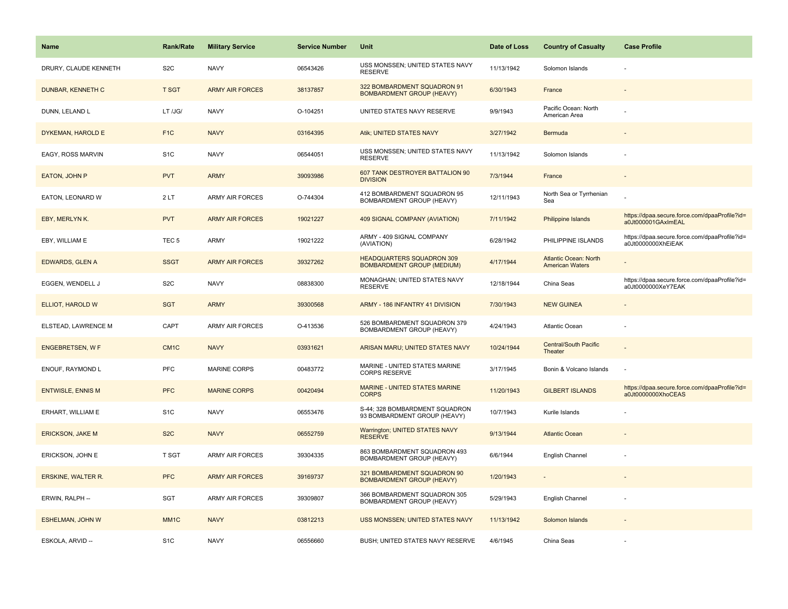| <b>Name</b>               | <b>Rank/Rate</b>  | <b>Military Service</b> | <b>Service Number</b> | Unit                                                                  | Date of Loss | <b>Country of Casualty</b>                      | <b>Case Profile</b>                                                 |
|---------------------------|-------------------|-------------------------|-----------------------|-----------------------------------------------------------------------|--------------|-------------------------------------------------|---------------------------------------------------------------------|
| DRURY, CLAUDE KENNETH     | S <sub>2</sub> C  | <b>NAVY</b>             | 06543426              | USS MONSSEN; UNITED STATES NAVY<br><b>RESERVE</b>                     | 11/13/1942   | Solomon Islands                                 |                                                                     |
| <b>DUNBAR, KENNETH C</b>  | <b>T SGT</b>      | <b>ARMY AIR FORCES</b>  | 38137857              | 322 BOMBARDMENT SQUADRON 91<br><b>BOMBARDMENT GROUP (HEAVY)</b>       | 6/30/1943    | France                                          |                                                                     |
| DUNN. LELAND L            | LT /JG/           | <b>NAVY</b>             | O-104251              | UNITED STATES NAVY RESERVE                                            | 9/9/1943     | Pacific Ocean: North<br>American Area           |                                                                     |
| DYKEMAN, HAROLD E         | F <sub>1</sub> C  | <b>NAVY</b>             | 03164395              | Atik; UNITED STATES NAVY                                              | 3/27/1942    | Bermuda                                         |                                                                     |
| EAGY, ROSS MARVIN         | S <sub>1</sub> C  | <b>NAVY</b>             | 06544051              | USS MONSSEN; UNITED STATES NAVY<br><b>RESERVE</b>                     | 11/13/1942   | Solomon Islands                                 |                                                                     |
| EATON, JOHN P             | <b>PVT</b>        | <b>ARMY</b>             | 39093986              | 607 TANK DESTROYER BATTALION 90<br><b>DIVISION</b>                    | 7/3/1944     | France                                          |                                                                     |
| EATON, LEONARD W          | 2LT               | <b>ARMY AIR FORCES</b>  | O-744304              | 412 BOMBARDMENT SQUADRON 95<br>BOMBARDMENT GROUP (HEAVY)              | 12/11/1943   | North Sea or Tyrrhenian<br>Sea                  |                                                                     |
| EBY, MERLYNK.             | <b>PVT</b>        | <b>ARMY AIR FORCES</b>  | 19021227              | 409 SIGNAL COMPANY (AVIATION)                                         | 7/11/1942    | <b>Philippine Islands</b>                       | https://dpaa.secure.force.com/dpaaProfile?id=<br>a0Jt000001GAxImEAL |
| EBY, WILLIAM E            | TEC <sub>5</sub>  | <b>ARMY</b>             | 19021222              | ARMY - 409 SIGNAL COMPANY<br>(AVIATION)                               | 6/28/1942    | PHILIPPINE ISLANDS                              | https://dpaa.secure.force.com/dpaaProfile?id=<br>a0Jt0000000XhEiEAK |
| <b>EDWARDS, GLEN A</b>    | <b>SSGT</b>       | <b>ARMY AIR FORCES</b>  | 39327262              | <b>HEADQUARTERS SQUADRON 309</b><br><b>BOMBARDMENT GROUP (MEDIUM)</b> | 4/17/1944    | Atlantic Ocean: North<br><b>American Waters</b> |                                                                     |
| EGGEN, WENDELL J          | S <sub>2</sub> C  | <b>NAVY</b>             | 08838300              | MONAGHAN; UNITED STATES NAVY<br><b>RESERVE</b>                        | 12/18/1944   | China Seas                                      | https://dpaa.secure.force.com/dpaaProfile?id=<br>a0Jt0000000XeY7EAK |
| ELLIOT, HAROLD W          | <b>SGT</b>        | <b>ARMY</b>             | 39300568              | ARMY - 186 INFANTRY 41 DIVISION                                       | 7/30/1943    | <b>NEW GUINEA</b>                               |                                                                     |
| ELSTEAD, LAWRENCE M       | CAPT              | <b>ARMY AIR FORCES</b>  | O-413536              | 526 BOMBARDMENT SQUADRON 379<br>BOMBARDMENT GROUP (HEAVY)             | 4/24/1943    | Atlantic Ocean                                  |                                                                     |
| <b>ENGEBRETSEN, W F</b>   | CM <sub>1</sub> C | <b>NAVY</b>             | 03931621              | ARISAN MARU; UNITED STATES NAVY                                       | 10/24/1944   | <b>Central/South Pacific</b><br>Theater         |                                                                     |
| ENOUF, RAYMOND L          | <b>PFC</b>        | <b>MARINE CORPS</b>     | 00483772              | MARINE - UNITED STATES MARINE<br><b>CORPS RESERVE</b>                 | 3/17/1945    | Bonin & Volcano Islands                         | ÷.                                                                  |
| <b>ENTWISLE, ENNIS M</b>  | <b>PFC</b>        | <b>MARINE CORPS</b>     | 00420494              | MARINE - UNITED STATES MARINE<br><b>CORPS</b>                         | 11/20/1943   | <b>GILBERT ISLANDS</b>                          | https://dpaa.secure.force.com/dpaaProfile?id=<br>a0Jt0000000XhoCEAS |
| ERHART, WILLIAM E         | S <sub>1</sub> C  | <b>NAVY</b>             | 06553476              | S-44; 328 BOMBARDMENT SQUADRON<br>93 BOMBARDMENT GROUP (HEAVY)        | 10/7/1943    | Kurile Islands                                  |                                                                     |
| <b>ERICKSON, JAKE M</b>   | S <sub>2</sub> C  | <b>NAVY</b>             | 06552759              | <b>Warrington; UNITED STATES NAVY</b><br><b>RESERVE</b>               | 9/13/1944    | <b>Atlantic Ocean</b>                           |                                                                     |
| ERICKSON, JOHN E          | <b>T SGT</b>      | ARMY AIR FORCES         | 39304335              | 863 BOMBARDMENT SQUADRON 493<br>BOMBARDMENT GROUP (HEAVY)             | 6/6/1944     | English Channel                                 |                                                                     |
| <b>ERSKINE, WALTER R.</b> | <b>PFC</b>        | <b>ARMY AIR FORCES</b>  | 39169737              | 321 BOMBARDMENT SQUADRON 90<br><b>BOMBARDMENT GROUP (HEAVY)</b>       | 1/20/1943    | $\sim$                                          |                                                                     |
| ERWIN, RALPH --           | <b>SGT</b>        | <b>ARMY AIR FORCES</b>  | 39309807              | 366 BOMBARDMENT SQUADRON 305<br>BOMBARDMENT GROUP (HEAVY)             | 5/29/1943    | English Channel                                 |                                                                     |
| <b>ESHELMAN, JOHN W</b>   | MM <sub>1</sub> C | <b>NAVY</b>             | 03812213              | USS MONSSEN; UNITED STATES NAVY                                       | 11/13/1942   | Solomon Islands                                 |                                                                     |
| ESKOLA, ARVID --          | S <sub>1</sub> C  | <b>NAVY</b>             | 06556660              | BUSH; UNITED STATES NAVY RESERVE                                      | 4/6/1945     | China Seas                                      |                                                                     |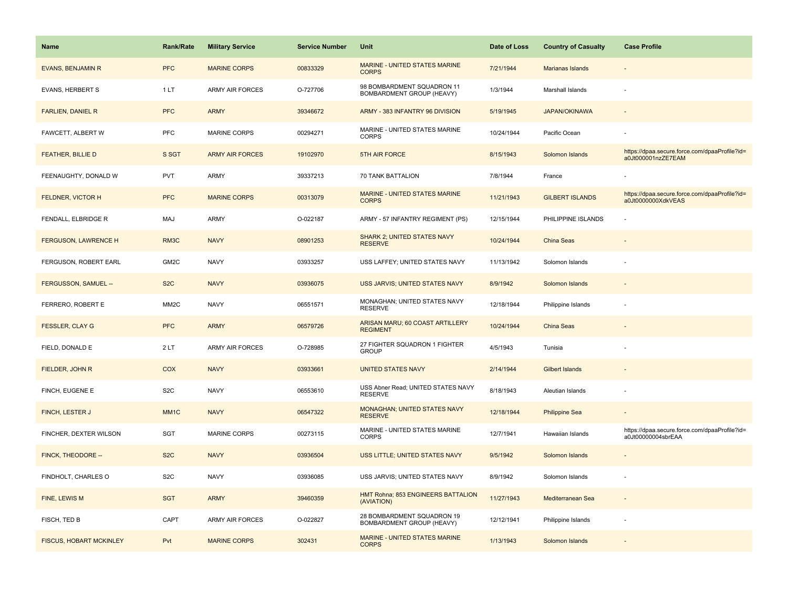| <b>Name</b>                 | <b>Rank/Rate</b>  | <b>Military Service</b> | <b>Service Number</b> | Unit                                                    | Date of Loss | <b>Country of Casualty</b> | <b>Case Profile</b>                                                 |
|-----------------------------|-------------------|-------------------------|-----------------------|---------------------------------------------------------|--------------|----------------------------|---------------------------------------------------------------------|
| <b>EVANS, BENJAMIN R</b>    | <b>PFC</b>        | <b>MARINE CORPS</b>     | 00833329              | MARINE - UNITED STATES MARINE<br><b>CORPS</b>           | 7/21/1944    | Marianas Islands           |                                                                     |
| <b>EVANS, HERBERT S</b>     | 1 LT              | <b>ARMY AIR FORCES</b>  | O-727706              | 98 BOMBARDMENT SQUADRON 11<br>BOMBARDMENT GROUP (HEAVY) | 1/3/1944     | Marshall Islands           |                                                                     |
| <b>FARLIEN, DANIEL R</b>    | <b>PFC</b>        | <b>ARMY</b>             | 39346672              | ARMY - 383 INFANTRY 96 DIVISION                         | 5/19/1945    | <b>JAPAN/OKINAWA</b>       |                                                                     |
| FAWCETT, ALBERT W           | PFC               | <b>MARINE CORPS</b>     | 00294271              | MARINE - UNITED STATES MARINE<br><b>CORPS</b>           | 10/24/1944   | Pacific Ocean              |                                                                     |
| <b>FEATHER, BILLIE D</b>    | S SGT             | <b>ARMY AIR FORCES</b>  | 19102970              | 5TH AIR FORCE                                           | 8/15/1943    | Solomon Islands            | https://dpaa.secure.force.com/dpaaProfile?id=<br>a0Jt000001nzZE7EAM |
| FEENAUGHTY, DONALD W        | <b>PVT</b>        | ARMY                    | 39337213              | 70 TANK BATTALION                                       | 7/8/1944     | France                     |                                                                     |
| FELDNER, VICTOR H           | <b>PFC</b>        | <b>MARINE CORPS</b>     | 00313079              | <b>MARINE - UNITED STATES MARINE</b><br><b>CORPS</b>    | 11/21/1943   | <b>GILBERT ISLANDS</b>     | https://dpaa.secure.force.com/dpaaProfile?id=<br>a0Jt0000000XdkVEAS |
| FENDALL, ELBRIDGE R         | MAJ               | ARMY                    | O-022187              | ARMY - 57 INFANTRY REGIMENT (PS)                        | 12/15/1944   | PHILIPPINE ISLANDS         |                                                                     |
| <b>FERGUSON, LAWRENCE H</b> | RM3C              | <b>NAVY</b>             | 08901253              | <b>SHARK 2; UNITED STATES NAVY</b><br><b>RESERVE</b>    | 10/24/1944   | <b>China Seas</b>          |                                                                     |
| FERGUSON, ROBERT EARL       | GM2C              | <b>NAVY</b>             | 03933257              | USS LAFFEY; UNITED STATES NAVY                          | 11/13/1942   | Solomon Islands            |                                                                     |
| FERGUSSON, SAMUEL --        | S <sub>2</sub> C  | <b>NAVY</b>             | 03936075              | USS JARVIS; UNITED STATES NAVY                          | 8/9/1942     | Solomon Islands            |                                                                     |
| FERRERO, ROBERT E           | MM <sub>2</sub> C | <b>NAVY</b>             | 06551571              | MONAGHAN; UNITED STATES NAVY<br><b>RESERVE</b>          | 12/18/1944   | Philippine Islands         |                                                                     |
| <b>FESSLER, CLAY G</b>      | <b>PFC</b>        | <b>ARMY</b>             | 06579726              | ARISAN MARU; 60 COAST ARTILLERY<br><b>REGIMENT</b>      | 10/24/1944   | <b>China Seas</b>          |                                                                     |
| FIELD, DONALD E             | 2LT               | ARMY AIR FORCES         | O-728985              | 27 FIGHTER SQUADRON 1 FIGHTER<br><b>GROUP</b>           | 4/5/1943     | Tunisia                    |                                                                     |
| FIELDER, JOHN R             | COX               | <b>NAVY</b>             | 03933661              | <b>UNITED STATES NAVY</b>                               | 2/14/1944    | <b>Gilbert Islands</b>     |                                                                     |
| FINCH, EUGENE E             | S <sub>2</sub> C  | <b>NAVY</b>             | 06553610              | USS Abner Read; UNITED STATES NAVY<br><b>RESERVE</b>    | 8/18/1943    | Aleutian Islands           |                                                                     |
| FINCH, LESTER J             | MM <sub>1</sub> C | <b>NAVY</b>             | 06547322              | MONAGHAN; UNITED STATES NAVY<br><b>RESERVE</b>          | 12/18/1944   | <b>Philippine Sea</b>      |                                                                     |
| FINCHER, DEXTER WILSON      | SGT               | MARINE CORPS            | 00273115              | MARINE - UNITED STATES MARINE<br><b>CORPS</b>           | 12/7/1941    | Hawaiian Islands           | https://dpaa.secure.force.com/dpaaProfile?id=<br>a0Jt00000004sbrEAA |
| FINCK, THEODORE --          | S <sub>2</sub> C  | <b>NAVY</b>             | 03936504              | USS LITTLE; UNITED STATES NAVY                          | 9/5/1942     | Solomon Islands            |                                                                     |
| FINDHOLT, CHARLES O         | S <sub>2</sub> C  | <b>NAVY</b>             | 03936085              | USS JARVIS; UNITED STATES NAVY                          | 8/9/1942     | Solomon Islands            |                                                                     |
| FINE, LEWIS M               | <b>SGT</b>        | <b>ARMY</b>             | 39460359              | HMT Rohna; 853 ENGINEERS BATTALION<br>(AVIATION)        | 11/27/1943   | Mediterranean Sea          |                                                                     |
| FISCH, TED B                | CAPT              | <b>ARMY AIR FORCES</b>  | O-022827              | 28 BOMBARDMENT SQUADRON 19<br>BOMBARDMENT GROUP (HEAVY) | 12/12/1941   | Philippine Islands         |                                                                     |
| FISCUS, HOBART MCKINLEY     | Pvt               | <b>MARINE CORPS</b>     | 302431                | MARINE - UNITED STATES MARINE<br><b>CORPS</b>           | 1/13/1943    | Solomon Islands            |                                                                     |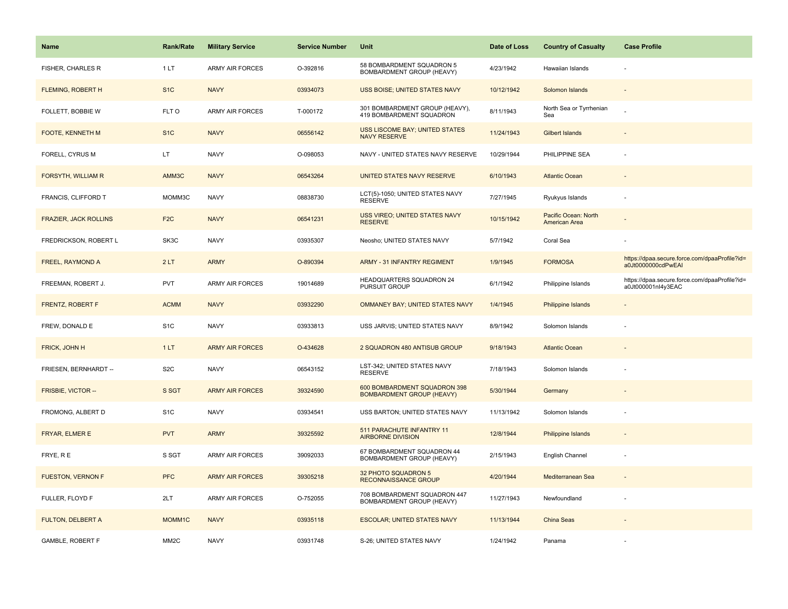| <b>Name</b>                  | <b>Rank/Rate</b>  | <b>Military Service</b> | <b>Service Number</b> | Unit                                                             | Date of Loss | <b>Country of Casualty</b>            | <b>Case Profile</b>                                                 |
|------------------------------|-------------------|-------------------------|-----------------------|------------------------------------------------------------------|--------------|---------------------------------------|---------------------------------------------------------------------|
| FISHER, CHARLES R            | 1LT               | <b>ARMY AIR FORCES</b>  | O-392816              | 58 BOMBARDMENT SQUADRON 5<br>BOMBARDMENT GROUP (HEAVY)           | 4/23/1942    | Hawaiian Islands                      |                                                                     |
| <b>FLEMING, ROBERT H</b>     | S <sub>1</sub> C  | <b>NAVY</b>             | 03934073              | <b>USS BOISE; UNITED STATES NAVY</b>                             | 10/12/1942   | Solomon Islands                       |                                                                     |
| FOLLETT, BOBBIE W            | FLT O             | <b>ARMY AIR FORCES</b>  | T-000172              | 301 BOMBARDMENT GROUP (HEAVY),<br>419 BOMBARDMENT SQUADRON       | 8/11/1943    | North Sea or Tyrrhenian<br>Sea        |                                                                     |
| FOOTE, KENNETH M             | S <sub>1</sub> C  | <b>NAVY</b>             | 06556142              | USS LISCOME BAY; UNITED STATES<br><b>NAVY RESERVE</b>            | 11/24/1943   | <b>Gilbert Islands</b>                |                                                                     |
| FORELL, CYRUS M              | LT.               | <b>NAVY</b>             | O-098053              | NAVY - UNITED STATES NAVY RESERVE                                | 10/29/1944   | PHILIPPINE SEA                        |                                                                     |
| <b>FORSYTH, WILLIAM R</b>    | AMM3C             | <b>NAVY</b>             | 06543264              | UNITED STATES NAVY RESERVE                                       | 6/10/1943    | <b>Atlantic Ocean</b>                 |                                                                     |
| FRANCIS, CLIFFORD T          | MOMM3C            | <b>NAVY</b>             | 08838730              | LCT(5)-1050; UNITED STATES NAVY<br><b>RESERVE</b>                | 7/27/1945    | Ryukyus Islands                       |                                                                     |
| <b>FRAZIER, JACK ROLLINS</b> | F <sub>2C</sub>   | <b>NAVY</b>             | 06541231              | USS VIREO; UNITED STATES NAVY<br><b>RESERVE</b>                  | 10/15/1942   | Pacific Ocean: North<br>American Area |                                                                     |
| FREDRICKSON, ROBERT L        | SK3C              | <b>NAVY</b>             | 03935307              | Neosho; UNITED STATES NAVY                                       | 5/7/1942     | Coral Sea                             |                                                                     |
| FREEL, RAYMOND A             | 2LT               | <b>ARMY</b>             | O-890394              | <b>ARMY - 31 INFANTRY REGIMENT</b>                               | 1/9/1945     | <b>FORMOSA</b>                        | https://dpaa.secure.force.com/dpaaProfile?id=<br>a0Jt0000000cdPwEAI |
| FREEMAN, ROBERT J.           | <b>PVT</b>        | <b>ARMY AIR FORCES</b>  | 19014689              | HEADQUARTERS SQUADRON 24<br><b>PURSUIT GROUP</b>                 | 6/1/1942     | Philippine Islands                    | https://dpaa.secure.force.com/dpaaProfile?id=<br>a0Jt000001nl4y3EAC |
| FRENTZ, ROBERT F             | <b>ACMM</b>       | <b>NAVY</b>             | 03932290              | OMMANEY BAY; UNITED STATES NAVY                                  | 1/4/1945     | Philippine Islands                    |                                                                     |
| FREW, DONALD E               | S <sub>1</sub> C  | <b>NAVY</b>             | 03933813              | USS JARVIS; UNITED STATES NAVY                                   | 8/9/1942     | Solomon Islands                       |                                                                     |
| FRICK, JOHN H                | 1LT               | <b>ARMY AIR FORCES</b>  | O-434628              | 2 SQUADRON 480 ANTISUB GROUP                                     | 9/18/1943    | <b>Atlantic Ocean</b>                 |                                                                     |
| FRIESEN, BERNHARDT --        | S <sub>2</sub> C  | <b>NAVY</b>             | 06543152              | LST-342; UNITED STATES NAVY<br><b>RESERVE</b>                    | 7/18/1943    | Solomon Islands                       |                                                                     |
| FRISBIE, VICTOR --           | S SGT             | <b>ARMY AIR FORCES</b>  | 39324590              | 600 BOMBARDMENT SQUADRON 398<br><b>BOMBARDMENT GROUP (HEAVY)</b> | 5/30/1944    | Germany                               |                                                                     |
| FROMONG, ALBERT D            | S <sub>1</sub> C  | <b>NAVY</b>             | 03934541              | USS BARTON; UNITED STATES NAVY                                   | 11/13/1942   | Solomon Islands                       |                                                                     |
| FRYAR, ELMER E               | <b>PVT</b>        | <b>ARMY</b>             | 39325592              | 511 PARACHUTE INFANTRY 11<br><b>AIRBORNE DIVISION</b>            | 12/8/1944    | <b>Philippine Islands</b>             |                                                                     |
| FRYE, RE                     | S SGT             | ARMY AIR FORCES         | 39092033              | 67 BOMBARDMENT SQUADRON 44<br>BOMBARDMENT GROUP (HEAVY)          | 2/15/1943    | English Channel                       |                                                                     |
| <b>FUESTON, VERNON F</b>     | <b>PFC</b>        | <b>ARMY AIR FORCES</b>  | 39305218              | 32 PHOTO SQUADRON 5<br>RECONNAISSANCE GROUP                      | 4/20/1944    | Mediterranean Sea                     |                                                                     |
| FULLER, FLOYD F              | 2LT               | <b>ARMY AIR FORCES</b>  | O-752055              | 708 BOMBARDMENT SQUADRON 447<br>BOMBARDMENT GROUP (HEAVY)        | 11/27/1943   | Newfoundland                          |                                                                     |
| <b>FULTON, DELBERT A</b>     | MOMM1C            | <b>NAVY</b>             | 03935118              | <b>ESCOLAR; UNITED STATES NAVY</b>                               | 11/13/1944   | China Seas                            |                                                                     |
| <b>GAMBLE, ROBERT F</b>      | MM <sub>2</sub> C | <b>NAVY</b>             | 03931748              | S-26; UNITED STATES NAVY                                         | 1/24/1942    | Panama                                |                                                                     |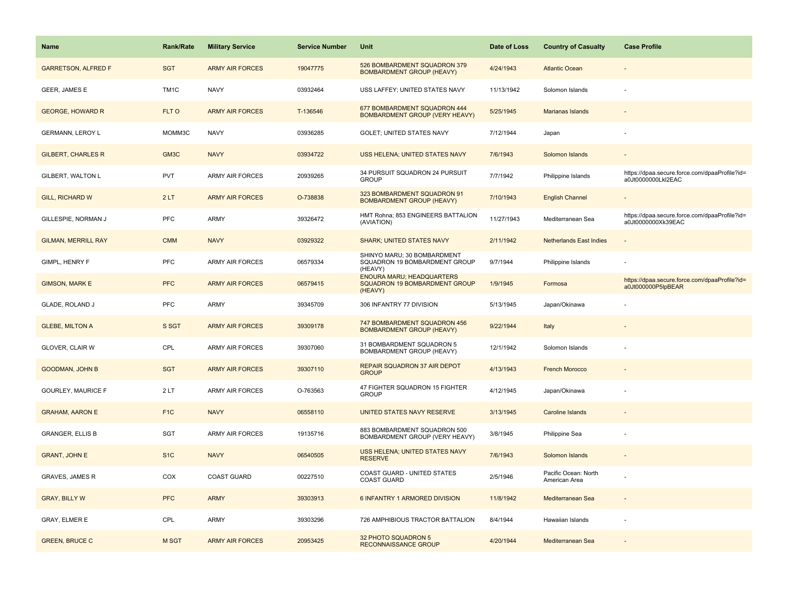| <b>Name</b>                | <b>Rank/Rate</b>  | <b>Military Service</b> | <b>Service Number</b> | Unit                                                                         | Date of Loss | <b>Country of Casualty</b>            | <b>Case Profile</b>                                                 |
|----------------------------|-------------------|-------------------------|-----------------------|------------------------------------------------------------------------------|--------------|---------------------------------------|---------------------------------------------------------------------|
| <b>GARRETSON, ALFRED F</b> | <b>SGT</b>        | <b>ARMY AIR FORCES</b>  | 19047775              | 526 BOMBARDMENT SQUADRON 379<br><b>BOMBARDMENT GROUP (HEAVY)</b>             | 4/24/1943    | <b>Atlantic Ocean</b>                 |                                                                     |
| GEER, JAMES E              | TM <sub>1</sub> C | <b>NAVY</b>             | 03932464              | USS LAFFEY; UNITED STATES NAVY                                               | 11/13/1942   | Solomon Islands                       |                                                                     |
| <b>GEORGE, HOWARD R</b>    | FLT O             | <b>ARMY AIR FORCES</b>  | T-136546              | 677 BOMBARDMENT SQUADRON 444<br>BOMBARDMENT GROUP (VERY HEAVY)               | 5/25/1945    | <b>Marianas Islands</b>               |                                                                     |
| <b>GERMANN, LEROY L</b>    | MOMM3C            | <b>NAVY</b>             | 03936285              | GOLET; UNITED STATES NAVY                                                    | 7/12/1944    | Japan                                 |                                                                     |
| <b>GILBERT, CHARLES R</b>  | GM <sub>3</sub> C | <b>NAVY</b>             | 03934722              | <b>USS HELENA; UNITED STATES NAVY</b>                                        | 7/6/1943     | Solomon Islands                       |                                                                     |
| GILBERT, WALTON L          | <b>PVT</b>        | <b>ARMY AIR FORCES</b>  | 20939265              | 34 PURSUIT SQUADRON 24 PURSUIT<br><b>GROUP</b>                               | 7/7/1942     | Philippine Islands                    | https://dpaa.secure.force.com/dpaaProfile?id=<br>a0Jt0000000Lkl2EAC |
| <b>GILL, RICHARD W</b>     | 2LT               | <b>ARMY AIR FORCES</b>  | O-738838              | 323 BOMBARDMENT SQUADRON 91<br><b>BOMBARDMENT GROUP (HEAVY)</b>              | 7/10/1943    | <b>English Channel</b>                |                                                                     |
| GILLESPIE, NORMAN J        | PFC               | <b>ARMY</b>             | 39326472              | HMT Rohna; 853 ENGINEERS BATTALION<br>(AVIATION)                             | 11/27/1943   | Mediterranean Sea                     | https://dpaa.secure.force.com/dpaaProfile?id=<br>a0Jt0000000Xk39EAC |
| <b>GILMAN, MERRILL RAY</b> | <b>CMM</b>        | <b>NAVY</b>             | 03929322              | <b>SHARK; UNITED STATES NAVY</b>                                             | 2/11/1942    | <b>Netherlands East Indies</b>        |                                                                     |
| GIMPL, HENRY F             | PFC               | ARMY AIR FORCES         | 06579334              | SHINYO MARU; 30 BOMBARDMENT<br>SQUADRON 19 BOMBARDMENT GROUP<br>(HEAVY)      | 9/7/1944     | Philippine Islands                    |                                                                     |
| <b>GIMSON, MARK E</b>      | <b>PFC</b>        | <b>ARMY AIR FORCES</b>  | 06579415              | <b>ENOURA MARU; HEADQUARTERS</b><br>SQUADRON 19 BOMBARDMENT GROUP<br>(HEAVY) | 1/9/1945     | Formosa                               | https://dpaa.secure.force.com/dpaaProfile?id=<br>a0Jt000000P5lpBEAR |
| GLADE, ROLAND J            | PFC               | <b>ARMY</b>             | 39345709              | 306 INFANTRY 77 DIVISION                                                     | 5/13/1945    | Japan/Okinawa                         |                                                                     |
| <b>GLEBE, MILTON A</b>     | S SGT             | <b>ARMY AIR FORCES</b>  | 39309178              | 747 BOMBARDMENT SQUADRON 456<br><b>BOMBARDMENT GROUP (HEAVY)</b>             | 9/22/1944    | Italy                                 |                                                                     |
| GLOVER, CLAIR W            | CPL               | <b>ARMY AIR FORCES</b>  | 39307060              | 31 BOMBARDMENT SQUADRON 5<br>BOMBARDMENT GROUP (HEAVY)                       | 12/1/1942    | Solomon Islands                       |                                                                     |
| <b>GOODMAN, JOHN B</b>     | <b>SGT</b>        | <b>ARMY AIR FORCES</b>  | 39307110              | REPAIR SQUADRON 37 AIR DEPOT<br><b>GROUP</b>                                 | 4/13/1943    | <b>French Morocco</b>                 |                                                                     |
| <b>GOURLEY, MAURICE F</b>  | 2LT               | <b>ARMY AIR FORCES</b>  | O-763563              | 47 FIGHTER SQUADRON 15 FIGHTER<br><b>GROUP</b>                               | 4/12/1945    | Japan/Okinawa                         |                                                                     |
| <b>GRAHAM, AARON E</b>     | F <sub>1</sub> C  | <b>NAVY</b>             | 06558110              | UNITED STATES NAVY RESERVE                                                   | 3/13/1945    | <b>Caroline Islands</b>               |                                                                     |
| <b>GRANGER, ELLIS B</b>    | <b>SGT</b>        | <b>ARMY AIR FORCES</b>  | 19135716              | 883 BOMBARDMENT SQUADRON 500<br>BOMBARDMENT GROUP (VERY HEAVY)               | 3/8/1945     | Philippine Sea                        |                                                                     |
| <b>GRANT, JOHN E</b>       | S <sub>1</sub> C  | <b>NAVY</b>             | 06540505              | <b>USS HELENA; UNITED STATES NAVY</b><br><b>RESERVE</b>                      | 7/6/1943     | Solomon Islands                       |                                                                     |
| <b>GRAVES, JAMES R</b>     | COX               | <b>COAST GUARD</b>      | 00227510              | COAST GUARD - UNITED STATES<br><b>COAST GUARD</b>                            | 2/5/1946     | Pacific Ocean: North<br>American Area |                                                                     |
| <b>GRAY, BILLY W</b>       | <b>PFC</b>        | <b>ARMY</b>             | 39303913              | 6 INFANTRY 1 ARMORED DIVISION                                                | 11/8/1942    | Mediterranean Sea                     | $\overline{\phantom{a}}$                                            |
| <b>GRAY, ELMER E</b>       | CPL               | <b>ARMY</b>             | 39303296              | 726 AMPHIBIOUS TRACTOR BATTALION                                             | 8/4/1944     | Hawaiian Islands                      |                                                                     |
| <b>GREEN, BRUCE C</b>      | M SGT             | <b>ARMY AIR FORCES</b>  | 20953425              | 32 PHOTO SQUADRON 5<br><b>RECONNAISSANCE GROUP</b>                           | 4/20/1944    | Mediterranean Sea                     |                                                                     |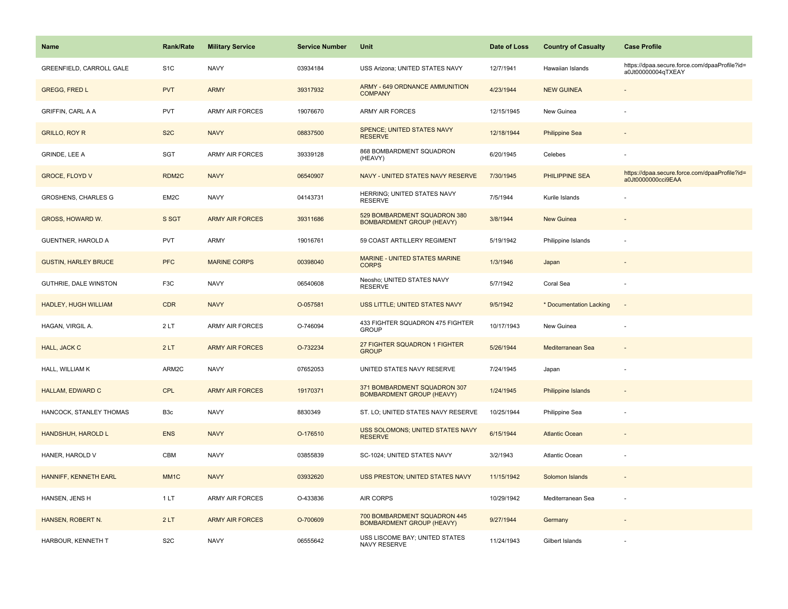| <b>Name</b>                     | <b>Rank/Rate</b> | <b>Military Service</b> | <b>Service Number</b> | Unit                                                             | Date of Loss | <b>Country of Casualty</b> | <b>Case Profile</b>                                                 |
|---------------------------------|------------------|-------------------------|-----------------------|------------------------------------------------------------------|--------------|----------------------------|---------------------------------------------------------------------|
| <b>GREENFIELD, CARROLL GALE</b> | S <sub>1</sub> C | <b>NAVY</b>             | 03934184              | USS Arizona; UNITED STATES NAVY                                  | 12/7/1941    | Hawaiian Islands           | https://dpaa.secure.force.com/dpaaProfile?id=<br>a0Jt00000004qTXEAY |
| <b>GREGG, FRED L</b>            | <b>PVT</b>       | <b>ARMY</b>             | 39317932              | ARMY - 649 ORDNANCE AMMUNITION<br><b>COMPANY</b>                 | 4/23/1944    | <b>NEW GUINEA</b>          |                                                                     |
| <b>GRIFFIN, CARL A A</b>        | <b>PVT</b>       | <b>ARMY AIR FORCES</b>  | 19076670              | <b>ARMY AIR FORCES</b>                                           | 12/15/1945   | New Guinea                 |                                                                     |
| <b>GRILLO, ROY R</b>            | S <sub>2</sub> C | <b>NAVY</b>             | 08837500              | <b>SPENCE; UNITED STATES NAVY</b><br><b>RESERVE</b>              | 12/18/1944   | <b>Philippine Sea</b>      |                                                                     |
| GRINDE, LEE A                   | SGT              | <b>ARMY AIR FORCES</b>  | 39339128              | 868 BOMBARDMENT SQUADRON<br>(HEAVY)                              | 6/20/1945    | Celebes                    |                                                                     |
| <b>GROCE, FLOYD V</b>           | RDM2C            | <b>NAVY</b>             | 06540907              | NAVY - UNITED STATES NAVY RESERVE                                | 7/30/1945    | <b>PHILIPPINE SEA</b>      | https://dpaa.secure.force.com/dpaaProfile?id=<br>a0Jt0000000cci9EAA |
| <b>GROSHENS, CHARLES G</b>      | EM2C             | <b>NAVY</b>             | 04143731              | HERRING; UNITED STATES NAVY<br><b>RESERVE</b>                    | 7/5/1944     | Kurile Islands             |                                                                     |
| GROSS, HOWARD W.                | S SGT            | <b>ARMY AIR FORCES</b>  | 39311686              | 529 BOMBARDMENT SQUADRON 380<br><b>BOMBARDMENT GROUP (HEAVY)</b> | 3/8/1944     | <b>New Guinea</b>          |                                                                     |
| GUENTNER, HAROLD A              | <b>PVT</b>       | ARMY                    | 19016761              | 59 COAST ARTILLERY REGIMENT                                      | 5/19/1942    | Philippine Islands         |                                                                     |
| <b>GUSTIN, HARLEY BRUCE</b>     | <b>PFC</b>       | <b>MARINE CORPS</b>     | 00398040              | <b>MARINE - UNITED STATES MARINE</b><br><b>CORPS</b>             | 1/3/1946     | Japan                      |                                                                     |
| GUTHRIE, DALE WINSTON           | F3C              | <b>NAVY</b>             | 06540608              | Neosho; UNITED STATES NAVY<br><b>RESERVE</b>                     | 5/7/1942     | Coral Sea                  |                                                                     |
| HADLEY, HUGH WILLIAM            | <b>CDR</b>       | <b>NAVY</b>             | O-057581              | USS LITTLE; UNITED STATES NAVY                                   | 9/5/1942     | * Documentation Lacking    | $\overline{\phantom{a}}$                                            |
| HAGAN, VIRGIL A.                | 2LT              | <b>ARMY AIR FORCES</b>  | O-746094              | 433 FIGHTER SQUADRON 475 FIGHTER<br><b>GROUP</b>                 | 10/17/1943   | New Guinea                 |                                                                     |
| <b>HALL, JACK C</b>             | 2LT              | <b>ARMY AIR FORCES</b>  | O-732234              | 27 FIGHTER SQUADRON 1 FIGHTER<br><b>GROUP</b>                    | 5/26/1944    | Mediterranean Sea          | $\overline{a}$                                                      |
| HALL, WILLIAM K                 | ARM2C            | <b>NAVY</b>             | 07652053              | UNITED STATES NAVY RESERVE                                       | 7/24/1945    | Japan                      |                                                                     |
| HALLAM, EDWARD C                | CPL              | <b>ARMY AIR FORCES</b>  | 19170371              | 371 BOMBARDMENT SQUADRON 307<br><b>BOMBARDMENT GROUP (HEAVY)</b> | 1/24/1945    | <b>Philippine Islands</b>  |                                                                     |
| HANCOCK, STANLEY THOMAS         | B <sub>3</sub> c | <b>NAVY</b>             | 8830349               | ST. LO; UNITED STATES NAVY RESERVE                               | 10/25/1944   | Philippine Sea             |                                                                     |
| HANDSHUH, HAROLD L              | <b>ENS</b>       | <b>NAVY</b>             | O-176510              | USS SOLOMONS; UNITED STATES NAVY<br><b>RESERVE</b>               | 6/15/1944    | <b>Atlantic Ocean</b>      |                                                                     |
| HANER, HAROLD V                 | <b>CBM</b>       | <b>NAVY</b>             | 03855839              | SC-1024; UNITED STATES NAVY                                      | 3/2/1943     | Atlantic Ocean             |                                                                     |
| HANNIFF, KENNETH EARL           | MM <sub>1C</sub> | <b>NAVY</b>             | 03932620              | USS PRESTON; UNITED STATES NAVY                                  | 11/15/1942   | Solomon Islands            |                                                                     |
| HANSEN, JENS H                  | 1LT              | <b>ARMY AIR FORCES</b>  | O-433836              | AIR CORPS                                                        | 10/29/1942   | Mediterranean Sea          | $\overline{\phantom{a}}$                                            |
| HANSEN, ROBERT N.               | 2LT              | <b>ARMY AIR FORCES</b>  | O-700609              | 700 BOMBARDMENT SQUADRON 445<br><b>BOMBARDMENT GROUP (HEAVY)</b> | 9/27/1944    | Germany                    |                                                                     |
| HARBOUR, KENNETH T              | S <sub>2</sub> C | <b>NAVY</b>             | 06555642              | USS LISCOME BAY; UNITED STATES<br>NAVY RESERVE                   | 11/24/1943   | Gilbert Islands            |                                                                     |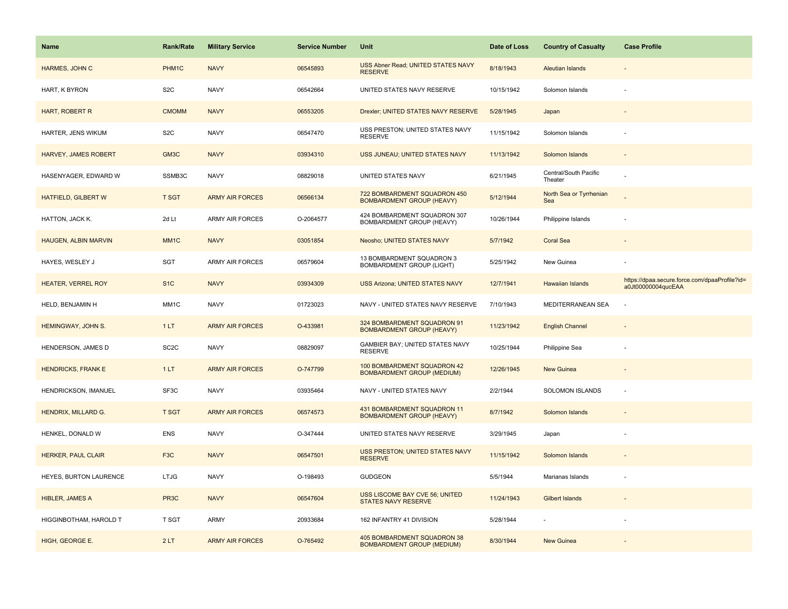| <b>Name</b>                 | <b>Rank/Rate</b>  | <b>Military Service</b> | <b>Service Number</b> | Unit                                                             | Date of Loss | <b>Country of Casualty</b>       | <b>Case Profile</b>                                                 |
|-----------------------------|-------------------|-------------------------|-----------------------|------------------------------------------------------------------|--------------|----------------------------------|---------------------------------------------------------------------|
| HARMES, JOHN C              | PHM1C             | <b>NAVY</b>             | 06545893              | USS Abner Read; UNITED STATES NAVY<br><b>RESERVE</b>             | 8/18/1943    | <b>Aleutian Islands</b>          |                                                                     |
| HART, K BYRON               | S <sub>2</sub> C  | <b>NAVY</b>             | 06542664              | UNITED STATES NAVY RESERVE                                       | 10/15/1942   | Solomon Islands                  |                                                                     |
| HART, ROBERT R              | <b>CMOMM</b>      | <b>NAVY</b>             | 06553205              | Drexler; UNITED STATES NAVY RESERVE                              | 5/28/1945    | Japan                            |                                                                     |
| HARTER, JENS WIKUM          | S <sub>2</sub> C  | <b>NAVY</b>             | 06547470              | USS PRESTON; UNITED STATES NAVY<br><b>RESERVE</b>                | 11/15/1942   | Solomon Islands                  |                                                                     |
| <b>HARVEY, JAMES ROBERT</b> | GM <sub>3</sub> C | <b>NAVY</b>             | 03934310              | USS JUNEAU; UNITED STATES NAVY                                   | 11/13/1942   | Solomon Islands                  |                                                                     |
| HASENYAGER, EDWARD W        | SSMB3C            | <b>NAVY</b>             | 08829018              | UNITED STATES NAVY                                               | 6/21/1945    | Central/South Pacific<br>Theater |                                                                     |
| <b>HATFIELD, GILBERT W</b>  | <b>T SGT</b>      | <b>ARMY AIR FORCES</b>  | 06566134              | 722 BOMBARDMENT SQUADRON 450<br><b>BOMBARDMENT GROUP (HEAVY)</b> | 5/12/1944    | North Sea or Tyrrhenian<br>Sea   |                                                                     |
| HATTON, JACK K.             | 2d Lt             | <b>ARMY AIR FORCES</b>  | O-2064577             | 424 BOMBARDMENT SQUADRON 307<br>BOMBARDMENT GROUP (HEAVY)        | 10/26/1944   | Philippine Islands               |                                                                     |
| <b>HAUGEN, ALBIN MARVIN</b> | MM <sub>1</sub> C | <b>NAVY</b>             | 03051854              | Neosho; UNITED STATES NAVY                                       | 5/7/1942     | <b>Coral Sea</b>                 |                                                                     |
| HAYES, WESLEY J             | SGT               | <b>ARMY AIR FORCES</b>  | 06579604              | 13 BOMBARDMENT SQUADRON 3<br><b>BOMBARDMENT GROUP (LIGHT)</b>    | 5/25/1942    | New Guinea                       |                                                                     |
| <b>HEATER, VERREL ROY</b>   | S <sub>1</sub> C  | <b>NAVY</b>             | 03934309              | <b>USS Arizona; UNITED STATES NAVY</b>                           | 12/7/1941    | <b>Hawaiian Islands</b>          | https://dpaa.secure.force.com/dpaaProfile?id=<br>a0Jt00000004qucEAA |
| HELD, BENJAMIN H            | MM1C              | <b>NAVY</b>             | 01723023              | NAVY - UNITED STATES NAVY RESERVE                                | 7/10/1943    | MEDITERRANEAN SEA                |                                                                     |
| HEMINGWAY, JOHN S.          | 1LT               | <b>ARMY AIR FORCES</b>  | O-433981              | 324 BOMBARDMENT SQUADRON 91<br><b>BOMBARDMENT GROUP (HEAVY)</b>  | 11/23/1942   | <b>English Channel</b>           |                                                                     |
| HENDERSON, JAMES D          | SC <sub>2</sub> C | <b>NAVY</b>             | 08829097              | GAMBIER BAY; UNITED STATES NAVY<br><b>RESERVE</b>                | 10/25/1944   | Philippine Sea                   |                                                                     |
| <b>HENDRICKS, FRANK E</b>   | 1LT               | <b>ARMY AIR FORCES</b>  | O-747799              | 100 BOMBARDMENT SQUADRON 42<br><b>BOMBARDMENT GROUP (MEDIUM)</b> | 12/26/1945   | New Guinea                       |                                                                     |
| HENDRICKSON, IMANUEL        | SF3C              | <b>NAVY</b>             | 03935464              | NAVY - UNITED STATES NAVY                                        | 2/2/1944     | SOLOMON ISLANDS                  | ×.                                                                  |
| HENDRIX, MILLARD G.         | <b>T SGT</b>      | <b>ARMY AIR FORCES</b>  | 06574573              | 431 BOMBARDMENT SQUADRON 11<br><b>BOMBARDMENT GROUP (HEAVY)</b>  | 8/7/1942     | Solomon Islands                  |                                                                     |
| HENKEL, DONALD W            | ENS               | <b>NAVY</b>             | O-347444              | UNITED STATES NAVY RESERVE                                       | 3/29/1945    | Japan                            |                                                                     |
| <b>HERKER, PAUL CLAIR</b>   | F <sub>3</sub> C  | <b>NAVY</b>             | 06547501              | USS PRESTON; UNITED STATES NAVY<br><b>RESERVE</b>                | 11/15/1942   | Solomon Islands                  |                                                                     |
| HEYES, BURTON LAURENCE      | <b>LTJG</b>       | <b>NAVY</b>             | O-198493              | <b>GUDGEON</b>                                                   | 5/5/1944     | Marianas Islands                 |                                                                     |
| <b>HIBLER, JAMES A</b>      | PR <sub>3</sub> C | <b>NAVY</b>             | 06547604              | USS LISCOME BAY CVE 56; UNITED<br><b>STATES NAVY RESERVE</b>     | 11/24/1943   | <b>Gilbert Islands</b>           |                                                                     |
| HIGGINBOTHAM, HAROLD T      | T SGT             | <b>ARMY</b>             | 20933684              | 162 INFANTRY 41 DIVISION                                         | 5/28/1944    |                                  |                                                                     |
| HIGH, GEORGE E.             | 2LT               | <b>ARMY AIR FORCES</b>  | O-765492              | 405 BOMBARDMENT SQUADRON 38<br><b>BOMBARDMENT GROUP (MEDIUM)</b> | 8/30/1944    | <b>New Guinea</b>                |                                                                     |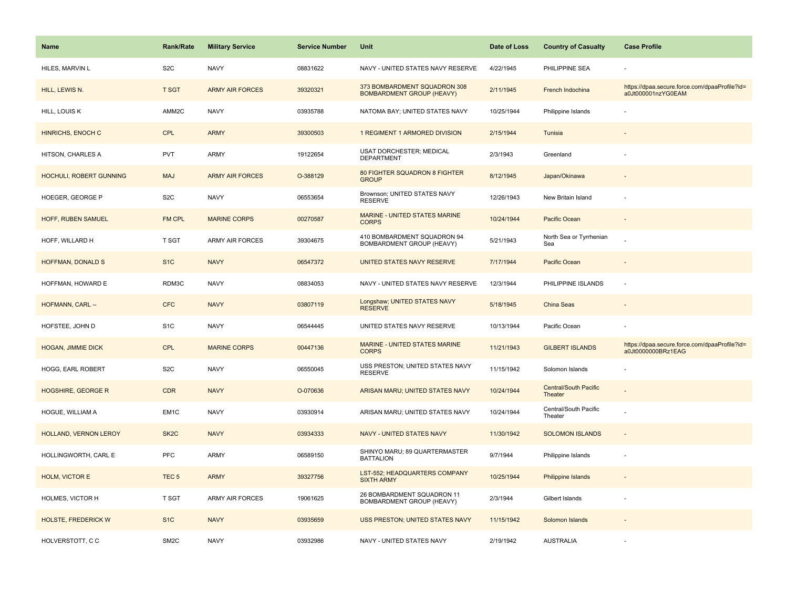| <b>Name</b>                | <b>Rank/Rate</b>  | <b>Military Service</b> | <b>Service Number</b> | Unit                                                             | Date of Loss | <b>Country of Casualty</b>              | <b>Case Profile</b>                                                 |
|----------------------------|-------------------|-------------------------|-----------------------|------------------------------------------------------------------|--------------|-----------------------------------------|---------------------------------------------------------------------|
| HILES, MARVIN L            | S <sub>2</sub> C  | <b>NAVY</b>             | 08831622              | NAVY - UNITED STATES NAVY RESERVE                                | 4/22/1945    | PHILIPPINE SEA                          |                                                                     |
| HILL, LEWIS N.             | <b>T SGT</b>      | <b>ARMY AIR FORCES</b>  | 39320321              | 373 BOMBARDMENT SQUADRON 308<br><b>BOMBARDMENT GROUP (HEAVY)</b> | 2/11/1945    | French Indochina                        | https://dpaa.secure.force.com/dpaaProfile?id=<br>a0Jt000001nzYG0EAM |
| HILL, LOUIS K              | AMM2C             | <b>NAVY</b>             | 03935788              | NATOMA BAY; UNITED STATES NAVY                                   | 10/25/1944   | Philippine Islands                      |                                                                     |
| <b>HINRICHS, ENOCH C</b>   | <b>CPL</b>        | <b>ARMY</b>             | 39300503              | 1 REGIMENT 1 ARMORED DIVISION                                    | 2/15/1944    | Tunisia                                 |                                                                     |
| HITSON, CHARLES A          | <b>PVT</b>        | ARMY                    | 19122654              | <b>USAT DORCHESTER: MEDICAL</b><br><b>DEPARTMENT</b>             | 2/3/1943     | Greenland                               |                                                                     |
| HOCHULI, ROBERT GUNNING    | <b>MAJ</b>        | <b>ARMY AIR FORCES</b>  | O-388129              | 80 FIGHTER SQUADRON 8 FIGHTER<br><b>GROUP</b>                    | 8/12/1945    | Japan/Okinawa                           |                                                                     |
| HOEGER, GEORGE P           | S <sub>2</sub> C  | <b>NAVY</b>             | 06553654              | Brownson; UNITED STATES NAVY<br><b>RESERVE</b>                   | 12/26/1943   | New Britain Island                      |                                                                     |
| HOFF, RUBEN SAMUEL         | <b>FM CPL</b>     | <b>MARINE CORPS</b>     | 00270587              | MARINE - UNITED STATES MARINE<br><b>CORPS</b>                    | 10/24/1944   | Pacific Ocean                           |                                                                     |
| HOFF, WILLARD H            | T SGT             | <b>ARMY AIR FORCES</b>  | 39304675              | 410 BOMBARDMENT SQUADRON 94<br>BOMBARDMENT GROUP (HEAVY)         | 5/21/1943    | North Sea or Tyrrhenian<br>Sea          |                                                                     |
| <b>HOFFMAN, DONALD S</b>   | S <sub>1</sub> C  | <b>NAVY</b>             | 06547372              | UNITED STATES NAVY RESERVE                                       | 7/17/1944    | Pacific Ocean                           |                                                                     |
| HOFFMAN, HOWARD E          | RDM3C             | <b>NAVY</b>             | 08834053              | NAVY - UNITED STATES NAVY RESERVE                                | 12/3/1944    | PHILIPPINE ISLANDS                      |                                                                     |
| HOFMANN, CARL --           | <b>CFC</b>        | <b>NAVY</b>             | 03807119              | Longshaw; UNITED STATES NAVY<br><b>RESERVE</b>                   | 5/18/1945    | China Seas                              |                                                                     |
| HOFSTEE, JOHN D            | S <sub>1</sub> C  | <b>NAVY</b>             | 06544445              | UNITED STATES NAVY RESERVE                                       | 10/13/1944   | Pacific Ocean                           |                                                                     |
| <b>HOGAN, JIMMIE DICK</b>  | <b>CPL</b>        | <b>MARINE CORPS</b>     | 00447136              | <b>MARINE - UNITED STATES MARINE</b><br><b>CORPS</b>             | 11/21/1943   | <b>GILBERT ISLANDS</b>                  | https://dpaa.secure.force.com/dpaaProfile?id=<br>a0Jt0000000BRz1EAG |
| HOGG, EARL ROBERT          | S <sub>2</sub> C  | <b>NAVY</b>             | 06550045              | USS PRESTON; UNITED STATES NAVY<br><b>RESERVE</b>                | 11/15/1942   | Solomon Islands                         |                                                                     |
| <b>HOGSHIRE, GEORGE R</b>  | <b>CDR</b>        | <b>NAVY</b>             | O-070636              | ARISAN MARU; UNITED STATES NAVY                                  | 10/24/1944   | <b>Central/South Pacific</b><br>Theater |                                                                     |
| HOGUE, WILLIAM A           | EM <sub>1</sub> C | <b>NAVY</b>             | 03930914              | ARISAN MARU; UNITED STATES NAVY                                  | 10/24/1944   | Central/South Pacific<br>Theater        |                                                                     |
| HOLLAND, VERNON LEROY      | SK <sub>2</sub> C | <b>NAVY</b>             | 03934333              | NAVY - UNITED STATES NAVY                                        | 11/30/1942   | <b>SOLOMON ISLANDS</b>                  |                                                                     |
| HOLLINGWORTH, CARL E       | <b>PFC</b>        | ARMY                    | 06589150              | SHINYO MARU; 89 QUARTERMASTER<br><b>BATTALION</b>                | 9/7/1944     | Philippine Islands                      | ÷.                                                                  |
| HOLM, VICTOR E             | TEC <sub>5</sub>  | <b>ARMY</b>             | 39327756              | LST-552; HEADQUARTERS COMPANY<br><b>SIXTH ARMY</b>               | 10/25/1944   | <b>Philippine Islands</b>               |                                                                     |
| HOLMES, VICTOR H           | T SGT             | <b>ARMY AIR FORCES</b>  | 19061625              | 26 BOMBARDMENT SQUADRON 11<br>BOMBARDMENT GROUP (HEAVY)          | 2/3/1944     | Gilbert Islands                         |                                                                     |
| <b>HOLSTE, FREDERICK W</b> | S <sub>1</sub> C  | <b>NAVY</b>             | 03935659              | USS PRESTON; UNITED STATES NAVY                                  | 11/15/1942   | Solomon Islands                         |                                                                     |
| HOLVERSTOTT, CC            | SM <sub>2</sub> C | <b>NAVY</b>             | 03932986              | NAVY - UNITED STATES NAVY                                        | 2/19/1942    | <b>AUSTRALIA</b>                        |                                                                     |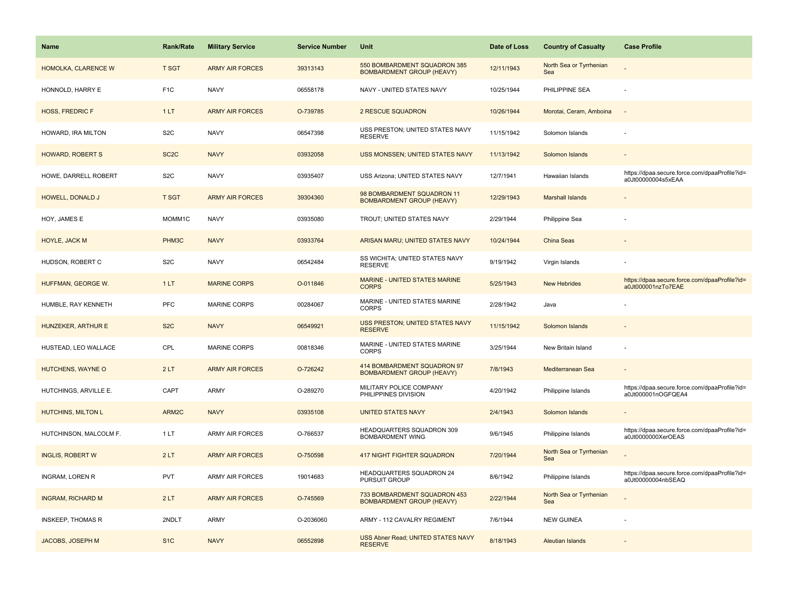| <b>Name</b>               | <b>Rank/Rate</b>  | <b>Military Service</b> | <b>Service Number</b> | <b>Unit</b>                                                      | Date of Loss | <b>Country of Casualty</b>     | <b>Case Profile</b>                                                 |
|---------------------------|-------------------|-------------------------|-----------------------|------------------------------------------------------------------|--------------|--------------------------------|---------------------------------------------------------------------|
| HOMOLKA, CLARENCE W       | <b>T SGT</b>      | <b>ARMY AIR FORCES</b>  | 39313143              | 550 BOMBARDMENT SQUADRON 385<br><b>BOMBARDMENT GROUP (HEAVY)</b> | 12/11/1943   | North Sea or Tyrrhenian<br>Sea |                                                                     |
| HONNOLD, HARRY E          | F <sub>1C</sub>   | <b>NAVY</b>             | 06558178              | NAVY - UNITED STATES NAVY                                        | 10/25/1944   | PHILIPPINE SEA                 |                                                                     |
| <b>HOSS, FREDRIC F</b>    | 1LT               | <b>ARMY AIR FORCES</b>  | O-739785              | 2 RESCUE SQUADRON                                                | 10/26/1944   | Morotai, Ceram, Amboina        |                                                                     |
| HOWARD, IRA MILTON        | S <sub>2</sub> C  | <b>NAVY</b>             | 06547398              | USS PRESTON; UNITED STATES NAVY<br><b>RESERVE</b>                | 11/15/1942   | Solomon Islands                |                                                                     |
| <b>HOWARD, ROBERT S</b>   | SC <sub>2</sub> C | <b>NAVY</b>             | 03932058              | USS MONSSEN; UNITED STATES NAVY                                  | 11/13/1942   | Solomon Islands                |                                                                     |
| HOWE, DARRELL ROBERT      | S <sub>2</sub> C  | <b>NAVY</b>             | 03935407              | USS Arizona; UNITED STATES NAVY                                  | 12/7/1941    | <b>Hawaiian Islands</b>        | https://dpaa.secure.force.com/dpaaProfile?id=<br>a0Jt00000004s5xEAA |
| HOWELL, DONALD J          | <b>T SGT</b>      | <b>ARMY AIR FORCES</b>  | 39304360              | 98 BOMBARDMENT SQUADRON 11<br><b>BOMBARDMENT GROUP (HEAVY)</b>   | 12/29/1943   | <b>Marshall Islands</b>        |                                                                     |
| HOY, JAMES E              | MOMM1C            | <b>NAVY</b>             | 03935080              | TROUT; UNITED STATES NAVY                                        | 2/29/1944    | Philippine Sea                 |                                                                     |
| <b>HOYLE, JACK M</b>      | PHM3C             | <b>NAVY</b>             | 03933764              | ARISAN MARU; UNITED STATES NAVY                                  | 10/24/1944   | <b>China Seas</b>              |                                                                     |
| HUDSON, ROBERT C          | S <sub>2</sub> C  | <b>NAVY</b>             | 06542484              | SS WICHITA; UNITED STATES NAVY<br><b>RESERVE</b>                 | 9/19/1942    | Virgin Islands                 |                                                                     |
| HUFFMAN, GEORGE W.        | 1LT               | <b>MARINE CORPS</b>     | O-011846              | <b>MARINE - UNITED STATES MARINE</b><br><b>CORPS</b>             | 5/25/1943    | <b>New Hebrides</b>            | https://dpaa.secure.force.com/dpaaProfile?id=<br>a0Jt000001nzTo7EAE |
| HUMBLE, RAY KENNETH       | <b>PFC</b>        | <b>MARINE CORPS</b>     | 00284067              | MARINE - UNITED STATES MARINE<br><b>CORPS</b>                    | 2/28/1942    | Java                           |                                                                     |
| HUNZEKER, ARTHUR E        | S <sub>2</sub> C  | <b>NAVY</b>             | 06549921              | USS PRESTON; UNITED STATES NAVY<br><b>RESERVE</b>                | 11/15/1942   | Solomon Islands                |                                                                     |
| HUSTEAD, LEO WALLACE      | CPL               | <b>MARINE CORPS</b>     | 00818346              | MARINE - UNITED STATES MARINE<br><b>CORPS</b>                    | 3/25/1944    | New Britain Island             |                                                                     |
| HUTCHENS, WAYNE O         | 2LT               | <b>ARMY AIR FORCES</b>  | O-726242              | 414 BOMBARDMENT SQUADRON 97<br><b>BOMBARDMENT GROUP (HEAVY)</b>  | 7/8/1943     | Mediterranean Sea              |                                                                     |
| HUTCHINGS, ARVILLE E.     | CAPT              | ARMY                    | O-289270              | MILITARY POLICE COMPANY<br>PHILIPPINES DIVISION                  | 4/20/1942    | Philippine Islands             | https://dpaa.secure.force.com/dpaaProfile?id=<br>a0Jt000001nOGFQEA4 |
| <b>HUTCHINS, MILTON L</b> | ARM2C             | <b>NAVY</b>             | 03935108              | <b>UNITED STATES NAVY</b>                                        | 2/4/1943     | Solomon Islands                |                                                                     |
| HUTCHINSON, MALCOLM F.    | 1LT               | <b>ARMY AIR FORCES</b>  | O-766537              | HEADQUARTERS SQUADRON 309<br><b>BOMBARDMENT WING</b>             | 9/6/1945     | Philippine Islands             | https://dpaa.secure.force.com/dpaaProfile?id=<br>a0Jt0000000XerOEAS |
| <b>INGLIS, ROBERT W</b>   | 2LT               | <b>ARMY AIR FORCES</b>  | O-750598              | <b>417 NIGHT FIGHTER SQUADRON</b>                                | 7/20/1944    | North Sea or Tyrrhenian<br>Sea |                                                                     |
| <b>INGRAM, LOREN R</b>    | <b>PVT</b>        | <b>ARMY AIR FORCES</b>  | 19014683              | HEADQUARTERS SQUADRON 24<br>PURSUIT GROUP                        | 8/6/1942     | Philippine Islands             | https://dpaa.secure.force.com/dpaaProfile?id=<br>a0Jt00000004nbSEAQ |
| <b>INGRAM, RICHARD M</b>  | 2LT               | <b>ARMY AIR FORCES</b>  | O-745569              | 733 BOMBARDMENT SQUADRON 453<br><b>BOMBARDMENT GROUP (HEAVY)</b> | 2/22/1944    | North Sea or Tyrrhenian<br>Sea |                                                                     |
| <b>INSKEEP, THOMAS R</b>  | 2NDLT             | ARMY                    | O-2036060             | ARMY - 112 CAVALRY REGIMENT                                      | 7/6/1944     | <b>NEW GUINEA</b>              |                                                                     |
| JACOBS, JOSEPH M          | S <sub>1</sub> C  | <b>NAVY</b>             | 06552898              | USS Abner Read; UNITED STATES NAVY<br><b>RESERVE</b>             | 8/18/1943    | <b>Aleutian Islands</b>        |                                                                     |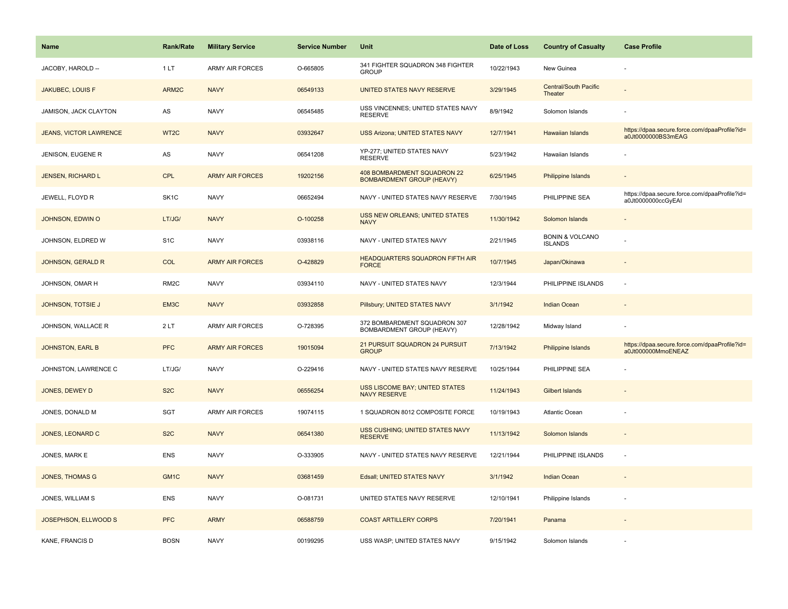| <b>Name</b>                   | <b>Rank/Rate</b>  | <b>Military Service</b> | <b>Service Number</b> | Unit                                                            | Date of Loss | <b>Country of Casualty</b>                   | <b>Case Profile</b>                                                 |
|-------------------------------|-------------------|-------------------------|-----------------------|-----------------------------------------------------------------|--------------|----------------------------------------------|---------------------------------------------------------------------|
| JACOBY, HAROLD --             | 1LT               | <b>ARMY AIR FORCES</b>  | O-665805              | 341 FIGHTER SQUADRON 348 FIGHTER<br><b>GROUP</b>                | 10/22/1943   | New Guinea                                   |                                                                     |
| <b>JAKUBEC, LOUIS F</b>       | ARM2C             | <b>NAVY</b>             | 06549133              | UNITED STATES NAVY RESERVE                                      | 3/29/1945    | <b>Central/South Pacific</b><br>Theater      |                                                                     |
| JAMISON, JACK CLAYTON         | AS                | <b>NAVY</b>             | 06545485              | USS VINCENNES; UNITED STATES NAVY<br><b>RESERVE</b>             | 8/9/1942     | Solomon Islands                              |                                                                     |
| <b>JEANS, VICTOR LAWRENCE</b> | WT <sub>2</sub> C | <b>NAVY</b>             | 03932647              | <b>USS Arizona; UNITED STATES NAVY</b>                          | 12/7/1941    | Hawaiian Islands                             | https://dpaa.secure.force.com/dpaaProfile?id=<br>a0Jt0000000BS3mEAG |
| JENISON, EUGENE R             | AS                | <b>NAVY</b>             | 06541208              | YP-277: UNITED STATES NAVY<br><b>RESERVE</b>                    | 5/23/1942    | Hawaiian Islands                             |                                                                     |
| JENSEN, RICHARD L             | <b>CPL</b>        | <b>ARMY AIR FORCES</b>  | 19202156              | 408 BOMBARDMENT SQUADRON 22<br><b>BOMBARDMENT GROUP (HEAVY)</b> | 6/25/1945    | Philippine Islands                           | $\overline{\phantom{a}}$                                            |
| JEWELL, FLOYD R               | SK <sub>1</sub> C | <b>NAVY</b>             | 06652494              | NAVY - UNITED STATES NAVY RESERVE                               | 7/30/1945    | PHILIPPINE SEA                               | https://dpaa.secure.force.com/dpaaProfile?id=<br>a0Jt0000000ccGyEAI |
| JOHNSON, EDWIN O              | LT/JG/            | <b>NAVY</b>             | O-100258              | USS NEW ORLEANS; UNITED STATES<br><b>NAVY</b>                   | 11/30/1942   | Solomon Islands                              |                                                                     |
| JOHNSON, ELDRED W             | S <sub>1</sub> C  | <b>NAVY</b>             | 03938116              | NAVY - UNITED STATES NAVY                                       | 2/21/1945    | <b>BONIN &amp; VOLCANO</b><br><b>ISLANDS</b> |                                                                     |
| <b>JOHNSON, GERALD R</b>      | COL               | <b>ARMY AIR FORCES</b>  | O-428829              | HEADQUARTERS SQUADRON FIFTH AIR<br><b>FORCE</b>                 | 10/7/1945    | Japan/Okinawa                                |                                                                     |
| JOHNSON, OMAR H               | RM <sub>2</sub> C | <b>NAVY</b>             | 03934110              | NAVY - UNITED STATES NAVY                                       | 12/3/1944    | PHILIPPINE ISLANDS                           |                                                                     |
| JOHNSON, TOTSIE J             | EM3C              | <b>NAVY</b>             | 03932858              | Pillsbury; UNITED STATES NAVY                                   | 3/1/1942     | <b>Indian Ocean</b>                          | $\overline{\phantom{a}}$                                            |
| JOHNSON, WALLACE R            | 2LT               | <b>ARMY AIR FORCES</b>  | O-728395              | 372 BOMBARDMENT SQUADRON 307<br>BOMBARDMENT GROUP (HEAVY)       | 12/28/1942   | Midway Island                                |                                                                     |
| JOHNSTON, EARL B              | <b>PFC</b>        | <b>ARMY AIR FORCES</b>  | 19015094              | 21 PURSUIT SQUADRON 24 PURSUIT<br><b>GROUP</b>                  | 7/13/1942    | Philippine Islands                           | https://dpaa.secure.force.com/dpaaProfile?id=<br>a0Jt000000MmoENEAZ |
| JOHNSTON, LAWRENCE C          | LT/JG/            | <b>NAVY</b>             | O-229416              | NAVY - UNITED STATES NAVY RESERVE                               | 10/25/1944   | PHILIPPINE SEA                               |                                                                     |
| JONES, DEWEY D                | S <sub>2</sub> C  | <b>NAVY</b>             | 06556254              | <b>USS LISCOME BAY; UNITED STATES</b><br><b>NAVY RESERVE</b>    | 11/24/1943   | <b>Gilbert Islands</b>                       |                                                                     |
| JONES, DONALD M               | SGT               | <b>ARMY AIR FORCES</b>  | 19074115              | 1 SQUADRON 8012 COMPOSITE FORCE                                 | 10/19/1943   | <b>Atlantic Ocean</b>                        |                                                                     |
| JONES, LEONARD C              | S <sub>2</sub> C  | <b>NAVY</b>             | 06541380              | USS CUSHING; UNITED STATES NAVY<br><b>RESERVE</b>               | 11/13/1942   | Solomon Islands                              |                                                                     |
| JONES, MARK E                 | ENS               | <b>NAVY</b>             | O-333905              | NAVY - UNITED STATES NAVY RESERVE                               | 12/21/1944   | PHILIPPINE ISLANDS                           | ÷,                                                                  |
| <b>JONES, THOMAS G</b>        | GM1C              | <b>NAVY</b>             | 03681459              | Edsall; UNITED STATES NAVY                                      | 3/1/1942     | Indian Ocean                                 |                                                                     |
| JONES, WILLIAM S              | <b>ENS</b>        | <b>NAVY</b>             | O-081731              | UNITED STATES NAVY RESERVE                                      | 12/10/1941   | Philippine Islands                           | ÷,                                                                  |
| JOSEPHSON, ELLWOOD S          | <b>PFC</b>        | <b>ARMY</b>             | 06588759              | <b>COAST ARTILLERY CORPS</b>                                    | 7/20/1941    | Panama                                       |                                                                     |
| KANE, FRANCIS D               | <b>BOSN</b>       | <b>NAVY</b>             | 00199295              | USS WASP; UNITED STATES NAVY                                    | 9/15/1942    | Solomon Islands                              |                                                                     |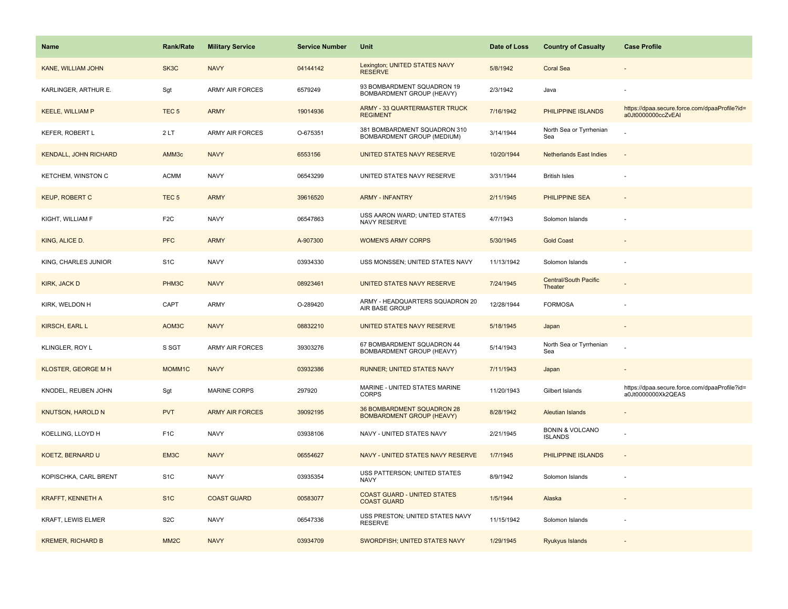| <b>Name</b>                  | <b>Rank/Rate</b>  | <b>Military Service</b> | <b>Service Number</b> | Unit                                                              | Date of Loss | <b>Country of Casualty</b>                   | <b>Case Profile</b>                                                 |
|------------------------------|-------------------|-------------------------|-----------------------|-------------------------------------------------------------------|--------------|----------------------------------------------|---------------------------------------------------------------------|
| <b>KANE, WILLIAM JOHN</b>    | SK3C              | <b>NAVY</b>             | 04144142              | Lexington; UNITED STATES NAVY<br><b>RESERVE</b>                   | 5/8/1942     | <b>Coral Sea</b>                             |                                                                     |
| KARLINGER, ARTHUR E.         | Sgt               | <b>ARMY AIR FORCES</b>  | 6579249               | 93 BOMBARDMENT SQUADRON 19<br><b>BOMBARDMENT GROUP (HEAVY)</b>    | 2/3/1942     | Java                                         |                                                                     |
| <b>KEELE, WILLIAM P</b>      | TEC <sub>5</sub>  | <b>ARMY</b>             | 19014936              | <b>ARMY - 33 QUARTERMASTER TRUCK</b><br><b>REGIMENT</b>           | 7/16/1942    | PHILIPPINE ISLANDS                           | https://dpaa.secure.force.com/dpaaProfile?id=<br>a0Jt0000000ccZvEAI |
| KEFER, ROBERT L              | 2LT               | <b>ARMY AIR FORCES</b>  | O-675351              | 381 BOMBARDMENT SQUADRON 310<br><b>BOMBARDMENT GROUP (MEDIUM)</b> | 3/14/1944    | North Sea or Tyrrhenian<br>Sea               |                                                                     |
| <b>KENDALL, JOHN RICHARD</b> | AMM <sub>3c</sub> | <b>NAVY</b>             | 6553156               | UNITED STATES NAVY RESERVE                                        | 10/20/1944   | <b>Netherlands East Indies</b>               |                                                                     |
| KETCHEM, WINSTON C           | <b>ACMM</b>       | <b>NAVY</b>             | 06543299              | UNITED STATES NAVY RESERVE                                        | 3/31/1944    | <b>British Isles</b>                         |                                                                     |
| <b>KEUP, ROBERT C</b>        | TEC <sub>5</sub>  | <b>ARMY</b>             | 39616520              | <b>ARMY - INFANTRY</b>                                            | 2/11/1945    | PHILIPPINE SEA                               |                                                                     |
| KIGHT, WILLIAM F             | F <sub>2</sub> C  | <b>NAVY</b>             | 06547863              | USS AARON WARD; UNITED STATES<br>NAVY RESERVE                     | 4/7/1943     | Solomon Islands                              |                                                                     |
| KING, ALICE D.               | <b>PFC</b>        | <b>ARMY</b>             | A-907300              | <b>WOMEN'S ARMY CORPS</b>                                         | 5/30/1945    | <b>Gold Coast</b>                            |                                                                     |
| KING, CHARLES JUNIOR         | S <sub>1</sub> C  | <b>NAVY</b>             | 03934330              | USS MONSSEN; UNITED STATES NAVY                                   | 11/13/1942   | Solomon Islands                              |                                                                     |
| KIRK, JACK D                 | PHM3C             | <b>NAVY</b>             | 08923461              | UNITED STATES NAVY RESERVE                                        | 7/24/1945    | <b>Central/South Pacific</b><br>Theater      |                                                                     |
| KIRK, WELDON H               | CAPT              | <b>ARMY</b>             | O-289420              | ARMY - HEADQUARTERS SQUADRON 20<br>AIR BASE GROUP                 | 12/28/1944   | <b>FORMOSA</b>                               |                                                                     |
| <b>KIRSCH, EARL L</b>        | AOM3C             | <b>NAVY</b>             | 08832210              | UNITED STATES NAVY RESERVE                                        | 5/18/1945    | Japan                                        |                                                                     |
| KLINGLER, ROY L              | S SGT             | ARMY AIR FORCES         | 39303276              | 67 BOMBARDMENT SQUADRON 44<br>BOMBARDMENT GROUP (HEAVY)           | 5/14/1943    | North Sea or Tyrrhenian<br>Sea               |                                                                     |
| KLOSTER, GEORGE M H          | MOMM1C            | <b>NAVY</b>             | 03932386              | <b>RUNNER; UNITED STATES NAVY</b>                                 | 7/11/1943    | Japan                                        |                                                                     |
| KNODEL, REUBEN JOHN          | Sgt               | MARINE CORPS            | 297920                | MARINE - UNITED STATES MARINE<br><b>CORPS</b>                     | 11/20/1943   | Gilbert Islands                              | https://dpaa.secure.force.com/dpaaProfile?id=<br>a0Jt0000000Xk2QEAS |
| <b>KNUTSON, HAROLD N</b>     | <b>PVT</b>        | <b>ARMY AIR FORCES</b>  | 39092195              | 36 BOMBARDMENT SQUADRON 28<br><b>BOMBARDMENT GROUP (HEAVY)</b>    | 8/28/1942    | <b>Aleutian Islands</b>                      |                                                                     |
| KOELLING, LLOYD H            | F <sub>1</sub> C  | <b>NAVY</b>             | 03938106              | NAVY - UNITED STATES NAVY                                         | 2/21/1945    | <b>BONIN &amp; VOLCANO</b><br><b>ISLANDS</b> |                                                                     |
| KOETZ, BERNARD U             | EM3C              | <b>NAVY</b>             | 06554627              | NAVY - UNITED STATES NAVY RESERVE                                 | 1/7/1945     | PHILIPPINE ISLANDS                           |                                                                     |
| KOPISCHKA, CARL BRENT        | S <sub>1</sub> C  | <b>NAVY</b>             | 03935354              | USS PATTERSON; UNITED STATES<br><b>NAVY</b>                       | 8/9/1942     | Solomon Islands                              |                                                                     |
| <b>KRAFFT, KENNETH A</b>     | S <sub>1C</sub>   | <b>COAST GUARD</b>      | 00583077              | <b>COAST GUARD - UNITED STATES</b><br><b>COAST GUARD</b>          | 1/5/1944     | Alaska                                       |                                                                     |
| KRAFT, LEWIS ELMER           | S <sub>2</sub> C  | <b>NAVY</b>             | 06547336              | USS PRESTON; UNITED STATES NAVY<br><b>RESERVE</b>                 | 11/15/1942   | Solomon Islands                              |                                                                     |
| <b>KREMER, RICHARD B</b>     | MM <sub>2</sub> C | <b>NAVY</b>             | 03934709              | SWORDFISH; UNITED STATES NAVY                                     | 1/29/1945    | Ryukyus Islands                              |                                                                     |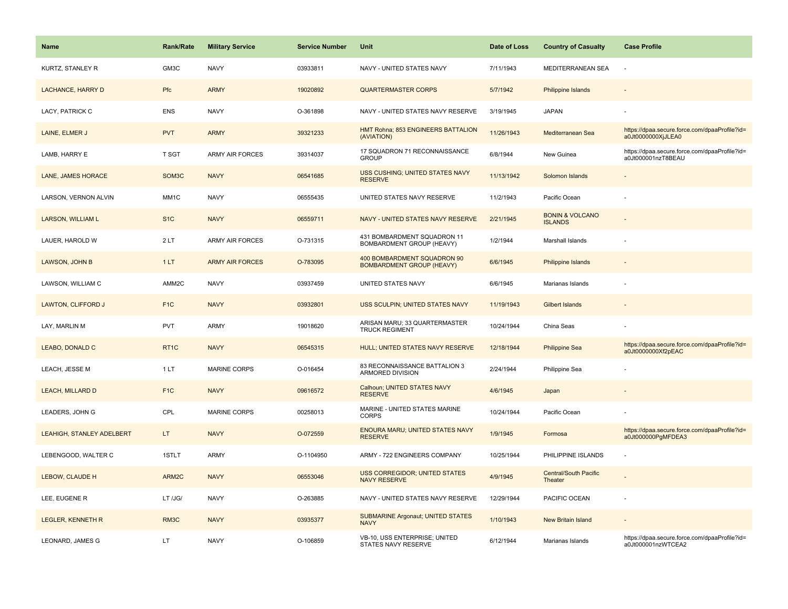| Name                      | <b>Rank/Rate</b>   | <b>Military Service</b> | <b>Service Number</b> | Unit                                                            | Date of Loss | <b>Country of Casualty</b>                   | <b>Case Profile</b>                                                 |
|---------------------------|--------------------|-------------------------|-----------------------|-----------------------------------------------------------------|--------------|----------------------------------------------|---------------------------------------------------------------------|
| KURTZ, STANLEY R          | GM3C               | <b>NAVY</b>             | 03933811              | NAVY - UNITED STATES NAVY                                       | 7/11/1943    | MEDITERRANEAN SEA                            | $\sim$                                                              |
| <b>LACHANCE, HARRY D</b>  | Pfc                | <b>ARMY</b>             | 19020892              | <b>QUARTERMASTER CORPS</b>                                      | 5/7/1942     | <b>Philippine Islands</b>                    |                                                                     |
| LACY, PATRICK C           | <b>ENS</b>         | <b>NAVY</b>             | O-361898              | NAVY - UNITED STATES NAVY RESERVE                               | 3/19/1945    | <b>JAPAN</b>                                 |                                                                     |
| LAINE, ELMER J            | <b>PVT</b>         | <b>ARMY</b>             | 39321233              | HMT Rohna; 853 ENGINEERS BATTALION<br>(AVIATION)                | 11/26/1943   | Mediterranean Sea                            | https://dpaa.secure.force.com/dpaaProfile?id=<br>a0Jt0000000XjJLEA0 |
| LAMB, HARRY E             | T SGT              | <b>ARMY AIR FORCES</b>  | 39314037              | 17 SQUADRON 71 RECONNAISSANCE<br><b>GROUP</b>                   | 6/8/1944     | New Guinea                                   | https://dpaa.secure.force.com/dpaaProfile?id=<br>a0Jt000001nzT8BEAU |
| LANE, JAMES HORACE        | SOM <sub>3</sub> C | <b>NAVY</b>             | 06541685              | USS CUSHING; UNITED STATES NAVY<br><b>RESERVE</b>               | 11/13/1942   | Solomon Islands                              |                                                                     |
| LARSON, VERNON ALVIN      | MM1C               | <b>NAVY</b>             | 06555435              | UNITED STATES NAVY RESERVE                                      | 11/2/1943    | Pacific Ocean                                |                                                                     |
| <b>LARSON, WILLIAM L</b>  | S <sub>1</sub> C   | <b>NAVY</b>             | 06559711              | NAVY - UNITED STATES NAVY RESERVE                               | 2/21/1945    | <b>BONIN &amp; VOLCANO</b><br><b>ISLANDS</b> |                                                                     |
| LAUER, HAROLD W           | 2LT                | <b>ARMY AIR FORCES</b>  | O-731315              | 431 BOMBARDMENT SQUADRON 11<br>BOMBARDMENT GROUP (HEAVY)        | 1/2/1944     | Marshall Islands                             |                                                                     |
| LAWSON, JOHN B            | 1LT                | <b>ARMY AIR FORCES</b>  | O-783095              | 400 BOMBARDMENT SQUADRON 90<br><b>BOMBARDMENT GROUP (HEAVY)</b> | 6/6/1945     | Philippine Islands                           |                                                                     |
| LAWSON, WILLIAM C         | AMM2C              | <b>NAVY</b>             | 03937459              | UNITED STATES NAVY                                              | 6/6/1945     | Marianas Islands                             |                                                                     |
| <b>LAWTON, CLIFFORD J</b> | F <sub>1C</sub>    | <b>NAVY</b>             | 03932801              | USS SCULPIN; UNITED STATES NAVY                                 | 11/19/1943   | <b>Gilbert Islands</b>                       |                                                                     |
| LAY, MARLIN M             | <b>PVT</b>         | <b>ARMY</b>             | 19018620              | ARISAN MARU; 33 QUARTERMASTER<br><b>TRUCK REGIMENT</b>          | 10/24/1944   | China Seas                                   |                                                                     |
| LEABO, DONALD C           | RT <sub>1C</sub>   | <b>NAVY</b>             | 06545315              | HULL; UNITED STATES NAVY RESERVE                                | 12/18/1944   | <b>Philippine Sea</b>                        | https://dpaa.secure.force.com/dpaaProfile?id=<br>a0Jt0000000Xf2pEAC |
| LEACH, JESSE M            | 1LT                | MARINE CORPS            | O-016454              | 83 RECONNAISSANCE BATTALION 3<br>ARMORED DIVISION               | 2/24/1944    | Philippine Sea                               |                                                                     |
| <b>LEACH, MILLARD D</b>   | F <sub>1C</sub>    | <b>NAVY</b>             | 09616572              | Calhoun; UNITED STATES NAVY<br><b>RESERVE</b>                   | 4/6/1945     | Japan                                        |                                                                     |
| LEADERS, JOHN G           | CPL                | MARINE CORPS            | 00258013              | MARINE - UNITED STATES MARINE<br><b>CORPS</b>                   | 10/24/1944   | Pacific Ocean                                |                                                                     |
| LEAHIGH, STANLEY ADELBERT | LT.                | <b>NAVY</b>             | O-072559              | ENOURA MARU; UNITED STATES NAVY<br><b>RESERVE</b>               | 1/9/1945     | Formosa                                      | https://dpaa.secure.force.com/dpaaProfile?id=<br>a0Jt000000PgMFDEA3 |
| LEBENGOOD, WALTER C       | 1STLT              | <b>ARMY</b>             | O-1104950             | ARMY - 722 ENGINEERS COMPANY                                    | 10/25/1944   | PHILIPPINE ISLANDS                           |                                                                     |
| LEBOW, CLAUDE H           | ARM2C              | <b>NAVY</b>             | 06553046              | <b>USS CORREGIDOR; UNITED STATES</b><br><b>NAVY RESERVE</b>     | 4/9/1945     | <b>Central/South Pacific</b><br>Theater      |                                                                     |
| LEE, EUGENE R             | LT /JG/            | <b>NAVY</b>             | O-263885              | NAVY - UNITED STATES NAVY RESERVE                               | 12/29/1944   | PACIFIC OCEAN                                |                                                                     |
| <b>LEGLER, KENNETH R</b>  | RM3C               | <b>NAVY</b>             | 03935377              | <b>SUBMARINE Argonaut; UNITED STATES</b><br><b>NAVY</b>         | 1/10/1943    | <b>New Britain Island</b>                    |                                                                     |
| LEONARD, JAMES G          | LT.                | <b>NAVY</b>             | O-106859              | VB-10, USS ENTERPRISE; UNITED<br>STATES NAVY RESERVE            | 6/12/1944    | Marianas Islands                             | https://dpaa.secure.force.com/dpaaProfile?id=<br>a0Jt000001nzWTCEA2 |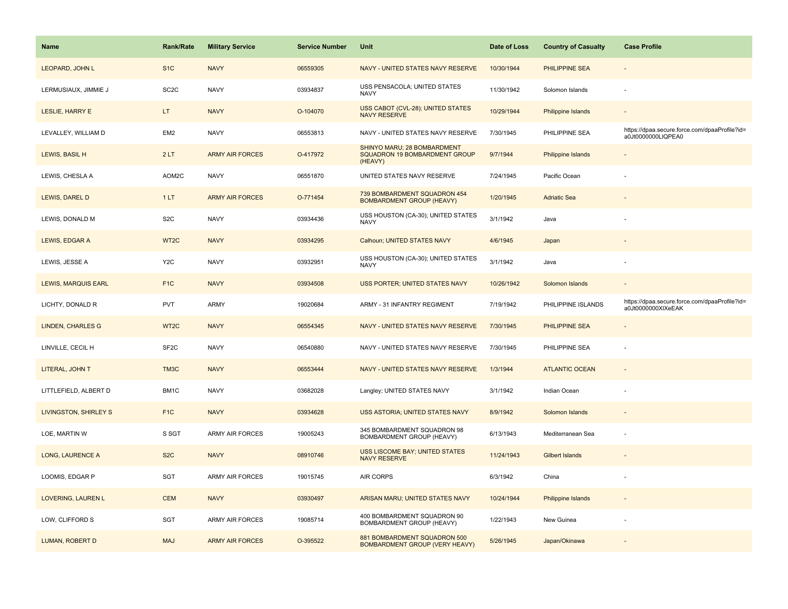| Name                       | <b>Rank/Rate</b>  | <b>Military Service</b> | <b>Service Number</b> | Unit                                                                           | Date of Loss | <b>Country of Casualty</b> | <b>Case Profile</b>                                                 |
|----------------------------|-------------------|-------------------------|-----------------------|--------------------------------------------------------------------------------|--------------|----------------------------|---------------------------------------------------------------------|
| LEOPARD, JOHN L            | S <sub>1</sub> C  | <b>NAVY</b>             | 06559305              | NAVY - UNITED STATES NAVY RESERVE                                              | 10/30/1944   | <b>PHILIPPINE SEA</b>      |                                                                     |
| LERMUSIAUX, JIMMIE J       | SC <sub>2</sub> C | <b>NAVY</b>             | 03934837              | USS PENSACOLA; UNITED STATES<br><b>NAVY</b>                                    | 11/30/1942   | Solomon Islands            | $\sim$                                                              |
| LESLIE, HARRY E            | LT.               | <b>NAVY</b>             | O-104070              | <b>USS CABOT (CVL-28); UNITED STATES</b><br><b>NAVY RESERVE</b>                | 10/29/1944   | <b>Philippine Islands</b>  |                                                                     |
| LEVALLEY, WILLIAM D        | EM <sub>2</sub>   | <b>NAVY</b>             | 06553813              | NAVY - UNITED STATES NAVY RESERVE                                              | 7/30/1945    | PHILIPPINE SEA             | https://dpaa.secure.force.com/dpaaProfile?id=<br>a0Jt0000000LIQPEA0 |
| LEWIS, BASIL H             | 2LT               | <b>ARMY AIR FORCES</b>  | O-417972              | SHINYO MARU; 28 BOMBARDMENT<br><b>SQUADRON 19 BOMBARDMENT GROUP</b><br>(HEAVY) | 9/7/1944     | <b>Philippine Islands</b>  |                                                                     |
| LEWIS, CHESLA A            | AOM2C             | <b>NAVY</b>             | 06551870              | UNITED STATES NAVY RESERVE                                                     | 7/24/1945    | Pacific Ocean              |                                                                     |
| LEWIS, DAREL D             | 1LT               | <b>ARMY AIR FORCES</b>  | O-771454              | 739 BOMBARDMENT SQUADRON 454<br><b>BOMBARDMENT GROUP (HEAVY)</b>               | 1/20/1945    | <b>Adriatic Sea</b>        |                                                                     |
| LEWIS, DONALD M            | S <sub>2</sub> C  | <b>NAVY</b>             | 03934436              | USS HOUSTON (CA-30); UNITED STATES<br>NAVY                                     | 3/1/1942     | Java                       |                                                                     |
| LEWIS, EDGAR A             | WT2C              | <b>NAVY</b>             | 03934295              | Calhoun; UNITED STATES NAVY                                                    | 4/6/1945     | Japan                      |                                                                     |
| LEWIS, JESSE A             | Y <sub>2</sub> C  | <b>NAVY</b>             | 03932951              | USS HOUSTON (CA-30); UNITED STATES<br><b>NAVY</b>                              | 3/1/1942     | Java                       |                                                                     |
| <b>LEWIS, MARQUIS EARL</b> | F <sub>1C</sub>   | <b>NAVY</b>             | 03934508              | USS PORTER; UNITED STATES NAVY                                                 | 10/26/1942   | Solomon Islands            |                                                                     |
| LICHTY, DONALD R           | <b>PVT</b>        | <b>ARMY</b>             | 19020684              | ARMY - 31 INFANTRY REGIMENT                                                    | 7/19/1942    | PHILIPPINE ISLANDS         | https://dpaa.secure.force.com/dpaaProfile?id=<br>a0Jt0000000XIXeEAK |
| <b>LINDEN, CHARLES G</b>   | WT2C              | <b>NAVY</b>             | 06554345              | NAVY - UNITED STATES NAVY RESERVE                                              | 7/30/1945    | PHILIPPINE SEA             |                                                                     |
| LINVILLE, CECIL H          | SF <sub>2</sub> C | <b>NAVY</b>             | 06540880              | NAVY - UNITED STATES NAVY RESERVE                                              | 7/30/1945    | PHILIPPINE SEA             | ÷,                                                                  |
| LITERAL, JOHN T            | TM3C              | <b>NAVY</b>             | 06553444              | NAVY - UNITED STATES NAVY RESERVE                                              | 1/3/1944     | <b>ATLANTIC OCEAN</b>      | $\sim$                                                              |
| LITTLEFIELD, ALBERT D      | BM1C              | <b>NAVY</b>             | 03682028              | Langley; UNITED STATES NAVY                                                    | 3/1/1942     | Indian Ocean               |                                                                     |
| LIVINGSTON, SHIRLEY S      | F <sub>1</sub> C  | <b>NAVY</b>             | 03934628              | USS ASTORIA; UNITED STATES NAVY                                                | 8/9/1942     | Solomon Islands            |                                                                     |
| LOE, MARTIN W              | S SGT             | <b>ARMY AIR FORCES</b>  | 19005243              | 345 BOMBARDMENT SQUADRON 98<br>BOMBARDMENT GROUP (HEAVY)                       | 6/13/1943    | Mediterranean Sea          | $\overline{\phantom{a}}$                                            |
| <b>LONG, LAURENCE A</b>    | S <sub>2</sub> C  | <b>NAVY</b>             | 08910746              | <b>USS LISCOME BAY; UNITED STATES</b><br><b>NAVY RESERVE</b>                   | 11/24/1943   | Gilbert Islands            |                                                                     |
| LOOMIS, EDGAR P            | SGT               | <b>ARMY AIR FORCES</b>  | 19015745              | <b>AIR CORPS</b>                                                               | 6/3/1942     | China                      |                                                                     |
| LOVERING, LAUREN L         | <b>CEM</b>        | <b>NAVY</b>             | 03930497              | ARISAN MARU; UNITED STATES NAVY                                                | 10/24/1944   | <b>Philippine Islands</b>  | $\overline{\phantom{a}}$                                            |
| LOW, CLIFFORD S            | SGT               | <b>ARMY AIR FORCES</b>  | 19085714              | 400 BOMBARDMENT SQUADRON 90<br>BOMBARDMENT GROUP (HEAVY)                       | 1/22/1943    | New Guinea                 |                                                                     |
| LUMAN, ROBERT D            | <b>MAJ</b>        | <b>ARMY AIR FORCES</b>  | O-395522              | 881 BOMBARDMENT SQUADRON 500<br><b>BOMBARDMENT GROUP (VERY HEAVY)</b>          | 5/26/1945    | Japan/Okinawa              |                                                                     |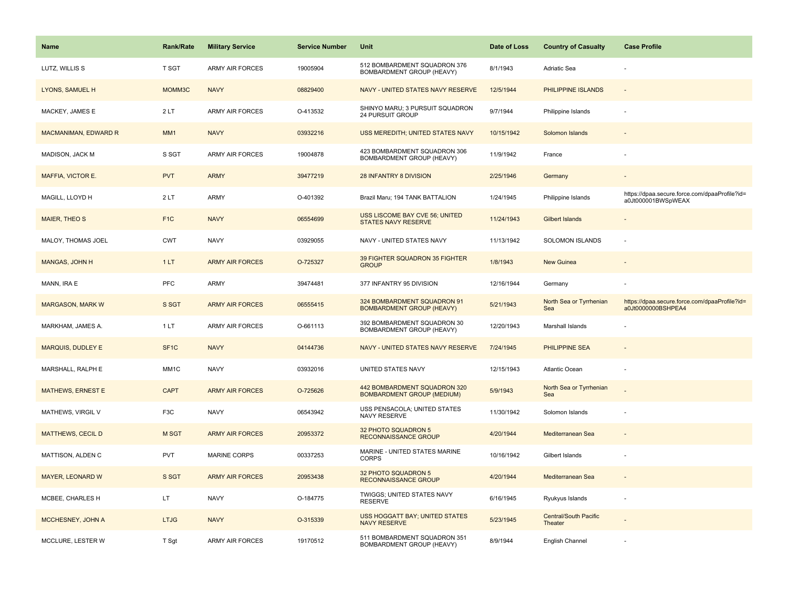| <b>Name</b>                 | <b>Rank/Rate</b>  | <b>Military Service</b> | <b>Service Number</b> | Unit                                                              | Date of Loss | <b>Country of Casualty</b>              | <b>Case Profile</b>                                                 |
|-----------------------------|-------------------|-------------------------|-----------------------|-------------------------------------------------------------------|--------------|-----------------------------------------|---------------------------------------------------------------------|
| LUTZ, WILLIS S              | T SGT             | <b>ARMY AIR FORCES</b>  | 19005904              | 512 BOMBARDMENT SQUADRON 376<br>BOMBARDMENT GROUP (HEAVY)         | 8/1/1943     | Adriatic Sea                            |                                                                     |
| LYONS, SAMUEL H             | MOMM3C            | <b>NAVY</b>             | 08829400              | NAVY - UNITED STATES NAVY RESERVE                                 | 12/5/1944    | PHILIPPINE ISLANDS                      | $\sim$                                                              |
| MACKEY, JAMES E             | 2LT               | <b>ARMY AIR FORCES</b>  | O-413532              | SHINYO MARU; 3 PURSUIT SQUADRON<br>24 PURSUIT GROUP               | 9/7/1944     | Philippine Islands                      |                                                                     |
| <b>MACMANIMAN, EDWARD R</b> | MM1               | <b>NAVY</b>             | 03932216              | USS MEREDITH; UNITED STATES NAVY                                  | 10/15/1942   | Solomon Islands                         |                                                                     |
| MADISON, JACK M             | S SGT             | <b>ARMY AIR FORCES</b>  | 19004878              | 423 BOMBARDMENT SQUADRON 306<br>BOMBARDMENT GROUP (HEAVY)         | 11/9/1942    | France                                  |                                                                     |
| MAFFIA, VICTOR E.           | <b>PVT</b>        | <b>ARMY</b>             | 39477219              | 28 INFANTRY 8 DIVISION                                            | 2/25/1946    | Germany                                 | $\overline{\phantom{a}}$                                            |
| MAGILL, LLOYD H             | 2LT               | ARMY                    | O-401392              | Brazil Maru; 194 TANK BATTALION                                   | 1/24/1945    | Philippine Islands                      | https://dpaa.secure.force.com/dpaaProfile?id=<br>a0Jt000001BWSpWEAX |
| <b>MAIER, THEO S</b>        | F <sub>1C</sub>   | <b>NAVY</b>             | 06554699              | USS LISCOME BAY CVE 56; UNITED<br><b>STATES NAVY RESERVE</b>      | 11/24/1943   | Gilbert Islands                         |                                                                     |
| MALOY, THOMAS JOEL          | <b>CWT</b>        | <b>NAVY</b>             | 03929055              | NAVY - UNITED STATES NAVY                                         | 11/13/1942   | SOLOMON ISLANDS                         | $\sim$                                                              |
| MANGAS, JOHN H              | 1LT               | <b>ARMY AIR FORCES</b>  | O-725327              | 39 FIGHTER SQUADRON 35 FIGHTER<br><b>GROUP</b>                    | 1/8/1943     | New Guinea                              |                                                                     |
| MANN, IRA E                 | <b>PFC</b>        | <b>ARMY</b>             | 39474481              | 377 INFANTRY 95 DIVISION                                          | 12/16/1944   | Germany                                 |                                                                     |
| <b>MARGASON, MARK W</b>     | S SGT             | <b>ARMY AIR FORCES</b>  | 06555415              | 324 BOMBARDMENT SQUADRON 91<br><b>BOMBARDMENT GROUP (HEAVY)</b>   | 5/21/1943    | North Sea or Tyrrhenian<br>Sea          | https://dpaa.secure.force.com/dpaaProfile?id=<br>a0Jt0000000BSHPEA4 |
| MARKHAM, JAMES A.           | 1 LT              | ARMY AIR FORCES         | O-661113              | 392 BOMBARDMENT SQUADRON 30<br>BOMBARDMENT GROUP (HEAVY)          | 12/20/1943   | Marshall Islands                        |                                                                     |
| <b>MARQUIS, DUDLEY E</b>    | SF <sub>1</sub> C | <b>NAVY</b>             | 04144736              | NAVY - UNITED STATES NAVY RESERVE                                 | 7/24/1945    | PHILIPPINE SEA                          |                                                                     |
| MARSHALL, RALPH E           | MM1C              | <b>NAVY</b>             | 03932016              | UNITED STATES NAVY                                                | 12/15/1943   | Atlantic Ocean                          |                                                                     |
| <b>MATHEWS, ERNEST E</b>    | <b>CAPT</b>       | <b>ARMY AIR FORCES</b>  | O-725626              | 442 BOMBARDMENT SQUADRON 320<br><b>BOMBARDMENT GROUP (MEDIUM)</b> | 5/9/1943     | North Sea or Tyrrhenian<br>Sea          |                                                                     |
| MATHEWS, VIRGIL V           | F <sub>3</sub> C  | <b>NAVY</b>             | 06543942              | USS PENSACOLA; UNITED STATES<br>NAVY RESERVE                      | 11/30/1942   | Solomon Islands                         |                                                                     |
| <b>MATTHEWS, CECIL D</b>    | M SGT             | <b>ARMY AIR FORCES</b>  | 20953372              | 32 PHOTO SQUADRON 5<br><b>RECONNAISSANCE GROUP</b>                | 4/20/1944    | Mediterranean Sea                       |                                                                     |
| MATTISON, ALDEN C           | <b>PVT</b>        | <b>MARINE CORPS</b>     | 00337253              | MARINE - UNITED STATES MARINE<br><b>CORPS</b>                     | 10/16/1942   | Gilbert Islands                         |                                                                     |
| <b>MAYER, LEONARD W</b>     | S SGT             | <b>ARMY AIR FORCES</b>  | 20953438              | 32 PHOTO SQUADRON 5<br>RECONNAISSANCE GROUP                       | 4/20/1944    | Mediterranean Sea                       |                                                                     |
| MCBEE, CHARLES H            | LT.               | <b>NAVY</b>             | O-184775              | TWIGGS; UNITED STATES NAVY<br><b>RESERVE</b>                      | 6/16/1945    | Ryukyus Islands                         |                                                                     |
| MCCHESNEY, JOHN A           | <b>LTJG</b>       | <b>NAVY</b>             | O-315339              | <b>USS HOGGATT BAY; UNITED STATES</b><br><b>NAVY RESERVE</b>      | 5/23/1945    | <b>Central/South Pacific</b><br>Theater |                                                                     |
| MCCLURE, LESTER W           | T Sgt             | <b>ARMY AIR FORCES</b>  | 19170512              | 511 BOMBARDMENT SQUADRON 351<br>BOMBARDMENT GROUP (HEAVY)         | 8/9/1944     | English Channel                         |                                                                     |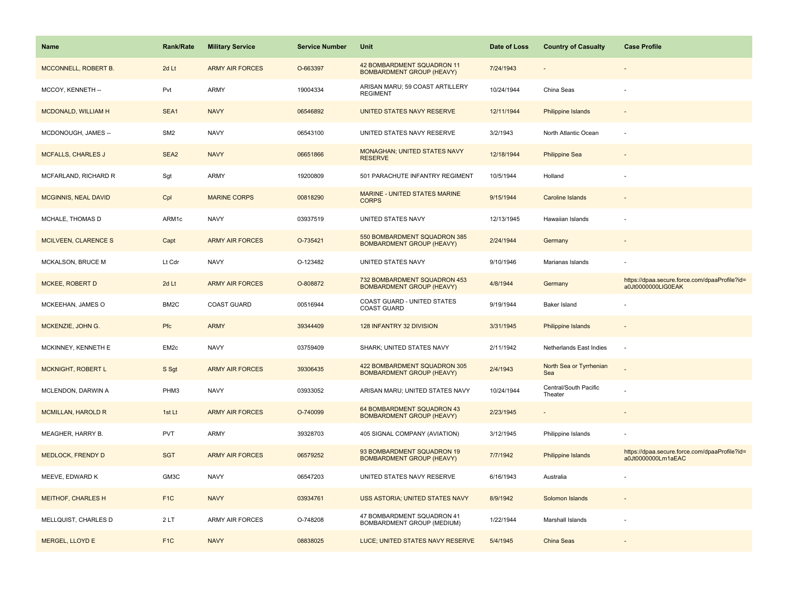| <b>Name</b>               | <b>Rank/Rate</b> | <b>Military Service</b> | <b>Service Number</b> | Unit                                                             | Date of Loss | <b>Country of Casualty</b>       | <b>Case Profile</b>                                                 |
|---------------------------|------------------|-------------------------|-----------------------|------------------------------------------------------------------|--------------|----------------------------------|---------------------------------------------------------------------|
| MCCONNELL, ROBERT B.      | 2d Lt            | <b>ARMY AIR FORCES</b>  | O-663397              | 42 BOMBARDMENT SQUADRON 11<br><b>BOMBARDMENT GROUP (HEAVY)</b>   | 7/24/1943    |                                  |                                                                     |
| MCCOY, KENNETH --         | Pvt              | <b>ARMY</b>             | 19004334              | ARISAN MARU; 59 COAST ARTILLERY<br><b>REGIMENT</b>               | 10/24/1944   | China Seas                       |                                                                     |
| MCDONALD, WILLIAM H       | SEA1             | <b>NAVY</b>             | 06546892              | UNITED STATES NAVY RESERVE                                       | 12/11/1944   | Philippine Islands               |                                                                     |
| MCDONOUGH, JAMES --       | SM <sub>2</sub>  | <b>NAVY</b>             | 06543100              | UNITED STATES NAVY RESERVE                                       | 3/2/1943     | North Atlantic Ocean             |                                                                     |
| <b>MCFALLS, CHARLES J</b> | SEA <sub>2</sub> | <b>NAVY</b>             | 06651866              | <b>MONAGHAN; UNITED STATES NAVY</b><br><b>RESERVE</b>            | 12/18/1944   | <b>Philippine Sea</b>            |                                                                     |
| MCFARLAND, RICHARD R      | Sgt              | <b>ARMY</b>             | 19200809              | 501 PARACHUTE INFANTRY REGIMENT                                  | 10/5/1944    | Holland                          |                                                                     |
| MCGINNIS, NEAL DAVID      | Cpl              | <b>MARINE CORPS</b>     | 00818290              | <b>MARINE - UNITED STATES MARINE</b><br><b>CORPS</b>             | 9/15/1944    | Caroline Islands                 |                                                                     |
| MCHALE, THOMAS D          | ARM1c            | <b>NAVY</b>             | 03937519              | UNITED STATES NAVY                                               | 12/13/1945   | Hawaiian Islands                 |                                                                     |
| MCILVEEN, CLARENCE S      | Capt             | <b>ARMY AIR FORCES</b>  | O-735421              | 550 BOMBARDMENT SQUADRON 385<br><b>BOMBARDMENT GROUP (HEAVY)</b> | 2/24/1944    | Germany                          |                                                                     |
| MCKALSON, BRUCE M         | Lt Cdr           | <b>NAVY</b>             | O-123482              | UNITED STATES NAVY                                               | 9/10/1946    | Marianas Islands                 |                                                                     |
| <b>MCKEE, ROBERT D</b>    | 2d Lt            | <b>ARMY AIR FORCES</b>  | O-808872              | 732 BOMBARDMENT SQUADRON 453<br><b>BOMBARDMENT GROUP (HEAVY)</b> | 4/8/1944     | Germany                          | https://dpaa.secure.force.com/dpaaProfile?id=<br>a0Jt0000000LIG0EAK |
| MCKEEHAN, JAMES O         | BM2C             | <b>COAST GUARD</b>      | 00516944              | COAST GUARD - UNITED STATES<br><b>COAST GUARD</b>                | 9/19/1944    | Baker Island                     |                                                                     |
| MCKENZIE, JOHN G.         | Pfc              | <b>ARMY</b>             | 39344409              | 128 INFANTRY 32 DIVISION                                         | 3/31/1945    | Philippine Islands               |                                                                     |
| MCKINNEY, KENNETH E       | EM <sub>2c</sub> | <b>NAVY</b>             | 03759409              | SHARK; UNITED STATES NAVY                                        | 2/11/1942    | Netherlands East Indies          | ÷.                                                                  |
| MCKNIGHT, ROBERT L        | S Sgt            | <b>ARMY AIR FORCES</b>  | 39306435              | 422 BOMBARDMENT SQUADRON 305<br><b>BOMBARDMENT GROUP (HEAVY)</b> | 2/4/1943     | North Sea or Tyrrhenian<br>Sea   |                                                                     |
| MCLENDON, DARWIN A        | PHM3             | <b>NAVY</b>             | 03933052              | ARISAN MARU; UNITED STATES NAVY                                  | 10/24/1944   | Central/South Pacific<br>Theater |                                                                     |
| <b>MCMILLAN, HAROLD R</b> | 1st Lt           | <b>ARMY AIR FORCES</b>  | O-740099              | 64 BOMBARDMENT SQUADRON 43<br><b>BOMBARDMENT GROUP (HEAVY)</b>   | 2/23/1945    |                                  |                                                                     |
| MEAGHER, HARRY B.         | PVT              | <b>ARMY</b>             | 39328703              | 405 SIGNAL COMPANY (AVIATION)                                    | 3/12/1945    | Philippine Islands               |                                                                     |
| MEDLOCK, FRENDY D         | <b>SGT</b>       | <b>ARMY AIR FORCES</b>  | 06579252              | 93 BOMBARDMENT SQUADRON 19<br><b>BOMBARDMENT GROUP (HEAVY)</b>   | 7/7/1942     | Philippine Islands               | https://dpaa.secure.force.com/dpaaProfile?id=<br>a0Jt0000000Lm1aEAC |
| MEEVE, EDWARD K           | GM3C             | <b>NAVY</b>             | 06547203              | UNITED STATES NAVY RESERVE                                       | 6/16/1943    | Australia                        |                                                                     |
| MEITHOF, CHARLES H        | F <sub>1</sub> C | <b>NAVY</b>             | 03934761              | USS ASTORIA; UNITED STATES NAVY                                  | 8/9/1942     | Solomon Islands                  |                                                                     |
| MELLQUIST, CHARLES D      | 2LT              | <b>ARMY AIR FORCES</b>  | O-748208              | 47 BOMBARDMENT SQUADRON 41<br>BOMBARDMENT GROUP (MEDIUM)         | 1/22/1944    | Marshall Islands                 |                                                                     |
| MERGEL, LLOYD E           | F <sub>1C</sub>  | <b>NAVY</b>             | 08838025              | LUCE; UNITED STATES NAVY RESERVE                                 | 5/4/1945     | China Seas                       |                                                                     |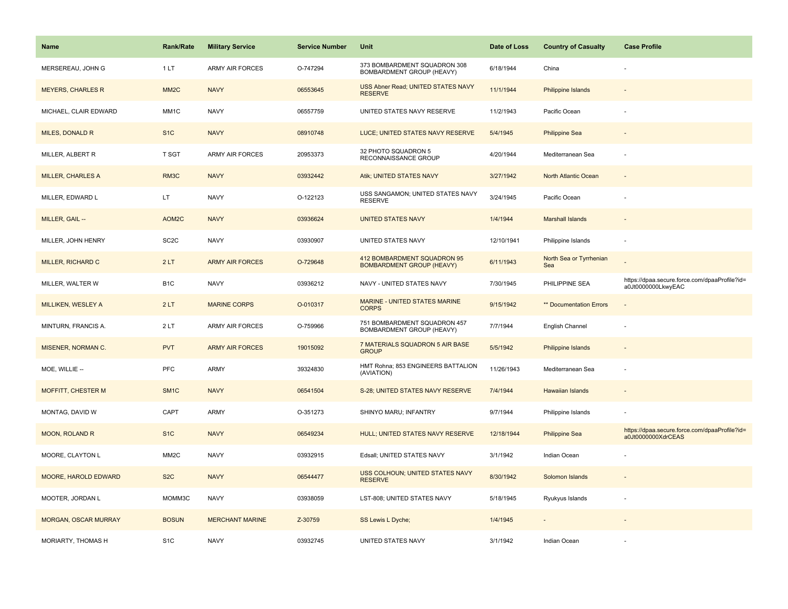| <b>Name</b>                 | <b>Rank/Rate</b>  | <b>Military Service</b> | <b>Service Number</b> | Unit                                                            | Date of Loss | <b>Country of Casualty</b>     | <b>Case Profile</b>                                                 |
|-----------------------------|-------------------|-------------------------|-----------------------|-----------------------------------------------------------------|--------------|--------------------------------|---------------------------------------------------------------------|
| MERSEREAU, JOHN G           | 1LT               | <b>ARMY AIR FORCES</b>  | O-747294              | 373 BOMBARDMENT SQUADRON 308<br>BOMBARDMENT GROUP (HEAVY)       | 6/18/1944    | China                          |                                                                     |
| <b>MEYERS, CHARLES R</b>    | MM <sub>2</sub> C | <b>NAVY</b>             | 06553645              | USS Abner Read; UNITED STATES NAVY<br><b>RESERVE</b>            | 11/1/1944    | <b>Philippine Islands</b>      |                                                                     |
| MICHAEL, CLAIR EDWARD       | MM <sub>1</sub> C | <b>NAVY</b>             | 06557759              | UNITED STATES NAVY RESERVE                                      | 11/2/1943    | Pacific Ocean                  |                                                                     |
| MILES, DONALD R             | S <sub>1</sub> C  | <b>NAVY</b>             | 08910748              | LUCE; UNITED STATES NAVY RESERVE                                | 5/4/1945     | <b>Philippine Sea</b>          |                                                                     |
| MILLER, ALBERT R            | T SGT             | <b>ARMY AIR FORCES</b>  | 20953373              | 32 PHOTO SQUADRON 5<br>RECONNAISSANCE GROUP                     | 4/20/1944    | Mediterranean Sea              |                                                                     |
| <b>MILLER, CHARLES A</b>    | RM3C              | <b>NAVY</b>             | 03932442              | Atik; UNITED STATES NAVY                                        | 3/27/1942    | North Atlantic Ocean           |                                                                     |
| MILLER, EDWARD L            | LT.               | <b>NAVY</b>             | O-122123              | USS SANGAMON; UNITED STATES NAVY<br><b>RESERVE</b>              | 3/24/1945    | Pacific Ocean                  |                                                                     |
| MILLER, GAIL --             | AOM2C             | <b>NAVY</b>             | 03936624              | <b>UNITED STATES NAVY</b>                                       | 1/4/1944     | <b>Marshall Islands</b>        |                                                                     |
| MILLER, JOHN HENRY          | SC <sub>2</sub> C | <b>NAVY</b>             | 03930907              | UNITED STATES NAVY                                              | 12/10/1941   | Philippine Islands             |                                                                     |
| MILLER, RICHARD C           | 2LT               | <b>ARMY AIR FORCES</b>  | O-729648              | 412 BOMBARDMENT SQUADRON 95<br><b>BOMBARDMENT GROUP (HEAVY)</b> | 6/11/1943    | North Sea or Tyrrhenian<br>Sea |                                                                     |
| MILLER, WALTER W            | B <sub>1</sub> C  | <b>NAVY</b>             | 03936212              | NAVY - UNITED STATES NAVY                                       | 7/30/1945    | PHILIPPINE SEA                 | https://dpaa.secure.force.com/dpaaProfile?id=<br>a0Jt0000000LkwyEAC |
| MILLIKEN, WESLEY A          | 2LT               | <b>MARINE CORPS</b>     | O-010317              | MARINE - UNITED STATES MARINE<br><b>CORPS</b>                   | 9/15/1942    | ** Documentation Errors        | $\sim$                                                              |
| MINTURN, FRANCIS A.         | 2LT               | <b>ARMY AIR FORCES</b>  | O-759966              | 751 BOMBARDMENT SQUADRON 457<br>BOMBARDMENT GROUP (HEAVY)       | 7/7/1944     | English Channel                |                                                                     |
| <b>MISENER, NORMAN C.</b>   | <b>PVT</b>        | <b>ARMY AIR FORCES</b>  | 19015092              | 7 MATERIALS SQUADRON 5 AIR BASE<br><b>GROUP</b>                 | 5/5/1942     | Philippine Islands             |                                                                     |
| MOE, WILLIE --              | PFC               | ARMY                    | 39324830              | HMT Rohna; 853 ENGINEERS BATTALION<br>(AVIATION)                | 11/26/1943   | Mediterranean Sea              |                                                                     |
| <b>MOFFITT, CHESTER M</b>   | SM <sub>1</sub> C | <b>NAVY</b>             | 06541504              | S-28; UNITED STATES NAVY RESERVE                                | 7/4/1944     | <b>Hawaiian Islands</b>        |                                                                     |
| MONTAG, DAVID W             | CAPT              | <b>ARMY</b>             | O-351273              | SHINYO MARU; INFANTRY                                           | 9/7/1944     | Philippine Islands             |                                                                     |
| <b>MOON, ROLAND R</b>       | S <sub>1C</sub>   | <b>NAVY</b>             | 06549234              | HULL; UNITED STATES NAVY RESERVE                                | 12/18/1944   | <b>Philippine Sea</b>          | https://dpaa.secure.force.com/dpaaProfile?id=<br>a0Jt0000000XdrCEAS |
| MOORE, CLAYTON L            | MM <sub>2</sub> C | <b>NAVY</b>             | 03932915              | Edsall; UNITED STATES NAVY                                      | 3/1/1942     | Indian Ocean                   |                                                                     |
| MOORE, HAROLD EDWARD        | S <sub>2</sub> C  | <b>NAVY</b>             | 06544477              | USS COLHOUN; UNITED STATES NAVY<br><b>RESERVE</b>               | 8/30/1942    | Solomon Islands                |                                                                     |
| MOOTER, JORDAN L            | MOMM3C            | <b>NAVY</b>             | 03938059              | LST-808; UNITED STATES NAVY                                     | 5/18/1945    | Ryukyus Islands                |                                                                     |
| <b>MORGAN, OSCAR MURRAY</b> | <b>BOSUN</b>      | <b>MERCHANT MARINE</b>  | Z-30759               | SS Lewis L Dyche;                                               | 1/4/1945     |                                |                                                                     |
| MORIARTY, THOMAS H          | S <sub>1</sub> C  | <b>NAVY</b>             | 03932745              | UNITED STATES NAVY                                              | 3/1/1942     | Indian Ocean                   |                                                                     |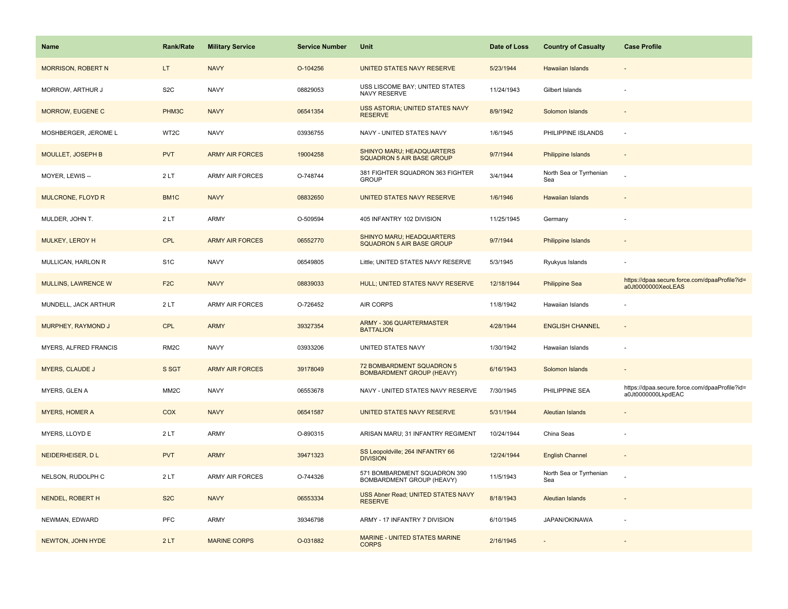| <b>Name</b>                | <b>Rank/Rate</b>  | <b>Military Service</b> | <b>Service Number</b> | Unit                                                          | Date of Loss | <b>Country of Casualty</b>     | <b>Case Profile</b>                                                 |
|----------------------------|-------------------|-------------------------|-----------------------|---------------------------------------------------------------|--------------|--------------------------------|---------------------------------------------------------------------|
| <b>MORRISON, ROBERT N</b>  | LT.               | <b>NAVY</b>             | O-104256              | UNITED STATES NAVY RESERVE                                    | 5/23/1944    | Hawaiian Islands               |                                                                     |
| MORROW, ARTHUR J           | S <sub>2</sub> C  | <b>NAVY</b>             | 08829053              | USS LISCOME BAY; UNITED STATES<br>NAVY RESERVE                | 11/24/1943   | Gilbert Islands                |                                                                     |
| MORROW, EUGENE C           | PHM3C             | <b>NAVY</b>             | 06541354              | USS ASTORIA; UNITED STATES NAVY<br><b>RESERVE</b>             | 8/9/1942     | Solomon Islands                |                                                                     |
| MOSHBERGER, JEROME L       | WT2C              | <b>NAVY</b>             | 03936755              | NAVY - UNITED STATES NAVY                                     | 1/6/1945     | PHILIPPINE ISLANDS             |                                                                     |
| <b>MOULLET, JOSEPH B</b>   | <b>PVT</b>        | <b>ARMY AIR FORCES</b>  | 19004258              | SHINYO MARU; HEADQUARTERS<br><b>SQUADRON 5 AIR BASE GROUP</b> | 9/7/1944     | <b>Philippine Islands</b>      |                                                                     |
| MOYER, LEWIS --            | 2LT               | ARMY AIR FORCES         | O-748744              | 381 FIGHTER SQUADRON 363 FIGHTER<br><b>GROUP</b>              | 3/4/1944     | North Sea or Tyrrhenian<br>Sea |                                                                     |
| <b>MULCRONE, FLOYD R</b>   | BM <sub>1</sub> C | <b>NAVY</b>             | 08832650              | UNITED STATES NAVY RESERVE                                    | 1/6/1946     | <b>Hawaiian Islands</b>        |                                                                     |
| MULDER, JOHN T.            | 2LT               | ARMY                    | O-509594              | 405 INFANTRY 102 DIVISION                                     | 11/25/1945   | Germany                        |                                                                     |
| MULKEY, LEROY H            | <b>CPL</b>        | <b>ARMY AIR FORCES</b>  | 06552770              | SHINYO MARU; HEADQUARTERS<br><b>SQUADRON 5 AIR BASE GROUP</b> | 9/7/1944     | Philippine Islands             |                                                                     |
| MULLICAN, HARLON R         | S <sub>1</sub> C  | <b>NAVY</b>             | 06549805              | Little; UNITED STATES NAVY RESERVE                            | 5/3/1945     | Ryukyus Islands                |                                                                     |
| <b>MULLINS, LAWRENCE W</b> | F <sub>2</sub> C  | <b>NAVY</b>             | 08839033              | HULL; UNITED STATES NAVY RESERVE                              | 12/18/1944   | <b>Philippine Sea</b>          | https://dpaa.secure.force.com/dpaaProfile?id=<br>a0Jt0000000XeoLEAS |
| MUNDELL, JACK ARTHUR       | 2LT               | ARMY AIR FORCES         | O-726452              | AIR CORPS                                                     | 11/8/1942    | Hawaiian Islands               |                                                                     |
| MURPHEY, RAYMOND J         | <b>CPL</b>        | <b>ARMY</b>             | 39327354              | <b>ARMY - 306 QUARTERMASTER</b><br><b>BATTALION</b>           | 4/28/1944    | <b>ENGLISH CHANNEL</b>         |                                                                     |
| MYERS, ALFRED FRANCIS      | RM <sub>2</sub> C | <b>NAVY</b>             | 03933206              | UNITED STATES NAVY                                            | 1/30/1942    | Hawaiian Islands               |                                                                     |
| <b>MYERS, CLAUDE J</b>     | S SGT             | <b>ARMY AIR FORCES</b>  | 39178049              | 72 BOMBARDMENT SQUADRON 5<br><b>BOMBARDMENT GROUP (HEAVY)</b> | 6/16/1943    | Solomon Islands                |                                                                     |
| MYERS, GLEN A              | MM <sub>2</sub> C | <b>NAVY</b>             | 06553678              | NAVY - UNITED STATES NAVY RESERVE                             | 7/30/1945    | PHILIPPINE SEA                 | https://dpaa.secure.force.com/dpaaProfile?id=<br>a0Jt0000000LkpdEAC |
| <b>MYERS, HOMER A</b>      | COX               | <b>NAVY</b>             | 06541587              | UNITED STATES NAVY RESERVE                                    | 5/31/1944    | <b>Aleutian Islands</b>        |                                                                     |
| MYERS, LLOYD E             | 2LT               | ARMY                    | O-890315              | ARISAN MARU; 31 INFANTRY REGIMENT                             | 10/24/1944   | China Seas                     |                                                                     |
| NEIDERHEISER, DL           | <b>PVT</b>        | <b>ARMY</b>             | 39471323              | SS Leopoldville; 264 INFANTRY 66<br><b>DIVISION</b>           | 12/24/1944   | <b>English Channel</b>         |                                                                     |
| NELSON, RUDOLPH C          | 2LT               | <b>ARMY AIR FORCES</b>  | O-744326              | 571 BOMBARDMENT SQUADRON 390<br>BOMBARDMENT GROUP (HEAVY)     | 11/5/1943    | North Sea or Tyrrhenian<br>Sea |                                                                     |
| NENDEL, ROBERT H           | S <sub>2</sub> C  | <b>NAVY</b>             | 06553334              | USS Abner Read; UNITED STATES NAVY<br><b>RESERVE</b>          | 8/18/1943    | <b>Aleutian Islands</b>        |                                                                     |
| NEWMAN, EDWARD             | <b>PFC</b>        | ARMY                    | 39346798              | ARMY - 17 INFANTRY 7 DIVISION                                 | 6/10/1945    | JAPAN/OKINAWA                  |                                                                     |
| NEWTON, JOHN HYDE          | 2LT               | <b>MARINE CORPS</b>     | O-031882              | MARINE - UNITED STATES MARINE<br><b>CORPS</b>                 | 2/16/1945    |                                |                                                                     |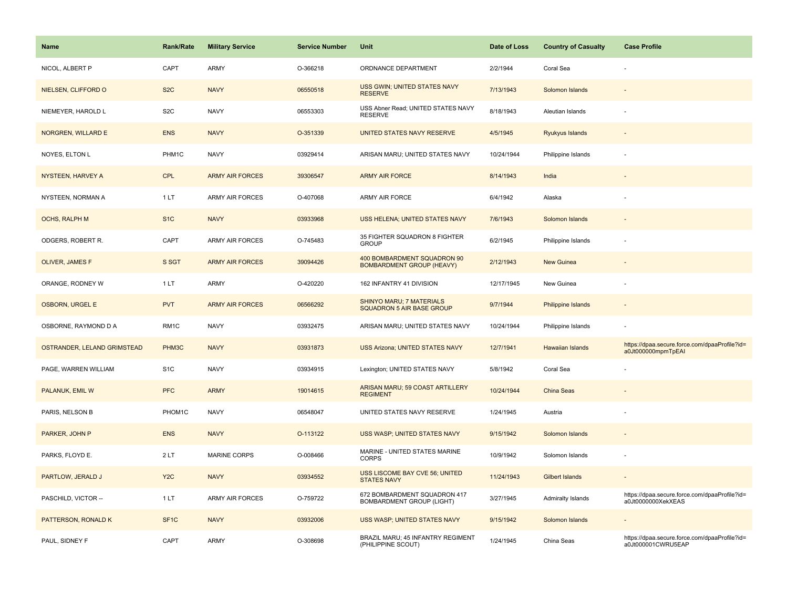| Name                        | <b>Rank/Rate</b>  | <b>Military Service</b> | <b>Service Number</b> | Unit                                                             | Date of Loss | <b>Country of Casualty</b> | <b>Case Profile</b>                                                 |
|-----------------------------|-------------------|-------------------------|-----------------------|------------------------------------------------------------------|--------------|----------------------------|---------------------------------------------------------------------|
| NICOL, ALBERT P             | CAPT              | ARMY                    | O-366218              | ORDNANCE DEPARTMENT                                              | 2/2/1944     | Coral Sea                  |                                                                     |
| NIELSEN, CLIFFORD O         | S <sub>2</sub> C  | <b>NAVY</b>             | 06550518              | USS GWIN; UNITED STATES NAVY<br><b>RESERVE</b>                   | 7/13/1943    | Solomon Islands            |                                                                     |
| NIEMEYER, HAROLD L          | S <sub>2</sub> C  | <b>NAVY</b>             | 06553303              | USS Abner Read; UNITED STATES NAVY<br><b>RESERVE</b>             | 8/18/1943    | Aleutian Islands           |                                                                     |
| NORGREN, WILLARD E          | <b>ENS</b>        | <b>NAVY</b>             | O-351339              | UNITED STATES NAVY RESERVE                                       | 4/5/1945     | <b>Ryukyus Islands</b>     |                                                                     |
| NOYES, ELTON L              | PHM1C             | <b>NAVY</b>             | 03929414              | ARISAN MARU; UNITED STATES NAVY                                  | 10/24/1944   | Philippine Islands         |                                                                     |
| NYSTEEN, HARVEY A           | CPL               | <b>ARMY AIR FORCES</b>  | 39306547              | <b>ARMY AIR FORCE</b>                                            | 8/14/1943    | India                      |                                                                     |
| NYSTEEN, NORMAN A           | 1LT               | <b>ARMY AIR FORCES</b>  | O-407068              | ARMY AIR FORCE                                                   | 6/4/1942     | Alaska                     |                                                                     |
| OCHS, RALPH M               | S <sub>1C</sub>   | <b>NAVY</b>             | 03933968              | USS HELENA; UNITED STATES NAVY                                   | 7/6/1943     | Solomon Islands            |                                                                     |
| ODGERS, ROBERT R.           | CAPT              | <b>ARMY AIR FORCES</b>  | O-745483              | 35 FIGHTER SQUADRON 8 FIGHTER<br><b>GROUP</b>                    | 6/2/1945     | Philippine Islands         |                                                                     |
| OLIVER, JAMES F             | S SGT             | <b>ARMY AIR FORCES</b>  | 39094426              | 400 BOMBARDMENT SQUADRON 90<br><b>BOMBARDMENT GROUP (HEAVY)</b>  | 2/12/1943    | New Guinea                 |                                                                     |
| ORANGE, RODNEY W            | 1LT               | ARMY                    | O-420220              | 162 INFANTRY 41 DIVISION                                         | 12/17/1945   | New Guinea                 |                                                                     |
| <b>OSBORN, URGEL E</b>      | <b>PVT</b>        | <b>ARMY AIR FORCES</b>  | 06566292              | SHINYO MARU; 7 MATERIALS<br>SQUADRON 5 AIR BASE GROUP            | 9/7/1944     | Philippine Islands         |                                                                     |
| OSBORNE, RAYMOND D A        | RM1C              | <b>NAVY</b>             | 03932475              | ARISAN MARU; UNITED STATES NAVY                                  | 10/24/1944   | Philippine Islands         |                                                                     |
| OSTRANDER, LELAND GRIMSTEAD | PHM3C             | <b>NAVY</b>             | 03931873              | <b>USS Arizona; UNITED STATES NAVY</b>                           | 12/7/1941    | <b>Hawaiian Islands</b>    | https://dpaa.secure.force.com/dpaaProfile?id=<br>a0Jt000000mpmTpEAI |
| PAGE, WARREN WILLIAM        | S <sub>1</sub> C  | <b>NAVY</b>             | 03934915              | Lexington; UNITED STATES NAVY                                    | 5/8/1942     | Coral Sea                  |                                                                     |
| <b>PALANUK, EMIL W</b>      | <b>PFC</b>        | <b>ARMY</b>             | 19014615              | ARISAN MARU; 59 COAST ARTILLERY<br><b>REGIMENT</b>               | 10/24/1944   | <b>China Seas</b>          |                                                                     |
| PARIS, NELSON B             | PHOM1C            | <b>NAVY</b>             | 06548047              | UNITED STATES NAVY RESERVE                                       | 1/24/1945    | Austria                    |                                                                     |
| PARKER, JOHN P              | <b>ENS</b>        | <b>NAVY</b>             | O-113122              | USS WASP; UNITED STATES NAVY                                     | 9/15/1942    | Solomon Islands            |                                                                     |
| PARKS, FLOYD E.             | 2LT               | <b>MARINE CORPS</b>     | O-008466              | MARINE - UNITED STATES MARINE<br><b>CORPS</b>                    | 10/9/1942    | Solomon Islands            |                                                                     |
| PARTLOW, JERALD J           | Y <sub>2</sub> C  | <b>NAVY</b>             | 03934552              | <b>USS LISCOME BAY CVE 56; UNITED</b><br><b>STATES NAVY</b>      | 11/24/1943   | <b>Gilbert Islands</b>     |                                                                     |
| PASCHILD, VICTOR --         | 1 LT              | <b>ARMY AIR FORCES</b>  | O-759722              | 672 BOMBARDMENT SQUADRON 417<br><b>BOMBARDMENT GROUP (LIGHT)</b> | 3/27/1945    | Admiralty Islands          | https://dpaa.secure.force.com/dpaaProfile?id=<br>a0Jt0000000XekXEAS |
| PATTERSON, RONALD K         | SF <sub>1</sub> C | <b>NAVY</b>             | 03932006              | USS WASP; UNITED STATES NAVY                                     | 9/15/1942    | Solomon Islands            |                                                                     |
| PAUL, SIDNEY F              | CAPT              | <b>ARMY</b>             | O-308698              | BRAZIL MARU; 45 INFANTRY REGIMENT<br>(PHILIPPINE SCOUT)          | 1/24/1945    | China Seas                 | https://dpaa.secure.force.com/dpaaProfile?id=<br>a0Jt000001CWRU5EAP |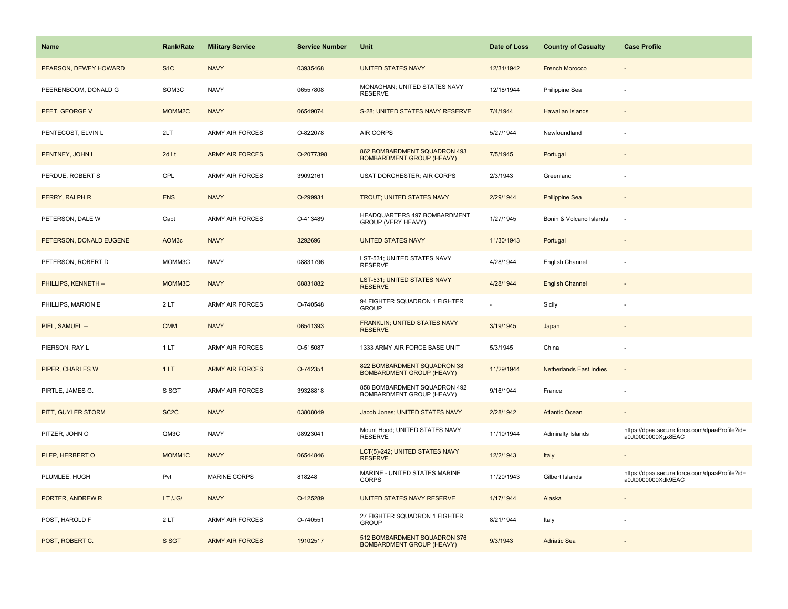| <b>Name</b>             | <b>Rank/Rate</b>  | <b>Military Service</b> | <b>Service Number</b> | Unit                                                             | Date of Loss | <b>Country of Casualty</b>     | <b>Case Profile</b>                                                 |
|-------------------------|-------------------|-------------------------|-----------------------|------------------------------------------------------------------|--------------|--------------------------------|---------------------------------------------------------------------|
| PEARSON, DEWEY HOWARD   | S <sub>1</sub> C  | <b>NAVY</b>             | 03935468              | <b>UNITED STATES NAVY</b>                                        | 12/31/1942   | <b>French Morocco</b>          |                                                                     |
| PEERENBOOM, DONALD G    | SOM3C             | <b>NAVY</b>             | 06557808              | MONAGHAN; UNITED STATES NAVY<br><b>RESERVE</b>                   | 12/18/1944   | Philippine Sea                 |                                                                     |
| PEET, GEORGE V          | MOMM2C            | <b>NAVY</b>             | 06549074              | S-28; UNITED STATES NAVY RESERVE                                 | 7/4/1944     | Hawaiian Islands               |                                                                     |
| PENTECOST, ELVIN L      | 2LT               | <b>ARMY AIR FORCES</b>  | O-822078              | <b>AIR CORPS</b>                                                 | 5/27/1944    | Newfoundland                   |                                                                     |
| PENTNEY, JOHN L         | 2d Lt             | <b>ARMY AIR FORCES</b>  | O-2077398             | 862 BOMBARDMENT SQUADRON 493<br><b>BOMBARDMENT GROUP (HEAVY)</b> | 7/5/1945     | Portugal                       |                                                                     |
| PERDUE, ROBERT S        | CPL               | ARMY AIR FORCES         | 39092161              | USAT DORCHESTER; AIR CORPS                                       | 2/3/1943     | Greenland                      |                                                                     |
| PERRY, RALPH R          | <b>ENS</b>        | <b>NAVY</b>             | O-299931              | <b>TROUT; UNITED STATES NAVY</b>                                 | 2/29/1944    | <b>Philippine Sea</b>          | $\overline{\phantom{a}}$                                            |
| PETERSON, DALE W        | Capt              | <b>ARMY AIR FORCES</b>  | O-413489              | HEADQUARTERS 497 BOMBARDMENT<br>GROUP (VERY HEAVY)               | 1/27/1945    | Bonin & Volcano Islands        |                                                                     |
| PETERSON, DONALD EUGENE | AOM3c             | <b>NAVY</b>             | 3292696               | <b>UNITED STATES NAVY</b>                                        | 11/30/1943   | Portugal                       |                                                                     |
| PETERSON, ROBERT D      | MOMM3C            | <b>NAVY</b>             | 08831796              | LST-531; UNITED STATES NAVY<br><b>RESERVE</b>                    | 4/28/1944    | English Channel                |                                                                     |
| PHILLIPS, KENNETH --    | MOMM3C            | <b>NAVY</b>             | 08831882              | <b>LST-531; UNITED STATES NAVY</b><br><b>RESERVE</b>             | 4/28/1944    | <b>English Channel</b>         |                                                                     |
| PHILLIPS, MARION E      | 2LT               | ARMY AIR FORCES         | O-740548              | 94 FIGHTER SQUADRON 1 FIGHTER<br><b>GROUP</b>                    |              | Sicily                         |                                                                     |
| PIEL, SAMUEL --         | <b>CMM</b>        | <b>NAVY</b>             | 06541393              | FRANKLIN; UNITED STATES NAVY<br><b>RESERVE</b>                   | 3/19/1945    | Japan                          |                                                                     |
| PIERSON, RAY L          | 1LT               | ARMY AIR FORCES         | O-515087              | 1333 ARMY AIR FORCE BASE UNIT                                    | 5/3/1945     | China                          |                                                                     |
| <b>PIPER, CHARLES W</b> | 1LT               | <b>ARMY AIR FORCES</b>  | O-742351              | 822 BOMBARDMENT SQUADRON 38<br><b>BOMBARDMENT GROUP (HEAVY)</b>  | 11/29/1944   | <b>Netherlands East Indies</b> |                                                                     |
| PIRTLE, JAMES G.        | S SGT             | <b>ARMY AIR FORCES</b>  | 39328818              | 858 BOMBARDMENT SQUADRON 492<br>BOMBARDMENT GROUP (HEAVY)        | 9/16/1944    | France                         |                                                                     |
| PITT, GUYLER STORM      | SC <sub>2</sub> C | <b>NAVY</b>             | 03808049              | Jacob Jones; UNITED STATES NAVY                                  | 2/28/1942    | <b>Atlantic Ocean</b>          |                                                                     |
| PITZER, JOHN O          | QM3C              | <b>NAVY</b>             | 08923041              | Mount Hood; UNITED STATES NAVY<br><b>RESERVE</b>                 | 11/10/1944   | Admiralty Islands              | https://dpaa.secure.force.com/dpaaProfile?id=<br>a0Jt0000000Xgx8EAC |
| PLEP, HERBERT O         | MOMM1C            | <b>NAVY</b>             | 06544846              | LCT(5)-242; UNITED STATES NAVY<br><b>RESERVE</b>                 | 12/2/1943    | Italy                          |                                                                     |
| PLUMLEE, HUGH           | Pvt               | <b>MARINE CORPS</b>     | 818248                | MARINE - UNITED STATES MARINE<br>CORPS                           | 11/20/1943   | Gilbert Islands                | https://dpaa.secure.force.com/dpaaProfile?id=<br>a0Jt0000000Xdk9EAC |
| PORTER, ANDREW R        | LT /JG/           | <b>NAVY</b>             | O-125289              | UNITED STATES NAVY RESERVE                                       | 1/17/1944    | Alaska                         |                                                                     |
| POST, HAROLD F          | 2LT               | ARMY AIR FORCES         | O-740551              | 27 FIGHTER SQUADRON 1 FIGHTER<br><b>GROUP</b>                    | 8/21/1944    | Italy                          |                                                                     |
| POST, ROBERT C.         | S SGT             | <b>ARMY AIR FORCES</b>  | 19102517              | 512 BOMBARDMENT SQUADRON 376<br><b>BOMBARDMENT GROUP (HEAVY)</b> | 9/3/1943     | <b>Adriatic Sea</b>            |                                                                     |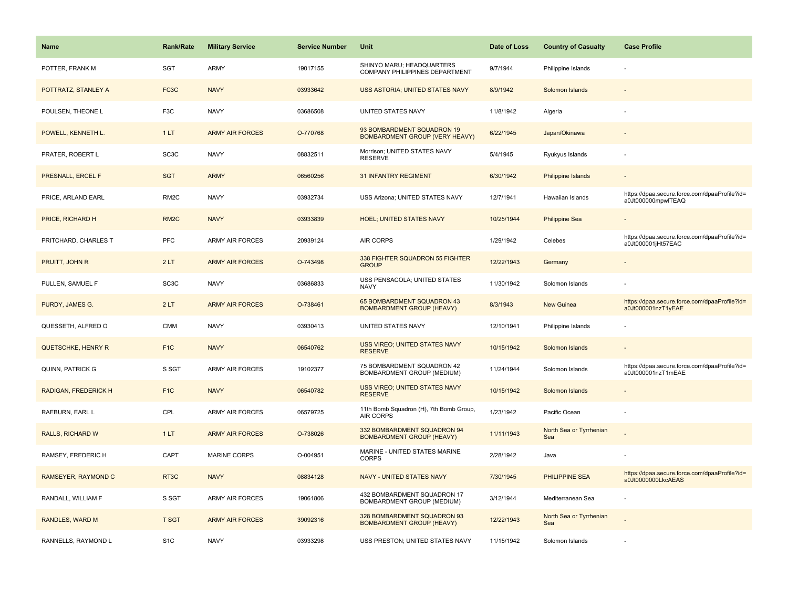| Name                      | <b>Rank/Rate</b>  | <b>Military Service</b> | <b>Service Number</b> | Unit                                                                | Date of Loss | <b>Country of Casualty</b>     | <b>Case Profile</b>                                                 |
|---------------------------|-------------------|-------------------------|-----------------------|---------------------------------------------------------------------|--------------|--------------------------------|---------------------------------------------------------------------|
| POTTER, FRANK M           | SGT               | ARMY                    | 19017155              | SHINYO MARU; HEADQUARTERS<br>COMPANY PHILIPPINES DEPARTMENT         | 9/7/1944     | Philippine Islands             |                                                                     |
| POTTRATZ, STANLEY A       | FC3C              | <b>NAVY</b>             | 03933642              | USS ASTORIA; UNITED STATES NAVY                                     | 8/9/1942     | Solomon Islands                |                                                                     |
| POULSEN, THEONE L         | F <sub>3</sub> C  | <b>NAVY</b>             | 03686508              | UNITED STATES NAVY                                                  | 11/8/1942    | Algeria                        |                                                                     |
| POWELL, KENNETH L.        | 1LT               | <b>ARMY AIR FORCES</b>  | O-770768              | 93 BOMBARDMENT SQUADRON 19<br><b>BOMBARDMENT GROUP (VERY HEAVY)</b> | 6/22/1945    | Japan/Okinawa                  |                                                                     |
| PRATER, ROBERT L          | SC <sub>3</sub> C | <b>NAVY</b>             | 08832511              | Morrison: UNITED STATES NAVY<br><b>RESERVE</b>                      | 5/4/1945     | Ryukyus Islands                |                                                                     |
| PRESNALL, ERCEL F         | <b>SGT</b>        | <b>ARMY</b>             | 06560256              | <b>31 INFANTRY REGIMENT</b>                                         | 6/30/1942    | Philippine Islands             |                                                                     |
| PRICE, ARLAND EARL        | RM <sub>2</sub> C | <b>NAVY</b>             | 03932734              | USS Arizona; UNITED STATES NAVY                                     | 12/7/1941    | Hawaiian Islands               | https://dpaa.secure.force.com/dpaaProfile?id=<br>a0Jt000000mpwlTEAQ |
| PRICE, RICHARD H          | RM <sub>2</sub> C | <b>NAVY</b>             | 03933839              | <b>HOEL; UNITED STATES NAVY</b>                                     | 10/25/1944   | <b>Philippine Sea</b>          |                                                                     |
| PRITCHARD, CHARLES T      | PFC               | <b>ARMY AIR FORCES</b>  | 20939124              | <b>AIR CORPS</b>                                                    | 1/29/1942    | Celebes                        | https://dpaa.secure.force.com/dpaaProfile?id=<br>a0Jt000001jHt57EAC |
| PRUITT, JOHN R            | 2LT               | <b>ARMY AIR FORCES</b>  | O-743498              | 338 FIGHTER SQUADRON 55 FIGHTER<br><b>GROUP</b>                     | 12/22/1943   | Germany                        |                                                                     |
| PULLEN, SAMUEL F          | SC <sub>3</sub> C | <b>NAVY</b>             | 03686833              | USS PENSACOLA; UNITED STATES<br><b>NAVY</b>                         | 11/30/1942   | Solomon Islands                |                                                                     |
| PURDY, JAMES G.           | 2LT               | <b>ARMY AIR FORCES</b>  | O-738461              | 65 BOMBARDMENT SQUADRON 43<br><b>BOMBARDMENT GROUP (HEAVY)</b>      | 8/3/1943     | <b>New Guinea</b>              | https://dpaa.secure.force.com/dpaaProfile?id=<br>a0Jt000001nzT1yEAE |
| QUESSETH, ALFRED O        | <b>CMM</b>        | <b>NAVY</b>             | 03930413              | UNITED STATES NAVY                                                  | 12/10/1941   | Philippine Islands             |                                                                     |
| <b>QUETSCHKE, HENRY R</b> | F <sub>1</sub> C  | <b>NAVY</b>             | 06540762              | USS VIREO; UNITED STATES NAVY<br><b>RESERVE</b>                     | 10/15/1942   | Solomon Islands                |                                                                     |
| QUINN, PATRICK G          | S SGT             | <b>ARMY AIR FORCES</b>  | 19102377              | 75 BOMBARDMENT SQUADRON 42<br>BOMBARDMENT GROUP (MEDIUM)            | 11/24/1944   | Solomon Islands                | https://dpaa.secure.force.com/dpaaProfile?id=<br>a0Jt000001nzT1mEAE |
| RADIGAN, FREDERICK H      | F <sub>1</sub> C  | <b>NAVY</b>             | 06540782              | USS VIREO; UNITED STATES NAVY<br><b>RESERVE</b>                     | 10/15/1942   | Solomon Islands                |                                                                     |
| RAEBURN, EARL L           | CPL               | <b>ARMY AIR FORCES</b>  | 06579725              | 11th Bomb Squadron (H), 7th Bomb Group,<br><b>AIR CORPS</b>         | 1/23/1942    | Pacific Ocean                  |                                                                     |
| RALLS, RICHARD W          | 1LT               | <b>ARMY AIR FORCES</b>  | O-738026              | 332 BOMBARDMENT SQUADRON 94<br><b>BOMBARDMENT GROUP (HEAVY)</b>     | 11/11/1943   | North Sea or Tyrrhenian<br>Sea |                                                                     |
| RAMSEY, FREDERIC H        | CAPT              | <b>MARINE CORPS</b>     | O-004951              | MARINE - UNITED STATES MARINE<br><b>CORPS</b>                       | 2/28/1942    | Java                           |                                                                     |
| RAMSEYER, RAYMOND C       | RT3C              | <b>NAVY</b>             | 08834128              | NAVY - UNITED STATES NAVY                                           | 7/30/1945    | PHILIPPINE SEA                 | https://dpaa.secure.force.com/dpaaProfile?id=<br>a0Jt0000000LkcAEAS |
| RANDALL, WILLIAM F        | S SGT             | <b>ARMY AIR FORCES</b>  | 19061806              | 432 BOMBARDMENT SQUADRON 17<br>BOMBARDMENT GROUP (MEDIUM)           | 3/12/1944    | Mediterranean Sea              |                                                                     |
| RANDLES, WARD M           | <b>T SGT</b>      | <b>ARMY AIR FORCES</b>  | 39092316              | 328 BOMBARDMENT SQUADRON 93<br><b>BOMBARDMENT GROUP (HEAVY)</b>     | 12/22/1943   | North Sea or Tyrrhenian<br>Sea |                                                                     |
| RANNELLS, RAYMOND L       | S <sub>1</sub> C  | <b>NAVY</b>             | 03933298              | USS PRESTON; UNITED STATES NAVY                                     | 11/15/1942   | Solomon Islands                |                                                                     |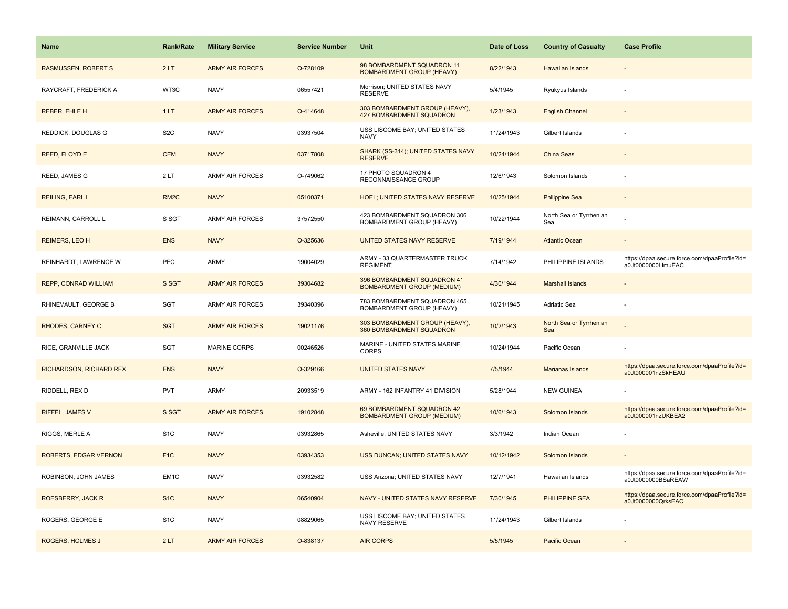| Name                        | <b>Rank/Rate</b>  | <b>Military Service</b> | <b>Service Number</b> | Unit                                                              | Date of Loss | <b>Country of Casualty</b>     | <b>Case Profile</b>                                                 |
|-----------------------------|-------------------|-------------------------|-----------------------|-------------------------------------------------------------------|--------------|--------------------------------|---------------------------------------------------------------------|
| <b>RASMUSSEN, ROBERT S</b>  | 2LT               | <b>ARMY AIR FORCES</b>  | O-728109              | 98 BOMBARDMENT SQUADRON 11<br><b>BOMBARDMENT GROUP (HEAVY)</b>    | 8/22/1943    | <b>Hawaiian Islands</b>        |                                                                     |
| RAYCRAFT, FREDERICK A       | WT3C              | <b>NAVY</b>             | 06557421              | Morrison; UNITED STATES NAVY<br><b>RESERVE</b>                    | 5/4/1945     | Ryukyus Islands                |                                                                     |
| <b>REBER, EHLE H</b>        | 1LT               | <b>ARMY AIR FORCES</b>  | O-414648              | 303 BOMBARDMENT GROUP (HEAVY),<br><b>427 BOMBARDMENT SQUADRON</b> | 1/23/1943    | <b>English Channel</b>         |                                                                     |
| REDDICK, DOUGLAS G          | S <sub>2</sub> C  | <b>NAVY</b>             | 03937504              | USS LISCOME BAY; UNITED STATES<br><b>NAVY</b>                     | 11/24/1943   | Gilbert Islands                |                                                                     |
| REED, FLOYD E               | <b>CEM</b>        | <b>NAVY</b>             | 03717808              | SHARK (SS-314); UNITED STATES NAVY<br><b>RESERVE</b>              | 10/24/1944   | China Seas                     |                                                                     |
| REED, JAMES G               | 2LT               | <b>ARMY AIR FORCES</b>  | O-749062              | 17 PHOTO SQUADRON 4<br>RECONNAISSANCE GROUP                       | 12/6/1943    | Solomon Islands                |                                                                     |
| REILING, EARL L             | RM <sub>2</sub> C | <b>NAVY</b>             | 05100371              | <b>HOEL; UNITED STATES NAVY RESERVE</b>                           | 10/25/1944   | <b>Philippine Sea</b>          |                                                                     |
| REIMANN, CARROLL L          | S SGT             | <b>ARMY AIR FORCES</b>  | 37572550              | 423 BOMBARDMENT SQUADRON 306<br>BOMBARDMENT GROUP (HEAVY)         | 10/22/1944   | North Sea or Tyrrhenian<br>Sea |                                                                     |
| <b>REIMERS, LEO H</b>       | <b>ENS</b>        | <b>NAVY</b>             | O-325636              | UNITED STATES NAVY RESERVE                                        | 7/19/1944    | <b>Atlantic Ocean</b>          |                                                                     |
| REINHARDT, LAWRENCE W       | PFC               | ARMY                    | 19004029              | ARMY - 33 QUARTERMASTER TRUCK<br><b>REGIMENT</b>                  | 7/14/1942    | PHILIPPINE ISLANDS             | https://dpaa.secure.force.com/dpaaProfile?id=<br>a0Jt0000000LlmuEAC |
| <b>REPP, CONRAD WILLIAM</b> | S SGT             | <b>ARMY AIR FORCES</b>  | 39304682              | 396 BOMBARDMENT SQUADRON 41<br><b>BOMBARDMENT GROUP (MEDIUM)</b>  | 4/30/1944    | <b>Marshall Islands</b>        |                                                                     |
| RHINEVAULT, GEORGE B        | <b>SGT</b>        | ARMY AIR FORCES         | 39340396              | 783 BOMBARDMENT SQUADRON 465<br>BOMBARDMENT GROUP (HEAVY)         | 10/21/1945   | Adriatic Sea                   |                                                                     |
| <b>RHODES, CARNEY C</b>     | <b>SGT</b>        | <b>ARMY AIR FORCES</b>  | 19021176              | 303 BOMBARDMENT GROUP (HEAVY),<br>360 BOMBARDMENT SQUADRON        | 10/2/1943    | North Sea or Tyrrhenian<br>Sea |                                                                     |
| RICE, GRANVILLE JACK        | <b>SGT</b>        | <b>MARINE CORPS</b>     | 00246526              | MARINE - UNITED STATES MARINE<br><b>CORPS</b>                     | 10/24/1944   | Pacific Ocean                  |                                                                     |
| RICHARDSON, RICHARD REX     | <b>ENS</b>        | <b>NAVY</b>             | O-329166              | <b>UNITED STATES NAVY</b>                                         | 7/5/1944     | Marianas Islands               | https://dpaa.secure.force.com/dpaaProfile?id=<br>a0Jt000001nzSkHEAU |
| RIDDELL, REX D              | <b>PVT</b>        | ARMY                    | 20933519              | ARMY - 162 INFANTRY 41 DIVISION                                   | 5/28/1944    | <b>NEW GUINEA</b>              |                                                                     |
| RIFFEL, JAMES V             | S SGT             | <b>ARMY AIR FORCES</b>  | 19102848              | 69 BOMBARDMENT SQUADRON 42<br><b>BOMBARDMENT GROUP (MEDIUM)</b>   | 10/6/1943    | Solomon Islands                | https://dpaa.secure.force.com/dpaaProfile?id=<br>a0Jt000001nzUKBEA2 |
| RIGGS, MERLE A              | S <sub>1</sub> C  | <b>NAVY</b>             | 03932865              | Asheville; UNITED STATES NAVY                                     | 3/3/1942     | Indian Ocean                   |                                                                     |
| ROBERTS, EDGAR VERNON       | F <sub>1</sub> C  | <b>NAVY</b>             | 03934353              | USS DUNCAN; UNITED STATES NAVY                                    | 10/12/1942   | Solomon Islands                |                                                                     |
| ROBINSON, JOHN JAMES        | EM1C              | <b>NAVY</b>             | 03932582              | USS Arizona; UNITED STATES NAVY                                   | 12/7/1941    | Hawaiian Islands               | https://dpaa.secure.force.com/dpaaProfile?id=<br>a0Jt0000000BSaREAW |
| ROESBERRY, JACK R           | S <sub>1</sub> C  | <b>NAVY</b>             | 06540904              | NAVY - UNITED STATES NAVY RESERVE                                 | 7/30/1945    | PHILIPPINE SEA                 | https://dpaa.secure.force.com/dpaaProfile?id=<br>a0Jt0000000QrksEAC |
| ROGERS, GEORGE E            | S <sub>1C</sub>   | <b>NAVY</b>             | 08829065              | USS LISCOME BAY; UNITED STATES<br>NAVY RESERVE                    | 11/24/1943   | Gilbert Islands                |                                                                     |
| ROGERS, HOLMES J            | 2LT               | <b>ARMY AIR FORCES</b>  | O-838137              | <b>AIR CORPS</b>                                                  | 5/5/1945     | Pacific Ocean                  |                                                                     |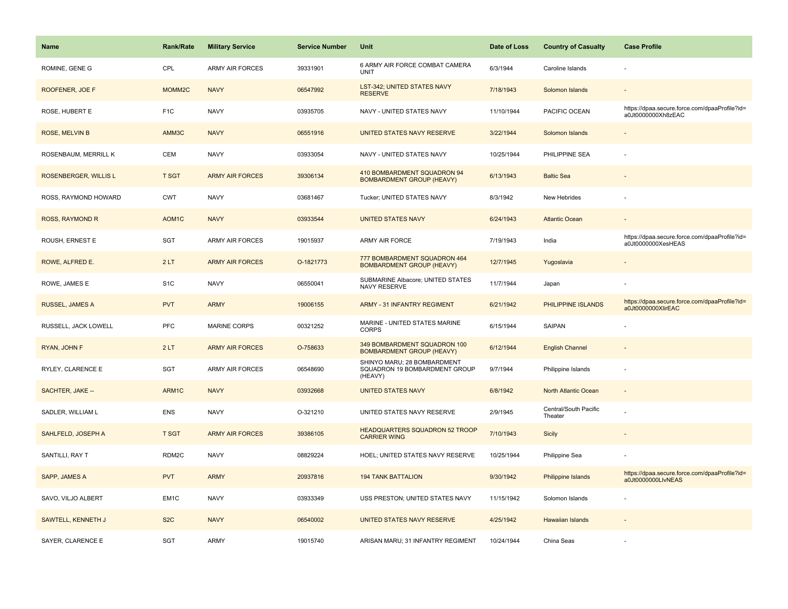| <b>Name</b>           | <b>Rank/Rate</b>  | <b>Military Service</b> | <b>Service Number</b> | Unit                                                                    | Date of Loss | <b>Country of Casualty</b>       | <b>Case Profile</b>                                                 |
|-----------------------|-------------------|-------------------------|-----------------------|-------------------------------------------------------------------------|--------------|----------------------------------|---------------------------------------------------------------------|
| ROMINE, GENE G        | CPL               | <b>ARMY AIR FORCES</b>  | 39331901              | 6 ARMY AIR FORCE COMBAT CAMERA<br>UNIT                                  | 6/3/1944     | Caroline Islands                 |                                                                     |
| ROOFENER, JOE F       | MOMM2C            | <b>NAVY</b>             | 06547992              | <b>LST-342; UNITED STATES NAVY</b><br><b>RESERVE</b>                    | 7/18/1943    | Solomon Islands                  |                                                                     |
| ROSE, HUBERT E        | F <sub>1</sub> C  | <b>NAVY</b>             | 03935705              | NAVY - UNITED STATES NAVY                                               | 11/10/1944   | PACIFIC OCEAN                    | https://dpaa.secure.force.com/dpaaProfile?id=<br>a0Jt0000000Xh8zEAC |
| ROSE, MELVIN B        | AMM3C             | <b>NAVY</b>             | 06551916              | UNITED STATES NAVY RESERVE                                              | 3/22/1944    | Solomon Islands                  |                                                                     |
| ROSENBAUM, MERRILL K  | <b>CEM</b>        | <b>NAVY</b>             | 03933054              | NAVY - UNITED STATES NAVY                                               | 10/25/1944   | PHILIPPINE SEA                   |                                                                     |
| ROSENBERGER, WILLIS L | <b>T SGT</b>      | <b>ARMY AIR FORCES</b>  | 39306134              | 410 BOMBARDMENT SQUADRON 94<br><b>BOMBARDMENT GROUP (HEAVY)</b>         | 6/13/1943    | <b>Baltic Sea</b>                |                                                                     |
| ROSS, RAYMOND HOWARD  | <b>CWT</b>        | <b>NAVY</b>             | 03681467              | Tucker; UNITED STATES NAVY                                              | 8/3/1942     | New Hebrides                     |                                                                     |
| ROSS, RAYMOND R       | AOM <sub>1C</sub> | <b>NAVY</b>             | 03933544              | <b>UNITED STATES NAVY</b>                                               | 6/24/1943    | <b>Atlantic Ocean</b>            |                                                                     |
| ROUSH, ERNEST E       | SGT               | ARMY AIR FORCES         | 19015937              | ARMY AIR FORCE                                                          | 7/19/1943    | India                            | https://dpaa.secure.force.com/dpaaProfile?id=<br>a0Jt0000000XesHEAS |
| ROWE, ALFRED E.       | 2LT               | <b>ARMY AIR FORCES</b>  | O-1821773             | 777 BOMBARDMENT SQUADRON 464<br><b>BOMBARDMENT GROUP (HEAVY)</b>        | 12/7/1945    | Yugoslavia                       |                                                                     |
| ROWE, JAMES E         | S <sub>1</sub> C  | <b>NAVY</b>             | 06550041              | SUBMARINE Albacore; UNITED STATES<br>NAVY RESERVE                       | 11/7/1944    | Japan                            |                                                                     |
| RUSSEL, JAMES A       | <b>PVT</b>        | <b>ARMY</b>             | 19006155              | <b>ARMY - 31 INFANTRY REGIMENT</b>                                      | 6/21/1942    | PHILIPPINE ISLANDS               | https://dpaa.secure.force.com/dpaaProfile?id=<br>a0Jt0000000XlirEAC |
| RUSSELL, JACK LOWELL  | PFC               | <b>MARINE CORPS</b>     | 00321252              | MARINE - UNITED STATES MARINE<br><b>CORPS</b>                           | 6/15/1944    | SAIPAN                           |                                                                     |
| RYAN, JOHN F          | 2LT               | <b>ARMY AIR FORCES</b>  | O-758633              | 349 BOMBARDMENT SQUADRON 100<br><b>BOMBARDMENT GROUP (HEAVY)</b>        | 6/12/1944    | <b>English Channel</b>           |                                                                     |
| RYLEY, CLARENCE E     | <b>SGT</b>        | <b>ARMY AIR FORCES</b>  | 06548690              | SHINYO MARU; 28 BOMBARDMENT<br>SQUADRON 19 BOMBARDMENT GROUP<br>(HEAVY) | 9/7/1944     | Philippine Islands               |                                                                     |
| SACHTER, JAKE --      | ARM1C             | <b>NAVY</b>             | 03932668              | <b>UNITED STATES NAVY</b>                                               | 6/8/1942     | North Atlantic Ocean             |                                                                     |
| SADLER, WILLIAM L     | <b>ENS</b>        | <b>NAVY</b>             | O-321210              | UNITED STATES NAVY RESERVE                                              | 2/9/1945     | Central/South Pacific<br>Theater |                                                                     |
| SAHLFELD, JOSEPH A    | <b>T SGT</b>      | <b>ARMY AIR FORCES</b>  | 39386105              | HEADQUARTERS SQUADRON 52 TROOP<br><b>CARRIER WING</b>                   | 7/10/1943    | Sicily                           |                                                                     |
| SANTILLI, RAY T       | RDM2C             | <b>NAVY</b>             | 08829224              | HOEL; UNITED STATES NAVY RESERVE                                        | 10/25/1944   | Philippine Sea                   |                                                                     |
| SAPP, JAMES A         | <b>PVT</b>        | <b>ARMY</b>             | 20937816              | <b>194 TANK BATTALION</b>                                               | 9/30/1942    | Philippine Islands               | https://dpaa.secure.force.com/dpaaProfile?id=<br>a0Jt0000000LlvNEAS |
| SAVO, VILJO ALBERT    | EM1C              | <b>NAVY</b>             | 03933349              | USS PRESTON; UNITED STATES NAVY                                         | 11/15/1942   | Solomon Islands                  |                                                                     |
| SAWTELL, KENNETH J    | S <sub>2</sub> C  | <b>NAVY</b>             | 06540002              | UNITED STATES NAVY RESERVE                                              | 4/25/1942    | <b>Hawaiian Islands</b>          |                                                                     |
| SAYER, CLARENCE E     | SGT               | ARMY                    | 19015740              | ARISAN MARU; 31 INFANTRY REGIMENT                                       | 10/24/1944   | China Seas                       |                                                                     |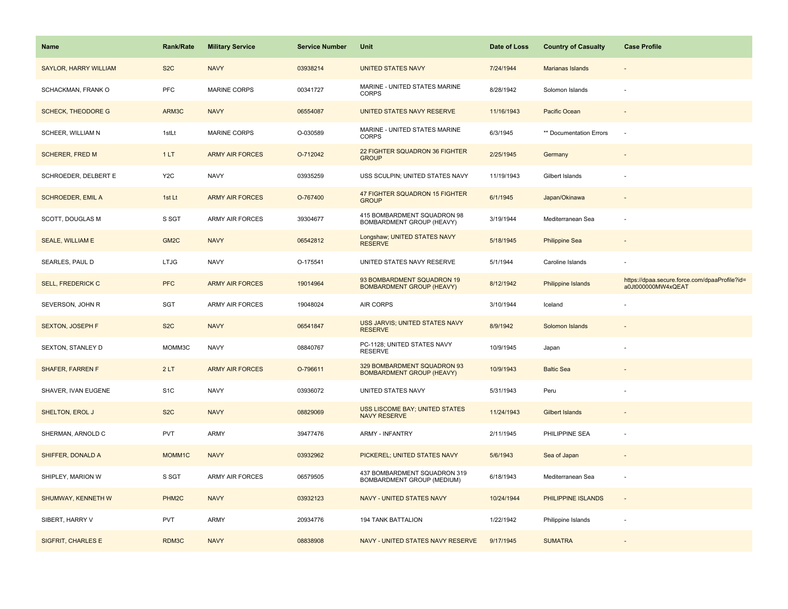| <b>Name</b>                  | <b>Rank/Rate</b>   | <b>Military Service</b> | <b>Service Number</b> | Unit                                                            | Date of Loss | <b>Country of Casualty</b> | <b>Case Profile</b>                                                 |
|------------------------------|--------------------|-------------------------|-----------------------|-----------------------------------------------------------------|--------------|----------------------------|---------------------------------------------------------------------|
| <b>SAYLOR, HARRY WILLIAM</b> | S <sub>2</sub> C   | <b>NAVY</b>             | 03938214              | <b>UNITED STATES NAVY</b>                                       | 7/24/1944    | Marianas Islands           |                                                                     |
| SCHACKMAN, FRANK O           | PFC                | MARINE CORPS            | 00341727              | MARINE - UNITED STATES MARINE<br><b>CORPS</b>                   | 8/28/1942    | Solomon Islands            |                                                                     |
| <b>SCHECK, THEODORE G</b>    | ARM3C              | <b>NAVY</b>             | 06554087              | UNITED STATES NAVY RESERVE                                      | 11/16/1943   | Pacific Ocean              |                                                                     |
| SCHEER, WILLIAM N            | 1stLt              | MARINE CORPS            | O-030589              | MARINE - UNITED STATES MARINE<br><b>CORPS</b>                   | 6/3/1945     | ** Documentation Errors    |                                                                     |
| <b>SCHERER, FRED M</b>       | 1LT                | <b>ARMY AIR FORCES</b>  | O-712042              | <b>22 FIGHTER SQUADRON 36 FIGHTER</b><br><b>GROUP</b>           | 2/25/1945    | Germany                    |                                                                     |
| SCHROEDER, DELBERT E         | Y <sub>2</sub> C   | <b>NAVY</b>             | 03935259              | USS SCULPIN; UNITED STATES NAVY                                 | 11/19/1943   | Gilbert Islands            |                                                                     |
| <b>SCHROEDER, EMIL A</b>     | 1st Lt             | <b>ARMY AIR FORCES</b>  | O-767400              | 47 FIGHTER SQUADRON 15 FIGHTER<br><b>GROUP</b>                  | 6/1/1945     | Japan/Okinawa              |                                                                     |
| SCOTT, DOUGLAS M             | S SGT              | <b>ARMY AIR FORCES</b>  | 39304677              | 415 BOMBARDMENT SQUADRON 98<br>BOMBARDMENT GROUP (HEAVY)        | 3/19/1944    | Mediterranean Sea          |                                                                     |
| <b>SEALE, WILLIAM E</b>      | GM <sub>2</sub> C  | <b>NAVY</b>             | 06542812              | Longshaw; UNITED STATES NAVY<br><b>RESERVE</b>                  | 5/18/1945    | <b>Philippine Sea</b>      |                                                                     |
| SEARLES, PAUL D              | <b>LTJG</b>        | <b>NAVY</b>             | O-175541              | UNITED STATES NAVY RESERVE                                      | 5/1/1944     | Caroline Islands           |                                                                     |
| <b>SELL, FREDERICK C</b>     | <b>PFC</b>         | <b>ARMY AIR FORCES</b>  | 19014964              | 93 BOMBARDMENT SQUADRON 19<br><b>BOMBARDMENT GROUP (HEAVY)</b>  | 8/12/1942    | <b>Philippine Islands</b>  | https://dpaa.secure.force.com/dpaaProfile?id=<br>a0Jt000000MW4xQEAT |
| SEVERSON, JOHN R             | SGT                | <b>ARMY AIR FORCES</b>  | 19048024              | AIR CORPS                                                       | 3/10/1944    | Iceland                    |                                                                     |
| <b>SEXTON, JOSEPH F</b>      | S <sub>2</sub> C   | <b>NAVY</b>             | 06541847              | <b>USS JARVIS; UNITED STATES NAVY</b><br><b>RESERVE</b>         | 8/9/1942     | Solomon Islands            |                                                                     |
| SEXTON, STANLEY D            | MOMM3C             | <b>NAVY</b>             | 08840767              | PC-1128; UNITED STATES NAVY<br><b>RESERVE</b>                   | 10/9/1945    | Japan                      |                                                                     |
| <b>SHAFER, FARREN F</b>      | 2LT                | <b>ARMY AIR FORCES</b>  | O-796611              | 329 BOMBARDMENT SQUADRON 93<br><b>BOMBARDMENT GROUP (HEAVY)</b> | 10/9/1943    | <b>Baltic Sea</b>          |                                                                     |
| SHAVER, IVAN EUGENE          | S <sub>1</sub> C   | <b>NAVY</b>             | 03936072              | UNITED STATES NAVY                                              | 5/31/1943    | Peru                       |                                                                     |
| <b>SHELTON, EROL J</b>       | S <sub>2</sub> C   | <b>NAVY</b>             | 08829069              | USS LISCOME BAY; UNITED STATES<br><b>NAVY RESERVE</b>           | 11/24/1943   | Gilbert Islands            |                                                                     |
| SHERMAN, ARNOLD C            | PVT                | <b>ARMY</b>             | 39477476              | <b>ARMY - INFANTRY</b>                                          | 2/11/1945    | PHILIPPINE SEA             |                                                                     |
| SHIFFER, DONALD A            | MOMM1C             | <b>NAVY</b>             | 03932962              | PICKEREL; UNITED STATES NAVY                                    | 5/6/1943     | Sea of Japan               |                                                                     |
| SHIPLEY, MARION W            | S SGT              | <b>ARMY AIR FORCES</b>  | 06579505              | 437 BOMBARDMENT SQUADRON 319<br>BOMBARDMENT GROUP (MEDIUM)      | 6/18/1943    | Mediterranean Sea          |                                                                     |
| SHUMWAY, KENNETH W           | PHM <sub>2</sub> C | <b>NAVY</b>             | 03932123              | NAVY - UNITED STATES NAVY                                       | 10/24/1944   | PHILIPPINE ISLANDS         | $\sim$                                                              |
| SIBERT, HARRY V              | <b>PVT</b>         | <b>ARMY</b>             | 20934776              | <b>194 TANK BATTALION</b>                                       | 1/22/1942    | Philippine Islands         |                                                                     |
| SIGFRIT, CHARLES E           | RDM3C              | <b>NAVY</b>             | 08838908              | NAVY - UNITED STATES NAVY RESERVE                               | 9/17/1945    | <b>SUMATRA</b>             |                                                                     |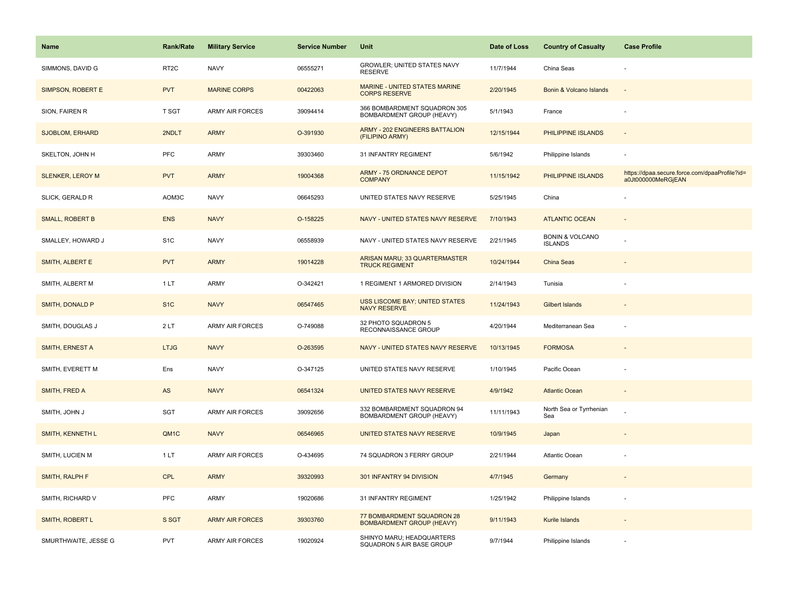| <b>Name</b>             | <b>Rank/Rate</b>  | <b>Military Service</b> | <b>Service Number</b> | Unit                                                           | Date of Loss | <b>Country of Casualty</b>                   | <b>Case Profile</b>                                                 |
|-------------------------|-------------------|-------------------------|-----------------------|----------------------------------------------------------------|--------------|----------------------------------------------|---------------------------------------------------------------------|
| SIMMONS, DAVID G        | RT <sub>2</sub> C | <b>NAVY</b>             | 06555271              | GROWLER; UNITED STATES NAVY<br><b>RESERVE</b>                  | 11/7/1944    | China Seas                                   |                                                                     |
| SIMPSON, ROBERT E       | <b>PVT</b>        | <b>MARINE CORPS</b>     | 00422063              | MARINE - UNITED STATES MARINE<br><b>CORPS RESERVE</b>          | 2/20/1945    | Bonin & Volcano Islands                      | $\sim$                                                              |
| SION, FAIREN R          | T SGT             | <b>ARMY AIR FORCES</b>  | 39094414              | 366 BOMBARDMENT SQUADRON 305<br>BOMBARDMENT GROUP (HEAVY)      | 5/1/1943     | France                                       |                                                                     |
| <b>SJOBLOM, ERHARD</b>  | 2NDLT             | <b>ARMY</b>             | O-391930              | <b>ARMY - 202 ENGINEERS BATTALION</b><br>(FILIPINO ARMY)       | 12/15/1944   | PHILIPPINE ISLANDS                           |                                                                     |
| SKELTON, JOHN H         | <b>PFC</b>        | <b>ARMY</b>             | 39303460              | 31 INFANTRY REGIMENT                                           | 5/6/1942     | Philippine Islands                           |                                                                     |
| <b>SLENKER, LEROY M</b> | <b>PVT</b>        | <b>ARMY</b>             | 19004368              | ARMY - 75 ORDNANCE DEPOT<br><b>COMPANY</b>                     | 11/15/1942   | PHILIPPINE ISLANDS                           | https://dpaa.secure.force.com/dpaaProfile?id=<br>a0Jt000000MeRGjEAN |
| SLICK, GERALD R         | AOM3C             | <b>NAVY</b>             | 06645293              | UNITED STATES NAVY RESERVE                                     | 5/25/1945    | China                                        |                                                                     |
| <b>SMALL, ROBERT B</b>  | <b>ENS</b>        | <b>NAVY</b>             | O-158225              | NAVY - UNITED STATES NAVY RESERVE                              | 7/10/1943    | <b>ATLANTIC OCEAN</b>                        |                                                                     |
| SMALLEY, HOWARD J       | S <sub>1</sub> C  | <b>NAVY</b>             | 06558939              | NAVY - UNITED STATES NAVY RESERVE                              | 2/21/1945    | <b>BONIN &amp; VOLCANO</b><br><b>ISLANDS</b> |                                                                     |
| SMITH, ALBERT E         | <b>PVT</b>        | <b>ARMY</b>             | 19014228              | ARISAN MARU; 33 QUARTERMASTER<br><b>TRUCK REGIMENT</b>         | 10/24/1944   | China Seas                                   |                                                                     |
| SMITH, ALBERT M         | 1 LT              | <b>ARMY</b>             | O-342421              | 1 REGIMENT 1 ARMORED DIVISION                                  | 2/14/1943    | Tunisia                                      |                                                                     |
| SMITH, DONALD P         | S <sub>1C</sub>   | <b>NAVY</b>             | 06547465              | <b>USS LISCOME BAY; UNITED STATES</b><br><b>NAVY RESERVE</b>   | 11/24/1943   | <b>Gilbert Islands</b>                       |                                                                     |
| SMITH, DOUGLAS J        | 2 LT              | ARMY AIR FORCES         | O-749088              | 32 PHOTO SQUADRON 5<br>RECONNAISSANCE GROUP                    | 4/20/1944    | Mediterranean Sea                            |                                                                     |
| SMITH, ERNEST A         | <b>LTJG</b>       | <b>NAVY</b>             | O-263595              | NAVY - UNITED STATES NAVY RESERVE                              | 10/13/1945   | <b>FORMOSA</b>                               |                                                                     |
| SMITH, EVERETT M        | Ens               | <b>NAVY</b>             | O-347125              | UNITED STATES NAVY RESERVE                                     | 1/10/1945    | Pacific Ocean                                |                                                                     |
| SMITH, FRED A           | AS                | <b>NAVY</b>             | 06541324              | UNITED STATES NAVY RESERVE                                     | 4/9/1942     | <b>Atlantic Ocean</b>                        |                                                                     |
| SMITH, JOHN J           | SGT               | <b>ARMY AIR FORCES</b>  | 39092656              | 332 BOMBARDMENT SQUADRON 94<br>BOMBARDMENT GROUP (HEAVY)       | 11/11/1943   | North Sea or Tyrrhenian<br>Sea               |                                                                     |
| <b>SMITH, KENNETH L</b> | QM <sub>1</sub> C | <b>NAVY</b>             | 06546965              | UNITED STATES NAVY RESERVE                                     | 10/9/1945    | Japan                                        |                                                                     |
| SMITH, LUCIEN M         | 1 LT              | <b>ARMY AIR FORCES</b>  | O-434695              | 74 SQUADRON 3 FERRY GROUP                                      | 2/21/1944    | Atlantic Ocean                               |                                                                     |
| SMITH, RALPH F          | <b>CPL</b>        | <b>ARMY</b>             | 39320993              | 301 INFANTRY 94 DIVISION                                       | 4/7/1945     | Germany                                      |                                                                     |
| SMITH, RICHARD V        | <b>PFC</b>        | <b>ARMY</b>             | 19020686              | 31 INFANTRY REGIMENT                                           | 1/25/1942    | Philippine Islands                           |                                                                     |
| SMITH, ROBERT L         | S SGT             | <b>ARMY AIR FORCES</b>  | 39303760              | 77 BOMBARDMENT SQUADRON 28<br><b>BOMBARDMENT GROUP (HEAVY)</b> | 9/11/1943    | Kurile Islands                               |                                                                     |
| SMURTHWAITE, JESSE G    | PVT               | <b>ARMY AIR FORCES</b>  | 19020924              | SHINYO MARU; HEADQUARTERS<br>SQUADRON 5 AIR BASE GROUP         | 9/7/1944     | Philippine Islands                           |                                                                     |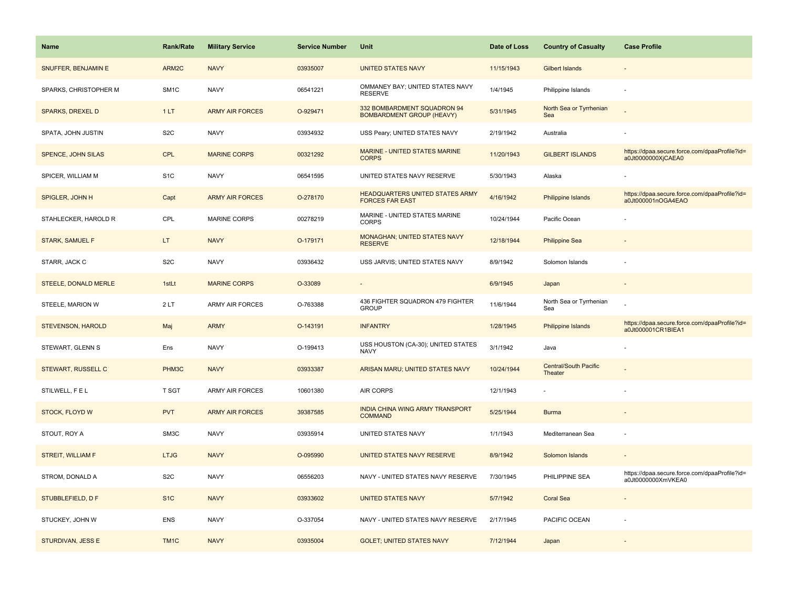| Name                        | <b>Rank/Rate</b> | <b>Military Service</b> | <b>Service Number</b> | Unit                                                             | Date of Loss | <b>Country of Casualty</b>              | <b>Case Profile</b>                                                 |
|-----------------------------|------------------|-------------------------|-----------------------|------------------------------------------------------------------|--------------|-----------------------------------------|---------------------------------------------------------------------|
| SNUFFER, BENJAMIN E         | ARM2C            | <b>NAVY</b>             | 03935007              | <b>UNITED STATES NAVY</b>                                        | 11/15/1943   | Gilbert Islands                         |                                                                     |
| SPARKS, CHRISTOPHER M       | SM <sub>1C</sub> | <b>NAVY</b>             | 06541221              | OMMANEY BAY; UNITED STATES NAVY<br><b>RESERVE</b>                | 1/4/1945     | Philippine Islands                      |                                                                     |
| <b>SPARKS, DREXEL D</b>     | 1LT              | <b>ARMY AIR FORCES</b>  | O-929471              | 332 BOMBARDMENT SQUADRON 94<br><b>BOMBARDMENT GROUP (HEAVY)</b>  | 5/31/1945    | North Sea or Tyrrhenian<br>Sea          |                                                                     |
| SPATA, JOHN JUSTIN          | S <sub>2</sub> C | <b>NAVY</b>             | 03934932              | USS Peary; UNITED STATES NAVY                                    | 2/19/1942    | Australia                               |                                                                     |
| SPENCE, JOHN SILAS          | <b>CPL</b>       | <b>MARINE CORPS</b>     | 00321292              | MARINE - UNITED STATES MARINE<br><b>CORPS</b>                    | 11/20/1943   | <b>GILBERT ISLANDS</b>                  | https://dpaa.secure.force.com/dpaaProfile?id=<br>a0Jt0000000XjCAEA0 |
| SPICER, WILLIAM M           | S <sub>1</sub> C | <b>NAVY</b>             | 06541595              | UNITED STATES NAVY RESERVE                                       | 5/30/1943    | Alaska                                  |                                                                     |
| SPIGLER, JOHN H             | Capt             | <b>ARMY AIR FORCES</b>  | O-278170              | <b>HEADQUARTERS UNITED STATES ARMY</b><br><b>FORCES FAR EAST</b> | 4/16/1942    | Philippine Islands                      | https://dpaa.secure.force.com/dpaaProfile?id=<br>a0Jt000001nOGA4EAO |
| STAHLECKER, HAROLD R        | CPL              | <b>MARINE CORPS</b>     | 00278219              | MARINE - UNITED STATES MARINE<br><b>CORPS</b>                    | 10/24/1944   | Pacific Ocean                           |                                                                     |
| <b>STARK, SAMUEL F</b>      | LT.              | <b>NAVY</b>             | O-179171              | <b>MONAGHAN; UNITED STATES NAVY</b><br><b>RESERVE</b>            | 12/18/1944   | <b>Philippine Sea</b>                   |                                                                     |
| STARR, JACK C               | S <sub>2</sub> C | <b>NAVY</b>             | 03936432              | USS JARVIS; UNITED STATES NAVY                                   | 8/9/1942     | Solomon Islands                         |                                                                     |
| <b>STEELE, DONALD MERLE</b> | 1stLt            | <b>MARINE CORPS</b>     | O-33089               |                                                                  | 6/9/1945     | Japan                                   |                                                                     |
| STEELE, MARION W            | 2LT              | ARMY AIR FORCES         | O-763388              | 436 FIGHTER SQUADRON 479 FIGHTER<br><b>GROUP</b>                 | 11/6/1944    | North Sea or Tyrrhenian<br>Sea          |                                                                     |
| <b>STEVENSON, HAROLD</b>    | Maj              | <b>ARMY</b>             | O-143191              | <b>INFANTRY</b>                                                  | 1/28/1945    | <b>Philippine Islands</b>               | https://dpaa.secure.force.com/dpaaProfile?id=<br>a0Jt000001CR1BIEA1 |
| STEWART, GLENN S            | Ens              | <b>NAVY</b>             | O-199413              | USS HOUSTON (CA-30); UNITED STATES<br><b>NAVY</b>                | 3/1/1942     | Java                                    |                                                                     |
| <b>STEWART, RUSSELL C</b>   | PHM3C            | <b>NAVY</b>             | 03933387              | ARISAN MARU; UNITED STATES NAVY                                  | 10/24/1944   | <b>Central/South Pacific</b><br>Theater |                                                                     |
| STILWELL, F E L             | T SGT            | <b>ARMY AIR FORCES</b>  | 10601380              | AIR CORPS                                                        | 12/1/1943    |                                         |                                                                     |
| STOCK, FLOYD W              | <b>PVT</b>       | <b>ARMY AIR FORCES</b>  | 39387585              | INDIA CHINA WING ARMY TRANSPORT<br><b>COMMAND</b>                | 5/25/1944    | <b>Burma</b>                            |                                                                     |
| STOUT, ROY A                | SM3C             | <b>NAVY</b>             | 03935914              | UNITED STATES NAVY                                               | 1/1/1943     | Mediterranean Sea                       |                                                                     |
| STREIT, WILLIAM F           | <b>LTJG</b>      | <b>NAVY</b>             | O-095990              | UNITED STATES NAVY RESERVE                                       | 8/9/1942     | Solomon Islands                         |                                                                     |
| STROM, DONALD A             | S <sub>2</sub> C | <b>NAVY</b>             | 06556203              | NAVY - UNITED STATES NAVY RESERVE                                | 7/30/1945    | PHILIPPINE SEA                          | https://dpaa.secure.force.com/dpaaProfile?id=<br>a0Jt0000000XmVKEA0 |
| STUBBLEFIELD, D F           | S <sub>1</sub> C | <b>NAVY</b>             | 03933602              | <b>UNITED STATES NAVY</b>                                        | 5/7/1942     | <b>Coral Sea</b>                        |                                                                     |
| STUCKEY, JOHN W             | <b>ENS</b>       | <b>NAVY</b>             | O-337054              | NAVY - UNITED STATES NAVY RESERVE                                | 2/17/1945    | PACIFIC OCEAN                           |                                                                     |
| STURDIVAN, JESS E           | TM <sub>1C</sub> | <b>NAVY</b>             | 03935004              | <b>GOLET: UNITED STATES NAVY</b>                                 | 7/12/1944    | Japan                                   |                                                                     |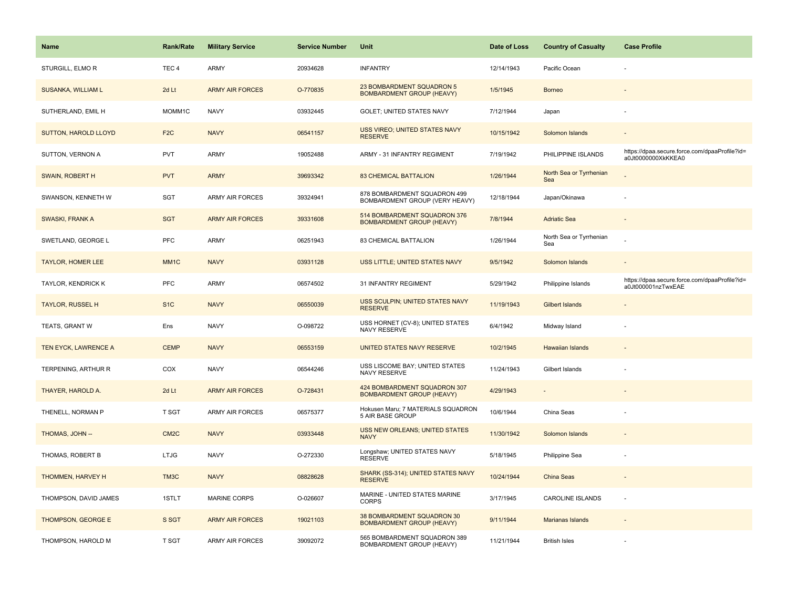| <b>Name</b>              | Rank/Rate         | <b>Military Service</b> | <b>Service Number</b> | Unit                                                             | Date of Loss | <b>Country of Casualty</b>     | <b>Case Profile</b>                                                 |
|--------------------------|-------------------|-------------------------|-----------------------|------------------------------------------------------------------|--------------|--------------------------------|---------------------------------------------------------------------|
| STURGILL, ELMOR          | TEC <sub>4</sub>  | ARMY                    | 20934628              | <b>INFANTRY</b>                                                  | 12/14/1943   | Pacific Ocean                  |                                                                     |
| SUSANKA, WILLIAM L       | 2d Lt             | <b>ARMY AIR FORCES</b>  | O-770835              | 23 BOMBARDMENT SQUADRON 5<br><b>BOMBARDMENT GROUP (HEAVY)</b>    | 1/5/1945     | <b>Borneo</b>                  |                                                                     |
| SUTHERLAND, EMIL H       | MOMM1C            | <b>NAVY</b>             | 03932445              | GOLET; UNITED STATES NAVY                                        | 7/12/1944    | Japan                          |                                                                     |
| SUTTON, HAROLD LLOYD     | F <sub>2</sub> C  | <b>NAVY</b>             | 06541157              | USS VIREO; UNITED STATES NAVY<br><b>RESERVE</b>                  | 10/15/1942   | Solomon Islands                |                                                                     |
| SUTTON, VERNON A         | <b>PVT</b>        | <b>ARMY</b>             | 19052488              | ARMY - 31 INFANTRY REGIMENT                                      | 7/19/1942    | PHILIPPINE ISLANDS             | https://dpaa.secure.force.com/dpaaProfile?id=<br>a0Jt0000000XkKKEA0 |
| <b>SWAIN, ROBERT H</b>   | <b>PVT</b>        | <b>ARMY</b>             | 39693342              | <b>83 CHEMICAL BATTALION</b>                                     | 1/26/1944    | North Sea or Tyrrhenian<br>Sea |                                                                     |
| SWANSON, KENNETH W       | SGT               | <b>ARMY AIR FORCES</b>  | 39324941              | 878 BOMBARDMENT SQUADRON 499<br>BOMBARDMENT GROUP (VERY HEAVY)   | 12/18/1944   | Japan/Okinawa                  | ÷,                                                                  |
| <b>SWASKI, FRANK A</b>   | <b>SGT</b>        | <b>ARMY AIR FORCES</b>  | 39331608              | 514 BOMBARDMENT SQUADRON 376<br><b>BOMBARDMENT GROUP (HEAVY)</b> | 7/8/1944     | <b>Adriatic Sea</b>            |                                                                     |
| SWETLAND, GEORGE L       | <b>PFC</b>        | <b>ARMY</b>             | 06251943              | 83 CHEMICAL BATTALION                                            | 1/26/1944    | North Sea or Tyrrhenian<br>Sea |                                                                     |
| <b>TAYLOR, HOMER LEE</b> | MM <sub>1C</sub>  | <b>NAVY</b>             | 03931128              | USS LITTLE; UNITED STATES NAVY                                   | 9/5/1942     | Solomon Islands                |                                                                     |
| TAYLOR, KENDRICK K       | <b>PFC</b>        | ARMY                    | 06574502              | 31 INFANTRY REGIMENT                                             | 5/29/1942    | Philippine Islands             | https://dpaa.secure.force.com/dpaaProfile?id=<br>a0Jt000001nzTwxEAE |
| <b>TAYLOR, RUSSEL H</b>  | S <sub>1</sub> C  | <b>NAVY</b>             | 06550039              | USS SCULPIN; UNITED STATES NAVY<br><b>RESERVE</b>                | 11/19/1943   | <b>Gilbert Islands</b>         |                                                                     |
| TEATS, GRANT W           | Ens               | <b>NAVY</b>             | O-098722              | USS HORNET (CV-8); UNITED STATES<br><b>NAVY RESERVE</b>          | 6/4/1942     | Midway Island                  |                                                                     |
| TEN EYCK, LAWRENCE A     | <b>CEMP</b>       | <b>NAVY</b>             | 06553159              | UNITED STATES NAVY RESERVE                                       | 10/2/1945    | <b>Hawaiian Islands</b>        |                                                                     |
| TERPENING, ARTHUR R      | COX               | <b>NAVY</b>             | 06544246              | USS LISCOME BAY; UNITED STATES<br>NAVY RESERVE                   | 11/24/1943   | Gilbert Islands                |                                                                     |
| THAYER, HAROLD A.        | 2d Lt             | <b>ARMY AIR FORCES</b>  | O-728431              | 424 BOMBARDMENT SQUADRON 307<br><b>BOMBARDMENT GROUP (HEAVY)</b> | 4/29/1943    |                                |                                                                     |
| THENELL, NORMAN P        | T SGT             | ARMY AIR FORCES         | 06575377              | Hokusen Maru; 7 MATERIALS SQUADRON<br>5 AIR BASE GROUP           | 10/6/1944    | China Seas                     |                                                                     |
| THOMAS, JOHN --          | CM <sub>2</sub> C | <b>NAVY</b>             | 03933448              | <b>USS NEW ORLEANS; UNITED STATES</b><br><b>NAVY</b>             | 11/30/1942   | Solomon Islands                |                                                                     |
| THOMAS, ROBERT B         | <b>LTJG</b>       | <b>NAVY</b>             | O-272330              | Longshaw; UNITED STATES NAVY<br><b>RESERVE</b>                   | 5/18/1945    | Philippine Sea                 |                                                                     |
| THOMMEN, HARVEY H        | TM3C              | <b>NAVY</b>             | 08828628              | SHARK (SS-314); UNITED STATES NAVY<br><b>RESERVE</b>             | 10/24/1944   | <b>China Seas</b>              |                                                                     |
| THOMPSON, DAVID JAMES    | 1STLT             | <b>MARINE CORPS</b>     | O-026607              | MARINE - UNITED STATES MARINE<br><b>CORPS</b>                    | 3/17/1945    | <b>CAROLINE ISLANDS</b>        | ÷,                                                                  |
| THOMPSON, GEORGE E       | S SGT             | <b>ARMY AIR FORCES</b>  | 19021103              | 38 BOMBARDMENT SQUADRON 30<br><b>BOMBARDMENT GROUP (HEAVY)</b>   | 9/11/1944    | Marianas Islands               |                                                                     |
| THOMPSON, HAROLD M       | T SGT             | <b>ARMY AIR FORCES</b>  | 39092072              | 565 BOMBARDMENT SQUADRON 389<br>BOMBARDMENT GROUP (HEAVY)        | 11/21/1944   | <b>British Isles</b>           |                                                                     |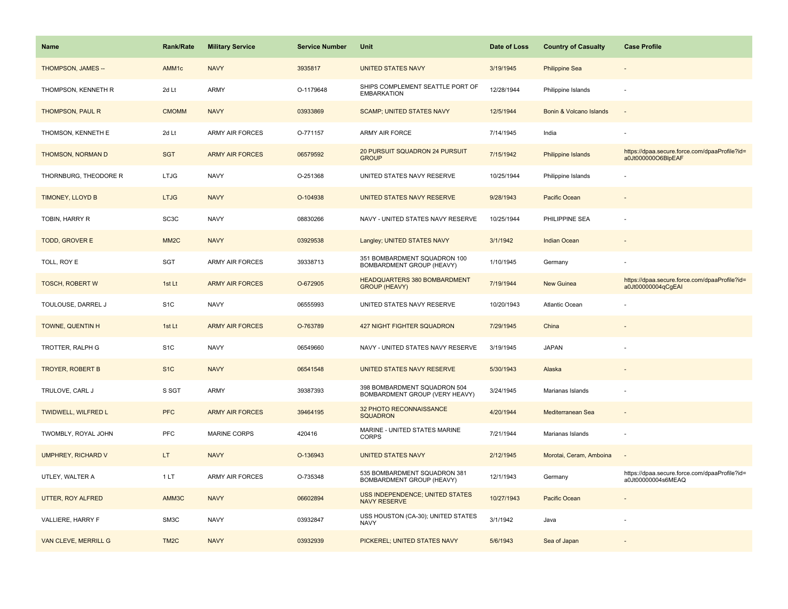| <b>Name</b>               | <b>Rank/Rate</b>  | <b>Military Service</b> | <b>Service Number</b> | Unit                                                           | Date of Loss | <b>Country of Casualty</b> | <b>Case Profile</b>                                                 |
|---------------------------|-------------------|-------------------------|-----------------------|----------------------------------------------------------------|--------------|----------------------------|---------------------------------------------------------------------|
| THOMPSON, JAMES --        | AMM1c             | <b>NAVY</b>             | 3935817               | <b>UNITED STATES NAVY</b>                                      | 3/19/1945    | <b>Philippine Sea</b>      |                                                                     |
| THOMPSON, KENNETH R       | 2d Lt             | ARMY                    | O-1179648             | SHIPS COMPLEMENT SEATTLE PORT OF<br><b>EMBARKATION</b>         | 12/28/1944   | Philippine Islands         | $\sim$                                                              |
| THOMPSON, PAUL R          | <b>CMOMM</b>      | <b>NAVY</b>             | 03933869              | <b>SCAMP; UNITED STATES NAVY</b>                               | 12/5/1944    | Bonin & Volcano Islands    |                                                                     |
| THOMSON, KENNETH E        | 2d Lt             | <b>ARMY AIR FORCES</b>  | O-771157              | ARMY AIR FORCE                                                 | 7/14/1945    | India                      |                                                                     |
| <b>THOMSON, NORMAN D</b>  | <b>SGT</b>        | <b>ARMY AIR FORCES</b>  | 06579592              | <b>20 PURSUIT SQUADRON 24 PURSUIT</b><br><b>GROUP</b>          | 7/15/1942    | Philippine Islands         | https://dpaa.secure.force.com/dpaaProfile?id=<br>a0Jt000000O6BlpEAF |
| THORNBURG, THEODORE R     | <b>LTJG</b>       | <b>NAVY</b>             | O-251368              | UNITED STATES NAVY RESERVE                                     | 10/25/1944   | Philippine Islands         |                                                                     |
| TIMONEY, LLOYD B          | <b>LTJG</b>       | <b>NAVY</b>             | O-104938              | UNITED STATES NAVY RESERVE                                     | 9/28/1943    | Pacific Ocean              |                                                                     |
| TOBIN, HARRY R            | SC <sub>3</sub> C | <b>NAVY</b>             | 08830266              | NAVY - UNITED STATES NAVY RESERVE                              | 10/25/1944   | PHILIPPINE SEA             |                                                                     |
| <b>TODD, GROVER E</b>     | MM <sub>2</sub> C | <b>NAVY</b>             | 03929538              | Langley; UNITED STATES NAVY                                    | 3/1/1942     | <b>Indian Ocean</b>        |                                                                     |
| TOLL, ROY E               | SGT               | <b>ARMY AIR FORCES</b>  | 39338713              | 351 BOMBARDMENT SQUADRON 100<br>BOMBARDMENT GROUP (HEAVY)      | 1/10/1945    | Germany                    |                                                                     |
| <b>TOSCH, ROBERT W</b>    | 1st Lt            | <b>ARMY AIR FORCES</b>  | O-672905              | HEADQUARTERS 380 BOMBARDMENT<br><b>GROUP (HEAVY)</b>           | 7/19/1944    | <b>New Guinea</b>          | https://dpaa.secure.force.com/dpaaProfile?id=<br>a0Jt00000004qCgEAI |
| TOULOUSE, DARREL J        | S <sub>1</sub> C  | <b>NAVY</b>             | 06555993              | UNITED STATES NAVY RESERVE                                     | 10/20/1943   | Atlantic Ocean             |                                                                     |
| TOWNE, QUENTIN H          | 1st Lt            | <b>ARMY AIR FORCES</b>  | O-763789              | <b>427 NIGHT FIGHTER SQUADRON</b>                              | 7/29/1945    | China                      |                                                                     |
| TROTTER, RALPH G          | S <sub>1</sub> C  | <b>NAVY</b>             | 06549660              | NAVY - UNITED STATES NAVY RESERVE                              | 3/19/1945    | <b>JAPAN</b>               |                                                                     |
| <b>TROYER, ROBERT B</b>   | S <sub>1C</sub>   | <b>NAVY</b>             | 06541548              | UNITED STATES NAVY RESERVE                                     | 5/30/1943    | Alaska                     |                                                                     |
| TRULOVE, CARL J           | S SGT             | <b>ARMY</b>             | 39387393              | 398 BOMBARDMENT SQUADRON 504<br>BOMBARDMENT GROUP (VERY HEAVY) | 3/24/1945    | Marianas Islands           |                                                                     |
| TWIDWELL, WILFRED L       | <b>PFC</b>        | <b>ARMY AIR FORCES</b>  | 39464195              | 32 PHOTO RECONNAISSANCE<br><b>SQUADRON</b>                     | 4/20/1944    | Mediterranean Sea          |                                                                     |
| TWOMBLY, ROYAL JOHN       | PFC               | MARINE CORPS            | 420416                | MARINE - UNITED STATES MARINE<br><b>CORPS</b>                  | 7/21/1944    | Marianas Islands           |                                                                     |
| <b>UMPHREY, RICHARD V</b> | LT.               | <b>NAVY</b>             | O-136943              | <b>UNITED STATES NAVY</b>                                      | 2/12/1945    | Morotai, Ceram, Amboina    | $\sim$                                                              |
| UTLEY, WALTER A           | 1LT               | <b>ARMY AIR FORCES</b>  | O-735348              | 535 BOMBARDMENT SQUADRON 381<br>BOMBARDMENT GROUP (HEAVY)      | 12/1/1943    | Germany                    | https://dpaa.secure.force.com/dpaaProfile?id=<br>a0Jt00000004s6MEAQ |
| UTTER, ROY ALFRED         | AMM3C             | <b>NAVY</b>             | 06602894              | <b>USS INDEPENDENCE; UNITED STATES</b><br><b>NAVY RESERVE</b>  | 10/27/1943   | Pacific Ocean              |                                                                     |
| VALLIERE, HARRY F         | SM3C              | <b>NAVY</b>             | 03932847              | USS HOUSTON (CA-30); UNITED STATES<br><b>NAVY</b>              | 3/1/1942     | Java                       |                                                                     |
| VAN CLEVE, MERRILL G      | TM <sub>2</sub> C | <b>NAVY</b>             | 03932939              | PICKEREL; UNITED STATES NAVY                                   | 5/6/1943     | Sea of Japan               |                                                                     |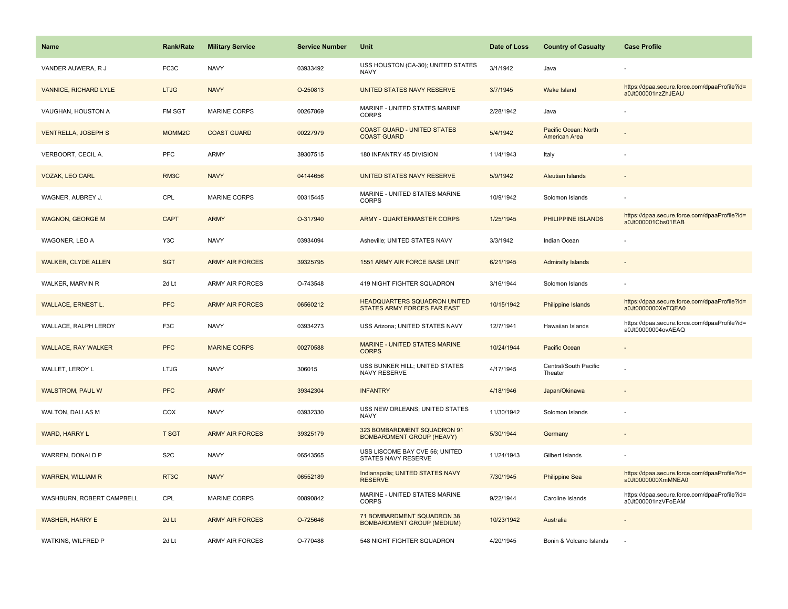| <b>Name</b>                  | <b>Rank/Rate</b>  | <b>Military Service</b> | <b>Service Number</b> | Unit                                                               | Date of Loss | <b>Country of Casualty</b>            | <b>Case Profile</b>                                                 |
|------------------------------|-------------------|-------------------------|-----------------------|--------------------------------------------------------------------|--------------|---------------------------------------|---------------------------------------------------------------------|
| VANDER AUWERA, R J           | FC3C              | <b>NAVY</b>             | 03933492              | USS HOUSTON (CA-30); UNITED STATES<br><b>NAVY</b>                  | 3/1/1942     | Java                                  |                                                                     |
| <b>VANNICE, RICHARD LYLE</b> | <b>LTJG</b>       | <b>NAVY</b>             | O-250813              | UNITED STATES NAVY RESERVE                                         | 3/7/1945     | Wake Island                           | https://dpaa.secure.force.com/dpaaProfile?id=<br>a0Jt000001nzZhJEAU |
| VAUGHAN, HOUSTON A           | FM SGT            | <b>MARINE CORPS</b>     | 00267869              | MARINE - UNITED STATES MARINE<br><b>CORPS</b>                      | 2/28/1942    | Java                                  |                                                                     |
| <b>VENTRELLA, JOSEPH S</b>   | MOMM2C            | <b>COAST GUARD</b>      | 00227979              | <b>COAST GUARD - UNITED STATES</b><br><b>COAST GUARD</b>           | 5/4/1942     | Pacific Ocean: North<br>American Area |                                                                     |
| VERBOORT, CECIL A.           | PFC               | <b>ARMY</b>             | 39307515              | 180 INFANTRY 45 DIVISION                                           | 11/4/1943    | Italy                                 |                                                                     |
| <b>VOZAK, LEO CARL</b>       | RM3C              | <b>NAVY</b>             | 04144656              | UNITED STATES NAVY RESERVE                                         | 5/9/1942     | <b>Aleutian Islands</b>               |                                                                     |
| WAGNER, AUBREY J.            | CPL               | <b>MARINE CORPS</b>     | 00315445              | MARINE - UNITED STATES MARINE<br><b>CORPS</b>                      | 10/9/1942    | Solomon Islands                       |                                                                     |
| <b>WAGNON, GEORGE M</b>      | <b>CAPT</b>       | <b>ARMY</b>             | O-317940              | <b>ARMY - QUARTERMASTER CORPS</b>                                  | 1/25/1945    | PHILIPPINE ISLANDS                    | https://dpaa.secure.force.com/dpaaProfile?id=<br>a0Jt000001Cbs01EAB |
| WAGONER, LEO A               | Y3C               | <b>NAVY</b>             | 03934094              | Asheville; UNITED STATES NAVY                                      | 3/3/1942     | Indian Ocean                          |                                                                     |
| <b>WALKER, CLYDE ALLEN</b>   | <b>SGT</b>        | <b>ARMY AIR FORCES</b>  | 39325795              | 1551 ARMY AIR FORCE BASE UNIT                                      | 6/21/1945    | <b>Admiralty Islands</b>              |                                                                     |
| WALKER, MARVIN R             | 2d Lt             | <b>ARMY AIR FORCES</b>  | O-743548              | 419 NIGHT FIGHTER SQUADRON                                         | 3/16/1944    | Solomon Islands                       |                                                                     |
| <b>WALLACE, ERNEST L.</b>    | <b>PFC</b>        | <b>ARMY AIR FORCES</b>  | 06560212              | <b>HEADQUARTERS SQUADRON UNITED</b><br>STATES ARMY FORCES FAR EAST | 10/15/1942   | <b>Philippine Islands</b>             | https://dpaa.secure.force.com/dpaaProfile?id=<br>a0Jt0000000XeTQEA0 |
| WALLACE, RALPH LEROY         | F <sub>3</sub> C  | <b>NAVY</b>             | 03934273              | USS Arizona; UNITED STATES NAVY                                    | 12/7/1941    | Hawaiian Islands                      | https://dpaa.secure.force.com/dpaaProfile?id=<br>a0Jt00000004ovAEAQ |
| <b>WALLACE, RAY WALKER</b>   | <b>PFC</b>        | <b>MARINE CORPS</b>     | 00270588              | MARINE - UNITED STATES MARINE<br><b>CORPS</b>                      | 10/24/1944   | <b>Pacific Ocean</b>                  |                                                                     |
| WALLET, LEROY L              | <b>LTJG</b>       | <b>NAVY</b>             | 306015                | USS BUNKER HILL; UNITED STATES<br><b>NAVY RESERVE</b>              | 4/17/1945    | Central/South Pacific<br>Theater      |                                                                     |
| <b>WALSTROM, PAUL W</b>      | <b>PFC</b>        | <b>ARMY</b>             | 39342304              | <b>INFANTRY</b>                                                    | 4/18/1946    | Japan/Okinawa                         |                                                                     |
| <b>WALTON, DALLAS M</b>      | COX               | <b>NAVY</b>             | 03932330              | USS NEW ORLEANS; UNITED STATES<br><b>NAVY</b>                      | 11/30/1942   | Solomon Islands                       |                                                                     |
| <b>WARD, HARRY L</b>         | <b>T SGT</b>      | <b>ARMY AIR FORCES</b>  | 39325179              | 323 BOMBARDMENT SQUADRON 91<br><b>BOMBARDMENT GROUP (HEAVY)</b>    | 5/30/1944    | Germany                               |                                                                     |
| WARREN, DONALD P             | S <sub>2</sub> C  | <b>NAVY</b>             | 06543565              | USS LISCOME BAY CVE 56; UNITED<br>STATES NAVY RESERVE              | 11/24/1943   | Gilbert Islands                       |                                                                     |
| <b>WARREN, WILLIAM R</b>     | RT <sub>3</sub> C | <b>NAVY</b>             | 06552189              | Indianapolis; UNITED STATES NAVY<br><b>RESERVE</b>                 | 7/30/1945    | <b>Philippine Sea</b>                 | https://dpaa.secure.force.com/dpaaProfile?id=<br>a0Jt0000000XmMNEA0 |
| WASHBURN, ROBERT CAMPBELL    | CPL               | <b>MARINE CORPS</b>     | 00890842              | MARINE - UNITED STATES MARINE<br><b>CORPS</b>                      | 9/22/1944    | Caroline Islands                      | https://dpaa.secure.force.com/dpaaProfile?id=<br>a0Jt000001nzVFoEAM |
| <b>WASHER, HARRY E</b>       | 2d Lt             | <b>ARMY AIR FORCES</b>  | O-725646              | 71 BOMBARDMENT SQUADRON 38<br><b>BOMBARDMENT GROUP (MEDIUM)</b>    | 10/23/1942   | Australia                             |                                                                     |
| WATKINS, WILFRED P           | 2d Lt             | <b>ARMY AIR FORCES</b>  | O-770488              | 548 NIGHT FIGHTER SQUADRON                                         | 4/20/1945    | Bonin & Volcano Islands               |                                                                     |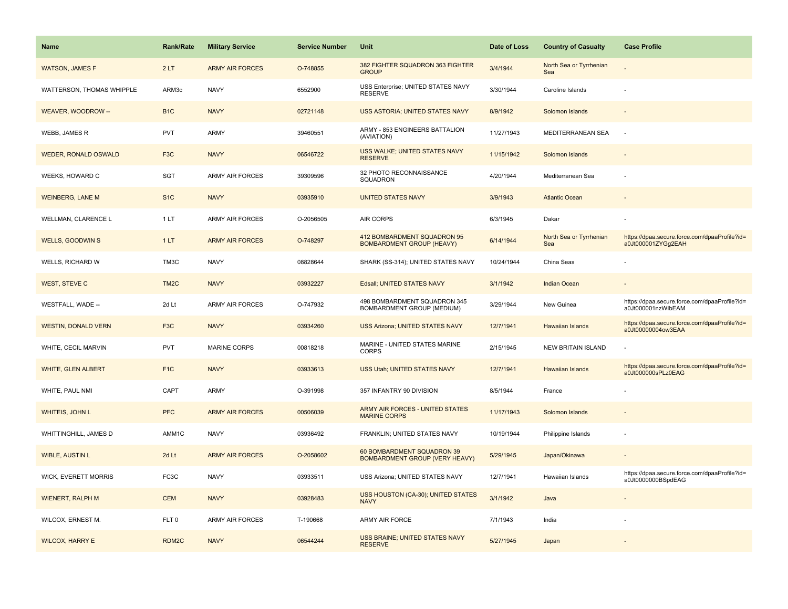| Name                        | <b>Rank/Rate</b>  | <b>Military Service</b> | <b>Service Number</b> | Unit                                                            | Date of Loss | <b>Country of Casualty</b>     | <b>Case Profile</b>                                                 |
|-----------------------------|-------------------|-------------------------|-----------------------|-----------------------------------------------------------------|--------------|--------------------------------|---------------------------------------------------------------------|
| <b>WATSON, JAMES F</b>      | 2LT               | <b>ARMY AIR FORCES</b>  | O-748855              | 382 FIGHTER SQUADRON 363 FIGHTER<br><b>GROUP</b>                | 3/4/1944     | North Sea or Tyrrhenian<br>Sea |                                                                     |
| WATTERSON, THOMAS WHIPPLE   | ARM3c             | <b>NAVY</b>             | 6552900               | USS Enterprise; UNITED STATES NAVY<br><b>RESERVE</b>            | 3/30/1944    | Caroline Islands               |                                                                     |
| WEAVER, WOODROW --          | B <sub>1</sub> C  | <b>NAVY</b>             | 02721148              | USS ASTORIA; UNITED STATES NAVY                                 | 8/9/1942     | Solomon Islands                |                                                                     |
| <b>WEBB, JAMES R</b>        | <b>PVT</b>        | <b>ARMY</b>             | 39460551              | ARMY - 853 ENGINEERS BATTALION<br>(AVIATION)                    | 11/27/1943   | MEDITERRANEAN SEA              |                                                                     |
| <b>WEDER, RONALD OSWALD</b> | F <sub>3</sub> C  | <b>NAVY</b>             | 06546722              | USS WALKE; UNITED STATES NAVY<br><b>RESERVE</b>                 | 11/15/1942   | Solomon Islands                |                                                                     |
| WEEKS, HOWARD C             | <b>SGT</b>        | <b>ARMY AIR FORCES</b>  | 39309596              | 32 PHOTO RECONNAISSANCE<br>SQUADRON                             | 4/20/1944    | Mediterranean Sea              |                                                                     |
| <b>WEINBERG, LANE M</b>     | S <sub>1</sub> C  | <b>NAVY</b>             | 03935910              | <b>UNITED STATES NAVY</b>                                       | 3/9/1943     | <b>Atlantic Ocean</b>          |                                                                     |
| WELLMAN, CLARENCE L         | 1LT               | <b>ARMY AIR FORCES</b>  | O-2056505             | <b>AIR CORPS</b>                                                | 6/3/1945     | Dakar                          |                                                                     |
| <b>WELLS, GOODWINS</b>      | 1LT               | <b>ARMY AIR FORCES</b>  | O-748297              | 412 BOMBARDMENT SQUADRON 95<br><b>BOMBARDMENT GROUP (HEAVY)</b> | 6/14/1944    | North Sea or Tyrrhenian<br>Sea | https://dpaa.secure.force.com/dpaaProfile?id=<br>a0Jt000001ZYGq2EAH |
| WELLS, RICHARD W            | TM3C              | <b>NAVY</b>             | 08828644              | SHARK (SS-314); UNITED STATES NAVY                              | 10/24/1944   | China Seas                     |                                                                     |
| <b>WEST, STEVE C</b>        | TM <sub>2</sub> C | <b>NAVY</b>             | 03932227              | Edsall; UNITED STATES NAVY                                      | 3/1/1942     | <b>Indian Ocean</b>            |                                                                     |
| WESTFALL, WADE --           | 2d Lt             | <b>ARMY AIR FORCES</b>  | O-747932              | 498 BOMBARDMENT SQUADRON 345<br>BOMBARDMENT GROUP (MEDIUM)      | 3/29/1944    | New Guinea                     | https://dpaa.secure.force.com/dpaaProfile?id=<br>a0Jt000001nzWlbEAM |
| <b>WESTIN, DONALD VERN</b>  | F <sub>3</sub> C  | <b>NAVY</b>             | 03934260              | <b>USS Arizona; UNITED STATES NAVY</b>                          | 12/7/1941    | <b>Hawaiian Islands</b>        | https://dpaa.secure.force.com/dpaaProfile?id=<br>a0Jt00000004ow3EAA |
| WHITE, CECIL MARVIN         | <b>PVT</b>        | MARINE CORPS            | 00818218              | MARINE - UNITED STATES MARINE<br><b>CORPS</b>                   | 2/15/1945    | <b>NEW BRITAIN ISLAND</b>      |                                                                     |
| <b>WHITE, GLEN ALBERT</b>   | F <sub>1C</sub>   | <b>NAVY</b>             | 03933613              | USS Utah; UNITED STATES NAVY                                    | 12/7/1941    | <b>Hawaiian Islands</b>        | https://dpaa.secure.force.com/dpaaProfile?id=<br>a0Jt000000sPLz0EAG |
| WHITE, PAUL NMI             | CAPT              | ARMY                    | O-391998              | 357 INFANTRY 90 DIVISION                                        | 8/5/1944     | France                         |                                                                     |
| WHITEIS, JOHN L             | <b>PFC</b>        | <b>ARMY AIR FORCES</b>  | 00506039              | ARMY AIR FORCES - UNITED STATES<br><b>MARINE CORPS</b>          | 11/17/1943   | Solomon Islands                |                                                                     |
| WHITTINGHILL, JAMES D       | AMM1C             | <b>NAVY</b>             | 03936492              | FRANKLIN; UNITED STATES NAVY                                    | 10/19/1944   | Philippine Islands             |                                                                     |
| <b>WIBLE, AUSTIN L</b>      | 2d Lt             | <b>ARMY AIR FORCES</b>  | O-2058602             | 60 BOMBARDMENT SQUADRON 39<br>BOMBARDMENT GROUP (VERY HEAVY)    | 5/29/1945    | Japan/Okinawa                  |                                                                     |
| <b>WICK, EVERETT MORRIS</b> | FC3C              | <b>NAVY</b>             | 03933511              | USS Arizona; UNITED STATES NAVY                                 | 12/7/1941    | Hawaiian Islands               | https://dpaa.secure.force.com/dpaaProfile?id=<br>a0Jt0000000BSpdEAG |
| <b>WIENERT, RALPH M</b>     | <b>CEM</b>        | <b>NAVY</b>             | 03928483              | USS HOUSTON (CA-30); UNITED STATES<br><b>NAVY</b>               | 3/1/1942     | Java                           |                                                                     |
| WILCOX, ERNEST M.           | FLT <sub>0</sub>  | <b>ARMY AIR FORCES</b>  | T-190668              | ARMY AIR FORCE                                                  | 7/1/1943     | India                          |                                                                     |
| <b>WILCOX, HARRY E</b>      | RDM2C             | <b>NAVY</b>             | 06544244              | USS BRAINE; UNITED STATES NAVY<br><b>RESERVE</b>                | 5/27/1945    | Japan                          |                                                                     |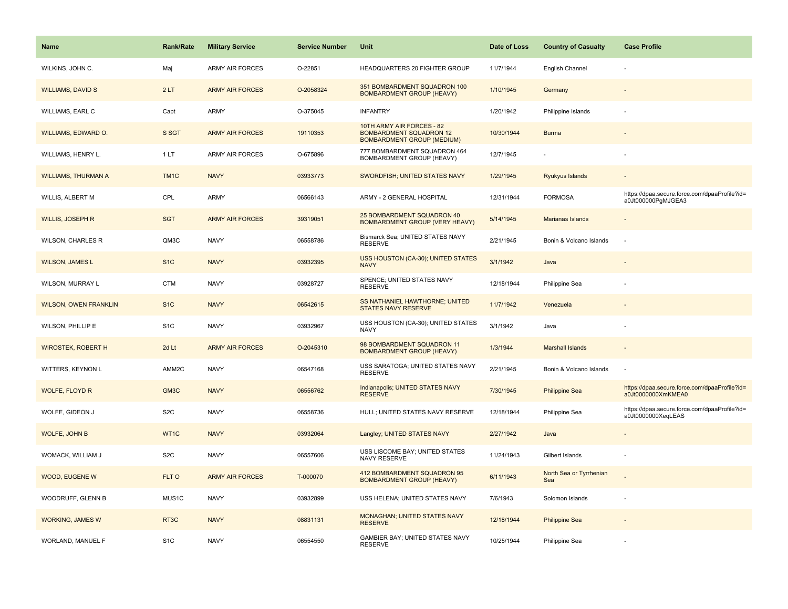| <b>Name</b>                  | <b>Rank/Rate</b>  | <b>Military Service</b> | <b>Service Number</b> | Unit                                                                                             | Date of Loss | <b>Country of Casualty</b>     | <b>Case Profile</b>                                                 |
|------------------------------|-------------------|-------------------------|-----------------------|--------------------------------------------------------------------------------------------------|--------------|--------------------------------|---------------------------------------------------------------------|
| WILKINS, JOHN C.             | Maj               | ARMY AIR FORCES         | O-22851               | HEADQUARTERS 20 FIGHTER GROUP                                                                    | 11/7/1944    | English Channel                |                                                                     |
| <b>WILLIAMS, DAVID S</b>     | 2LT               | <b>ARMY AIR FORCES</b>  | O-2058324             | 351 BOMBARDMENT SQUADRON 100<br><b>BOMBARDMENT GROUP (HEAVY)</b>                                 | 1/10/1945    | Germany                        |                                                                     |
| WILLIAMS, EARL C             | Capt              | ARMY                    | O-375045              | <b>INFANTRY</b>                                                                                  | 1/20/1942    | Philippine Islands             |                                                                     |
| <b>WILLIAMS, EDWARD O.</b>   | S SGT             | <b>ARMY AIR FORCES</b>  | 19110353              | 10TH ARMY AIR FORCES - 82<br><b>BOMBARDMENT SQUADRON 12</b><br><b>BOMBARDMENT GROUP (MEDIUM)</b> | 10/30/1944   | <b>Burma</b>                   |                                                                     |
| WILLIAMS, HENRY L.           | 1 LT              | ARMY AIR FORCES         | O-675896              | 777 BOMBARDMENT SQUADRON 464<br>BOMBARDMENT GROUP (HEAVY)                                        | 12/7/1945    |                                |                                                                     |
| <b>WILLIAMS, THURMAN A</b>   | TM <sub>1</sub> C | <b>NAVY</b>             | 03933773              | SWORDFISH; UNITED STATES NAVY                                                                    | 1/29/1945    | Ryukyus Islands                |                                                                     |
| WILLIS, ALBERT M             | CPL               | ARMY                    | 06566143              | ARMY - 2 GENERAL HOSPITAL                                                                        | 12/31/1944   | <b>FORMOSA</b>                 | https://dpaa.secure.force.com/dpaaProfile?id=<br>a0Jt000000PgMJGEA3 |
| <b>WILLIS, JOSEPH R</b>      | <b>SGT</b>        | <b>ARMY AIR FORCES</b>  | 39319051              | 25 BOMBARDMENT SQUADRON 40<br>BOMBARDMENT GROUP (VERY HEAVY)                                     | 5/14/1945    | <b>Marianas Islands</b>        |                                                                     |
| <b>WILSON, CHARLES R</b>     | QM3C              | <b>NAVY</b>             | 06558786              | Bismarck Sea; UNITED STATES NAVY<br><b>RESERVE</b>                                               | 2/21/1945    | Bonin & Volcano Islands        |                                                                     |
| <b>WILSON, JAMES L</b>       | S <sub>1</sub> C  | <b>NAVY</b>             | 03932395              | USS HOUSTON (CA-30); UNITED STATES<br><b>NAVY</b>                                                | 3/1/1942     | Java                           |                                                                     |
| WILSON, MURRAY L             | <b>CTM</b>        | <b>NAVY</b>             | 03928727              | SPENCE; UNITED STATES NAVY<br><b>RESERVE</b>                                                     | 12/18/1944   | Philippine Sea                 |                                                                     |
| <b>WILSON, OWEN FRANKLIN</b> | S <sub>1</sub> C  | <b>NAVY</b>             | 06542615              | <b>SS NATHANIEL HAWTHORNE: UNITED</b><br>STATES NAVY RESERVE                                     | 11/7/1942    | Venezuela                      |                                                                     |
| WILSON, PHILLIP E            | S <sub>1</sub> C  | <b>NAVY</b>             | 03932967              | USS HOUSTON (CA-30); UNITED STATES<br><b>NAVY</b>                                                | 3/1/1942     | Java                           |                                                                     |
| <b>WIROSTEK, ROBERT H</b>    | 2d Lt             | <b>ARMY AIR FORCES</b>  | O-2045310             | 98 BOMBARDMENT SQUADRON 11<br><b>BOMBARDMENT GROUP (HEAVY)</b>                                   | 1/3/1944     | <b>Marshall Islands</b>        |                                                                     |
| WITTERS, KEYNON L            | AMM2C             | <b>NAVY</b>             | 06547168              | USS SARATOGA; UNITED STATES NAVY<br><b>RESERVE</b>                                               | 2/21/1945    | Bonin & Volcano Islands        |                                                                     |
| <b>WOLFE, FLOYD R</b>        | GM3C              | <b>NAVY</b>             | 06556762              | Indianapolis; UNITED STATES NAVY<br><b>RESERVE</b>                                               | 7/30/1945    | <b>Philippine Sea</b>          | https://dpaa.secure.force.com/dpaaProfile?id=<br>a0Jt0000000XmKMEA0 |
| WOLFE, GIDEON J              | S <sub>2</sub> C  | <b>NAVY</b>             | 06558736              | HULL; UNITED STATES NAVY RESERVE                                                                 | 12/18/1944   | Philippine Sea                 | https://dpaa.secure.force.com/dpaaProfile?id=<br>a0Jt0000000XeqLEAS |
| WOLFE, JOHN B                | WT1C              | <b>NAVY</b>             | 03932064              | Langley; UNITED STATES NAVY                                                                      | 2/27/1942    | Java                           |                                                                     |
| WOMACK, WILLIAM J            | S <sub>2</sub> C  | <b>NAVY</b>             | 06557606              | USS LISCOME BAY; UNITED STATES<br>NAVY RESERVE                                                   | 11/24/1943   | Gilbert Islands                |                                                                     |
| WOOD, EUGENE W               | FLT O             | <b>ARMY AIR FORCES</b>  | T-000070              | 412 BOMBARDMENT SQUADRON 95<br><b>BOMBARDMENT GROUP (HEAVY)</b>                                  | 6/11/1943    | North Sea or Tyrrhenian<br>Sea |                                                                     |
| WOODRUFF, GLENN B            | MUS1C             | <b>NAVY</b>             | 03932899              | USS HELENA; UNITED STATES NAVY                                                                   | 7/6/1943     | Solomon Islands                |                                                                     |
| <b>WORKING, JAMES W</b>      | RT3C              | <b>NAVY</b>             | 08831131              | MONAGHAN; UNITED STATES NAVY<br><b>RESERVE</b>                                                   | 12/18/1944   | <b>Philippine Sea</b>          |                                                                     |
| WORLAND, MANUEL F            | S <sub>1</sub> C  | <b>NAVY</b>             | 06554550              | GAMBIER BAY; UNITED STATES NAVY<br><b>RESERVE</b>                                                | 10/25/1944   | Philippine Sea                 |                                                                     |